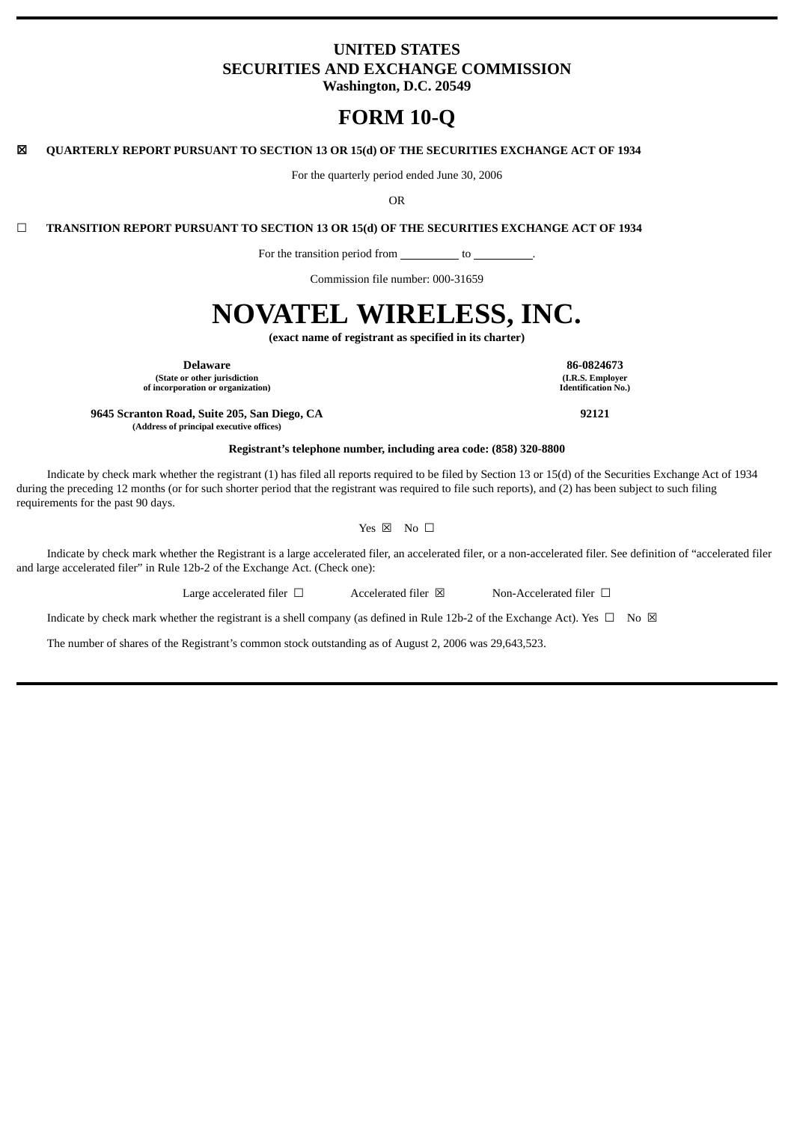# **UNITED STATES SECURITIES AND EXCHANGE COMMISSION**

**Washington, D.C. 20549**

# **FORM 10-Q**

☒ **QUARTERLY REPORT PURSUANT TO SECTION 13 OR 15(d) OF THE SECURITIES EXCHANGE ACT OF 1934**

For the quarterly period ended June 30, 2006

OR

☐ **TRANSITION REPORT PURSUANT TO SECTION 13 OR 15(d) OF THE SECURITIES EXCHANGE ACT OF 1934**

For the transition period from  $\frac{1}{\sqrt{1-\frac{1}{n}}}\$  to  $\frac{1}{\sqrt{1-\frac{1}{n}}}$ 

Commission file number: 000-31659

# **NOVATEL WIRELESS, INC.**

**(exact name of registrant as specified in its charter)**

**(State or other jurisdiction of incorporation or organization)**

**9645 Scranton Road, Suite 205, San Diego, CA 92121 (Address of principal executive offices)**

# **Registrant's telephone number, including area code: (858) 320-8800**

Indicate by check mark whether the registrant (1) has filed all reports required to be filed by Section 13 or 15(d) of the Securities Exchange Act of 1934 during the preceding 12 months (or for such shorter period that the registrant was required to file such reports), and (2) has been subject to such filing requirements for the past 90 days.

Yes ⊠ No □

Indicate by check mark whether the Registrant is a large accelerated filer, an accelerated filer, or a non-accelerated filer. See definition of "accelerated filer and large accelerated filer" in Rule 12b-2 of the Exchange Act. (Check one):

Large accelerated filer □ Accelerated filer ⊠ Non-Accelerated filer □

Indicate by check mark whether the registrant is a shell company (as defined in Rule 12b-2 of the Exchange Act). Yes  $\Box$  No  $\boxtimes$ 

The number of shares of the Registrant's common stock outstanding as of August 2, 2006 was 29,643,523.

**Delaware 86-0824673 (I.R.S. Employer Identification No.)**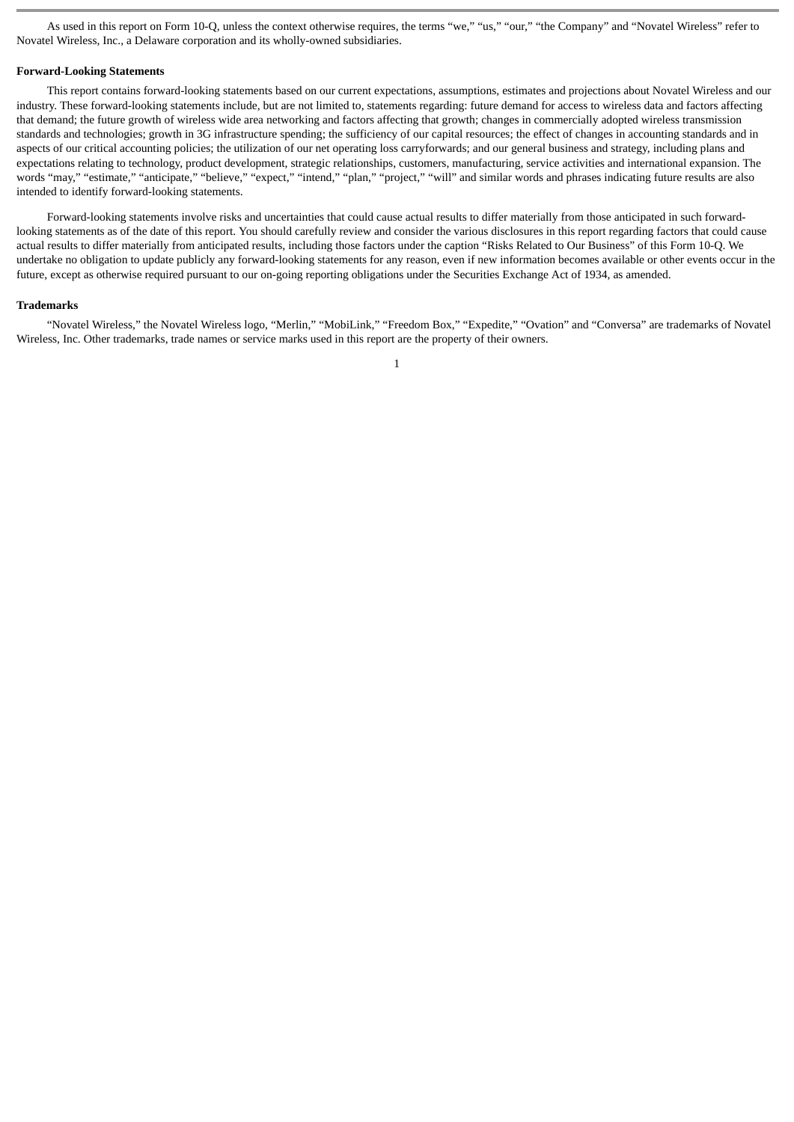As used in this report on Form 10-Q, unless the context otherwise requires, the terms "we," "us," "our," "the Company" and "Novatel Wireless" refer to Novatel Wireless, Inc., a Delaware corporation and its wholly-owned subsidiaries.

#### **Forward-Looking Statements**

This report contains forward-looking statements based on our current expectations, assumptions, estimates and projections about Novatel Wireless and our industry. These forward-looking statements include, but are not limited to, statements regarding: future demand for access to wireless data and factors affecting that demand; the future growth of wireless wide area networking and factors affecting that growth; changes in commercially adopted wireless transmission standards and technologies; growth in 3G infrastructure spending; the sufficiency of our capital resources; the effect of changes in accounting standards and in aspects of our critical accounting policies; the utilization of our net operating loss carryforwards; and our general business and strategy, including plans and expectations relating to technology, product development, strategic relationships, customers, manufacturing, service activities and international expansion. The words "may," "estimate," "anticipate," "believe," "expect," "intend," "plan," "project," "will" and similar words and phrases indicating future results are also intended to identify forward-looking statements.

Forward-looking statements involve risks and uncertainties that could cause actual results to differ materially from those anticipated in such forwardlooking statements as of the date of this report. You should carefully review and consider the various disclosures in this report regarding factors that could cause actual results to differ materially from anticipated results, including those factors under the caption "Risks Related to Our Business" of this Form 10-Q. We undertake no obligation to update publicly any forward-looking statements for any reason, even if new information becomes available or other events occur in the future, except as otherwise required pursuant to our on-going reporting obligations under the Securities Exchange Act of 1934, as amended.

#### **Trademarks**

"Novatel Wireless," the Novatel Wireless logo, "Merlin," "MobiLink," "Freedom Box," "Expedite," "Ovation" and "Conversa" are trademarks of Novatel Wireless, Inc. Other trademarks, trade names or service marks used in this report are the property of their owners.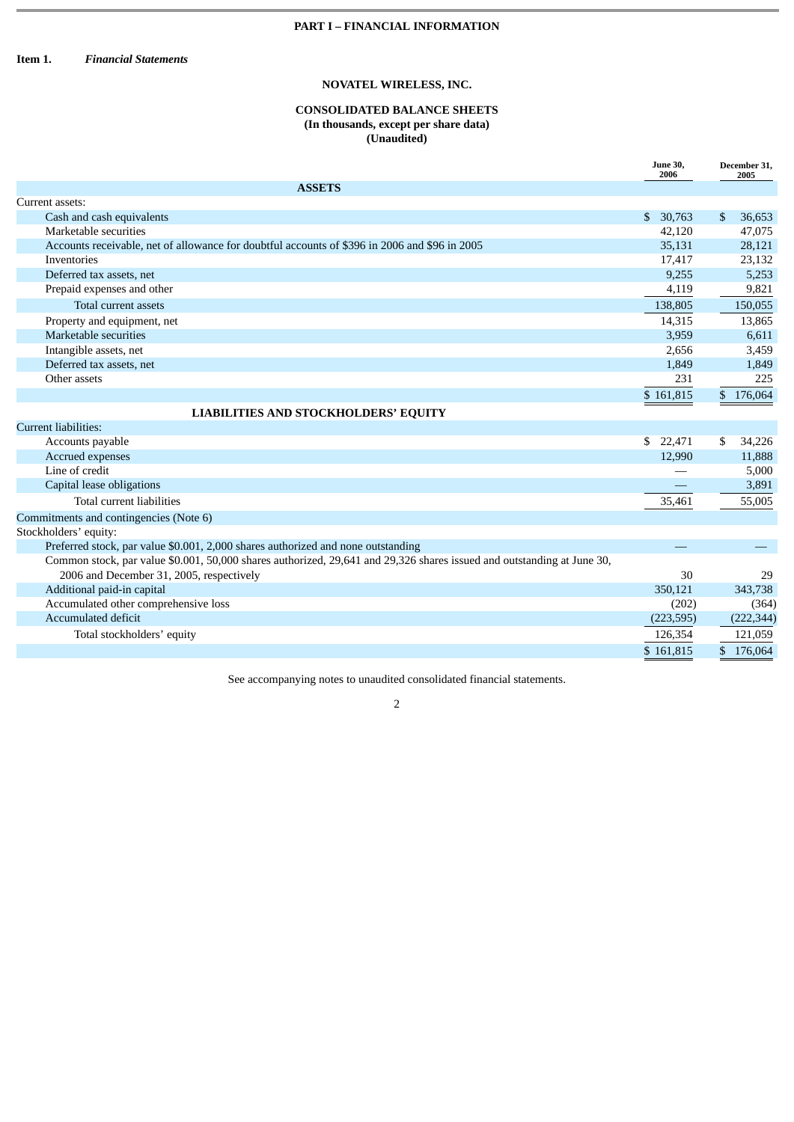# **PART I – FINANCIAL INFORMATION**

**Item 1.** *Financial Statements*

# **NOVATEL WIRELESS, INC.**

# **CONSOLIDATED BALANCE SHEETS (In thousands, except per share data) (Unaudited)**

|                                                                                                                        | <b>June 30,</b><br>2006 | December 31,<br>2005 |
|------------------------------------------------------------------------------------------------------------------------|-------------------------|----------------------|
| <b>ASSETS</b>                                                                                                          |                         |                      |
| Current assets:                                                                                                        |                         |                      |
| Cash and cash equivalents                                                                                              | $\mathbb{S}$<br>30,763  | \$<br>36,653         |
| Marketable securities                                                                                                  | 42,120                  | 47,075               |
| Accounts receivable, net of allowance for doubtful accounts of \$396 in 2006 and \$96 in 2005                          | 35,131                  | 28,121               |
| <b>Inventories</b>                                                                                                     | 17,417                  | 23,132               |
| Deferred tax assets, net                                                                                               | 9,255                   | 5,253                |
| Prepaid expenses and other                                                                                             | 4,119                   | 9,821                |
| Total current assets                                                                                                   | 138,805                 | 150,055              |
| Property and equipment, net                                                                                            | 14,315                  | 13,865               |
| Marketable securities                                                                                                  | 3,959                   | 6,611                |
| Intangible assets, net                                                                                                 | 2,656                   | 3,459                |
| Deferred tax assets, net                                                                                               | 1,849                   | 1,849                |
| Other assets                                                                                                           | 231                     | 225                  |
|                                                                                                                        | \$161,815               | \$176,064            |
| LIABILITIES AND STOCKHOLDERS' EQUITY                                                                                   |                         |                      |
| <b>Current liabilities:</b>                                                                                            |                         |                      |
| Accounts payable                                                                                                       | \$<br>22,471            | \$<br>34,226         |
| Accrued expenses                                                                                                       | 12,990                  | 11,888               |
| Line of credit                                                                                                         |                         | 5,000                |
| Capital lease obligations                                                                                              |                         | 3,891                |
| Total current liabilities                                                                                              | 35,461                  | 55,005               |
| Commitments and contingencies (Note 6)                                                                                 |                         |                      |
| Stockholders' equity:                                                                                                  |                         |                      |
| Preferred stock, par value \$0.001, 2,000 shares authorized and none outstanding                                       |                         |                      |
| Common stock, par value \$0.001, 50,000 shares authorized, 29,641 and 29,326 shares issued and outstanding at June 30, |                         |                      |
| 2006 and December 31, 2005, respectively                                                                               | 30                      | 29                   |
| Additional paid-in capital                                                                                             | 350,121                 | 343,738              |
| Accumulated other comprehensive loss                                                                                   | (202)                   | (364)                |
| Accumulated deficit                                                                                                    | (223, 595)              | (222, 344)           |
| Total stockholders' equity                                                                                             | 126,354                 | 121,059              |
|                                                                                                                        | \$161,815               | \$176,064            |

See accompanying notes to unaudited consolidated financial statements.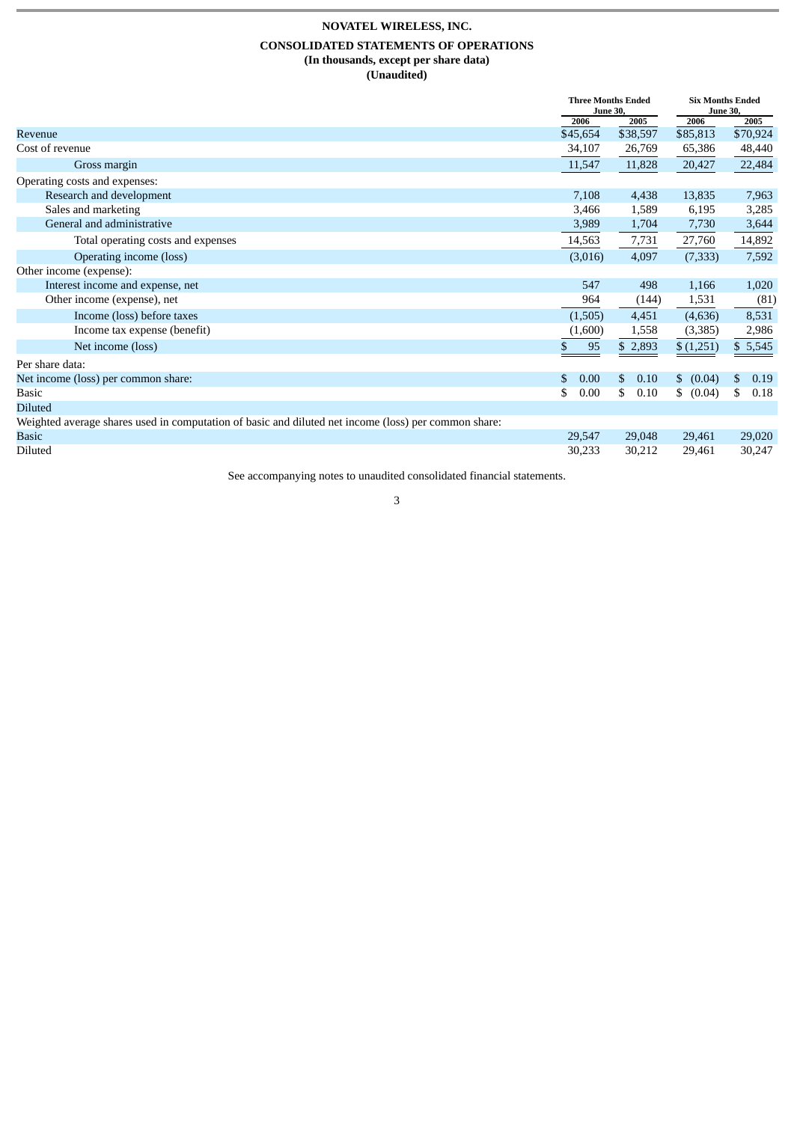# **NOVATEL WIRELESS, INC. CONSOLIDATED STATEMENTS OF OPERATIONS (In thousands, except per share data) (Unaudited)**

|                                                                                                      | <b>Three Months Ended</b><br><b>June 30.</b> |            | <b>Six Months Ended</b><br><b>June 30.</b> |            |
|------------------------------------------------------------------------------------------------------|----------------------------------------------|------------|--------------------------------------------|------------|
|                                                                                                      | 2006                                         | 2005       | 2006                                       | 2005       |
| Revenue                                                                                              | \$45,654                                     | \$38,597   | \$85,813                                   | \$70,924   |
| Cost of revenue                                                                                      | 34,107                                       | 26,769     | 65,386                                     | 48,440     |
| Gross margin                                                                                         | 11,547                                       | 11,828     | 20,427                                     | 22,484     |
| Operating costs and expenses:                                                                        |                                              |            |                                            |            |
| Research and development                                                                             | 7,108                                        | 4,438      | 13,835                                     | 7,963      |
| Sales and marketing                                                                                  | 3,466                                        | 1,589      | 6,195                                      | 3,285      |
| General and administrative                                                                           | 3,989                                        | 1,704      | 7,730                                      | 3,644      |
| Total operating costs and expenses                                                                   | 14,563                                       | 7,731      | 27,760                                     | 14,892     |
| Operating income (loss)                                                                              | (3,016)                                      | 4,097      | (7, 333)                                   | 7,592      |
| Other income (expense):                                                                              |                                              |            |                                            |            |
| Interest income and expense, net                                                                     | 547                                          | 498        | 1,166                                      | 1,020      |
| Other income (expense), net                                                                          | 964                                          | (144)      | 1,531                                      | (81)       |
| Income (loss) before taxes                                                                           | (1,505)                                      | 4,451      | (4,636)                                    | 8,531      |
| Income tax expense (benefit)                                                                         | (1,600)                                      | 1,558      | (3,385)                                    | 2,986      |
| Net income (loss)                                                                                    | 95                                           | \$ 2,893   | \$(1,251)                                  | \$5,545    |
| Per share data:                                                                                      |                                              |            |                                            |            |
| Net income (loss) per common share:                                                                  | \$<br>0.00                                   | \$<br>0.10 | (0.04)<br>\$                               | 0.19       |
| <b>Basic</b>                                                                                         | 0.00<br>\$                                   | \$<br>0.10 | \$<br>(0.04)                               | \$<br>0.18 |
| <b>Diluted</b>                                                                                       |                                              |            |                                            |            |
| Weighted average shares used in computation of basic and diluted net income (loss) per common share: |                                              |            |                                            |            |
| <b>Basic</b>                                                                                         | 29,547                                       | 29,048     | 29,461                                     | 29,020     |
| Diluted                                                                                              | 30,233                                       | 30.212     | 29,461                                     | 30,247     |

See accompanying notes to unaudited consolidated financial statements.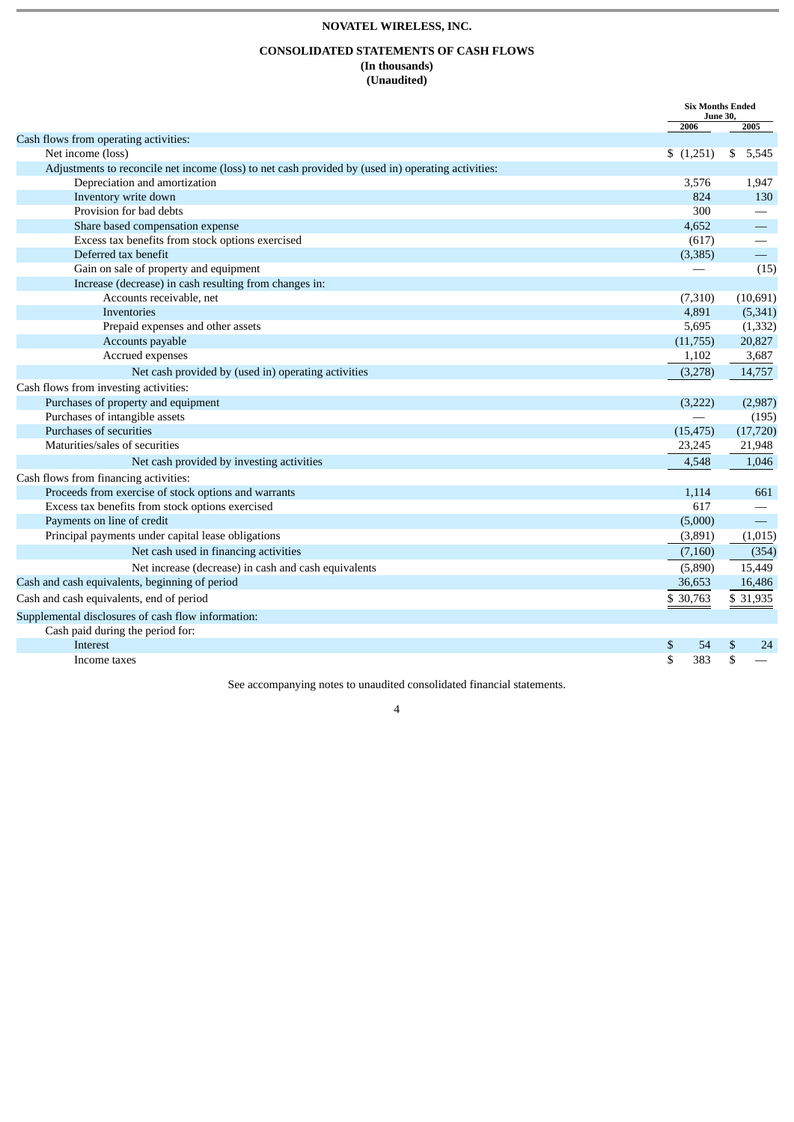# **NOVATEL WIRELESS, INC.**

# **CONSOLIDATED STATEMENTS OF CASH FLOWS**

**(In thousands) (Unaudited)**

|                                                                                                    | <b>Six Months Ended</b><br><b>June 30,</b> |               |  |
|----------------------------------------------------------------------------------------------------|--------------------------------------------|---------------|--|
|                                                                                                    | 2006                                       | 2005          |  |
| Cash flows from operating activities:                                                              |                                            |               |  |
| Net income (loss)                                                                                  | (1,251)                                    | \$<br>5,545   |  |
| Adjustments to reconcile net income (loss) to net cash provided by (used in) operating activities: |                                            |               |  |
| Depreciation and amortization                                                                      | 3,576                                      | 1,947         |  |
| Inventory write down                                                                               | 824                                        | 130           |  |
| Provision for bad debts                                                                            | 300                                        |               |  |
| Share based compensation expense                                                                   | 4,652                                      |               |  |
| Excess tax benefits from stock options exercised                                                   | (617)                                      |               |  |
| Deferred tax benefit                                                                               | (3,385)                                    | $\frac{1}{2}$ |  |
| Gain on sale of property and equipment                                                             |                                            | (15)          |  |
| Increase (decrease) in cash resulting from changes in:                                             |                                            |               |  |
| Accounts receivable, net                                                                           | (7,310)                                    | (10,691)      |  |
| <b>Inventories</b>                                                                                 | 4,891                                      | (5,341)       |  |
| Prepaid expenses and other assets                                                                  | 5,695                                      | (1, 332)      |  |
| Accounts payable                                                                                   | (11,755)                                   | 20,827        |  |
| Accrued expenses                                                                                   | 1,102                                      | 3,687         |  |
| Net cash provided by (used in) operating activities                                                | (3,278)                                    | 14,757        |  |
| Cash flows from investing activities:                                                              |                                            |               |  |
| Purchases of property and equipment                                                                | (3,222)                                    | (2,987)       |  |
| Purchases of intangible assets                                                                     |                                            | (195)         |  |
| Purchases of securities                                                                            | (15, 475)                                  | (17, 720)     |  |
| Maturities/sales of securities                                                                     | 23,245                                     | 21,948        |  |
| Net cash provided by investing activities                                                          | 4,548                                      | 1,046         |  |
| Cash flows from financing activities:                                                              |                                            |               |  |
| Proceeds from exercise of stock options and warrants                                               | 1,114                                      | 661           |  |
| Excess tax benefits from stock options exercised                                                   | 617                                        |               |  |
| Payments on line of credit                                                                         | (5,000)                                    |               |  |
| Principal payments under capital lease obligations                                                 | (3,891)                                    | (1,015)       |  |
| Net cash used in financing activities                                                              | (7, 160)                                   | (354)         |  |
| Net increase (decrease) in cash and cash equivalents                                               | (5,890)                                    | 15,449        |  |
| Cash and cash equivalents, beginning of period                                                     | 36,653                                     | 16,486        |  |
| Cash and cash equivalents, end of period                                                           | \$ 30,763                                  | \$ 31,935     |  |
| Supplemental disclosures of cash flow information:                                                 |                                            |               |  |
| Cash paid during the period for:                                                                   |                                            |               |  |
| Interest                                                                                           | 54                                         | \$<br>24      |  |
| Income taxes                                                                                       | 383<br>\$                                  | \$            |  |

See accompanying notes to unaudited consolidated financial statements.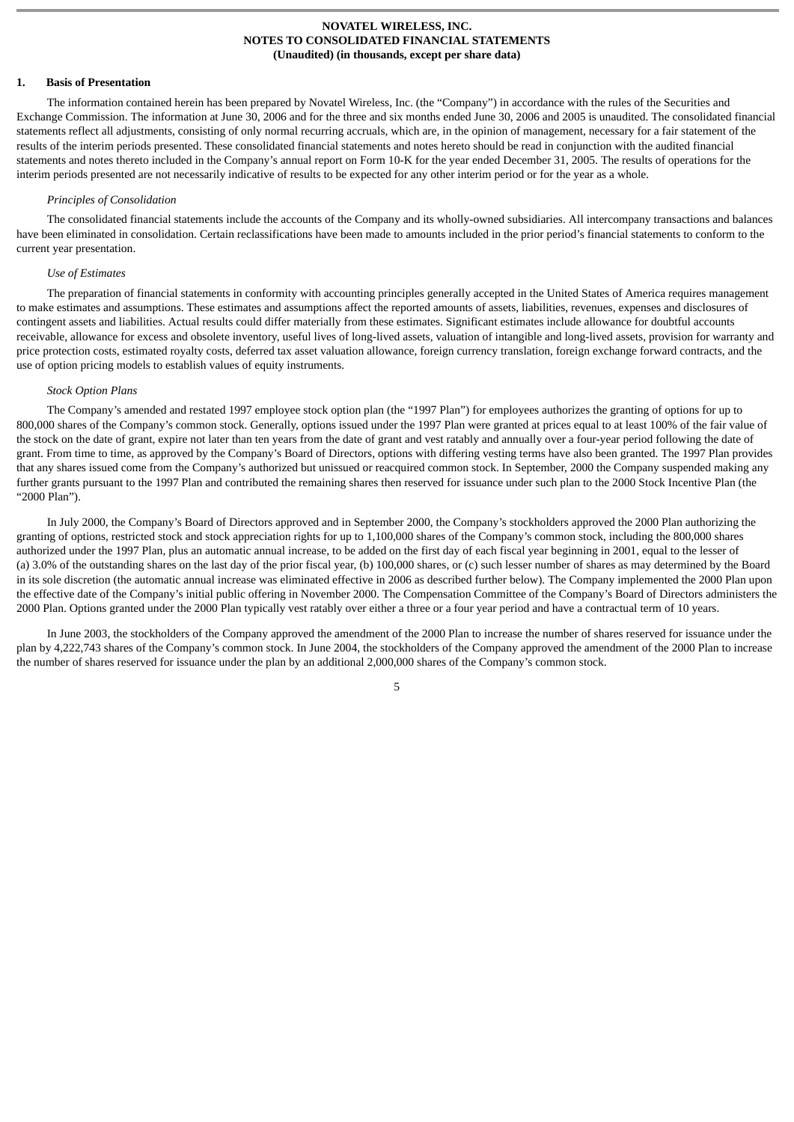# **NOVATEL WIRELESS, INC. NOTES TO CONSOLIDATED FINANCIAL STATEMENTS (Unaudited) (in thousands, except per share data)**

# **1. Basis of Presentation**

The information contained herein has been prepared by Novatel Wireless, Inc. (the "Company") in accordance with the rules of the Securities and Exchange Commission. The information at June 30, 2006 and for the three and six months ended June 30, 2006 and 2005 is unaudited. The consolidated financial statements reflect all adjustments, consisting of only normal recurring accruals, which are, in the opinion of management, necessary for a fair statement of the results of the interim periods presented. These consolidated financial statements and notes hereto should be read in conjunction with the audited financial statements and notes thereto included in the Company's annual report on Form 10-K for the year ended December 31, 2005. The results of operations for the interim periods presented are not necessarily indicative of results to be expected for any other interim period or for the year as a whole.

#### *Principles of Consolidation*

The consolidated financial statements include the accounts of the Company and its wholly-owned subsidiaries. All intercompany transactions and balances have been eliminated in consolidation. Certain reclassifications have been made to amounts included in the prior period's financial statements to conform to the current year presentation.

# *Use of Estimates*

The preparation of financial statements in conformity with accounting principles generally accepted in the United States of America requires management to make estimates and assumptions. These estimates and assumptions affect the reported amounts of assets, liabilities, revenues, expenses and disclosures of contingent assets and liabilities. Actual results could differ materially from these estimates. Significant estimates include allowance for doubtful accounts receivable, allowance for excess and obsolete inventory, useful lives of long-lived assets, valuation of intangible and long-lived assets, provision for warranty and price protection costs, estimated royalty costs, deferred tax asset valuation allowance, foreign currency translation, foreign exchange forward contracts, and the use of option pricing models to establish values of equity instruments.

#### *Stock Option Plans*

The Company's amended and restated 1997 employee stock option plan (the "1997 Plan") for employees authorizes the granting of options for up to 800,000 shares of the Company's common stock. Generally, options issued under the 1997 Plan were granted at prices equal to at least 100% of the fair value of the stock on the date of grant, expire not later than ten years from the date of grant and vest ratably and annually over a four-year period following the date of grant. From time to time, as approved by the Company's Board of Directors, options with differing vesting terms have also been granted. The 1997 Plan provides that any shares issued come from the Company's authorized but unissued or reacquired common stock. In September, 2000 the Company suspended making any further grants pursuant to the 1997 Plan and contributed the remaining shares then reserved for issuance under such plan to the 2000 Stock Incentive Plan (the "2000 Plan").

In July 2000, the Company's Board of Directors approved and in September 2000, the Company's stockholders approved the 2000 Plan authorizing the granting of options, restricted stock and stock appreciation rights for up to 1,100,000 shares of the Company's common stock, including the 800,000 shares authorized under the 1997 Plan, plus an automatic annual increase, to be added on the first day of each fiscal year beginning in 2001, equal to the lesser of (a) 3.0% of the outstanding shares on the last day of the prior fiscal year, (b) 100,000 shares, or (c) such lesser number of shares as may determined by the Board in its sole discretion (the automatic annual increase was eliminated effective in 2006 as described further below). The Company implemented the 2000 Plan upon the effective date of the Company's initial public offering in November 2000. The Compensation Committee of the Company's Board of Directors administers the 2000 Plan. Options granted under the 2000 Plan typically vest ratably over either a three or a four year period and have a contractual term of 10 years.

In June 2003, the stockholders of the Company approved the amendment of the 2000 Plan to increase the number of shares reserved for issuance under the plan by 4,222,743 shares of the Company's common stock. In June 2004, the stockholders of the Company approved the amendment of the 2000 Plan to increase the number of shares reserved for issuance under the plan by an additional 2,000,000 shares of the Company's common stock.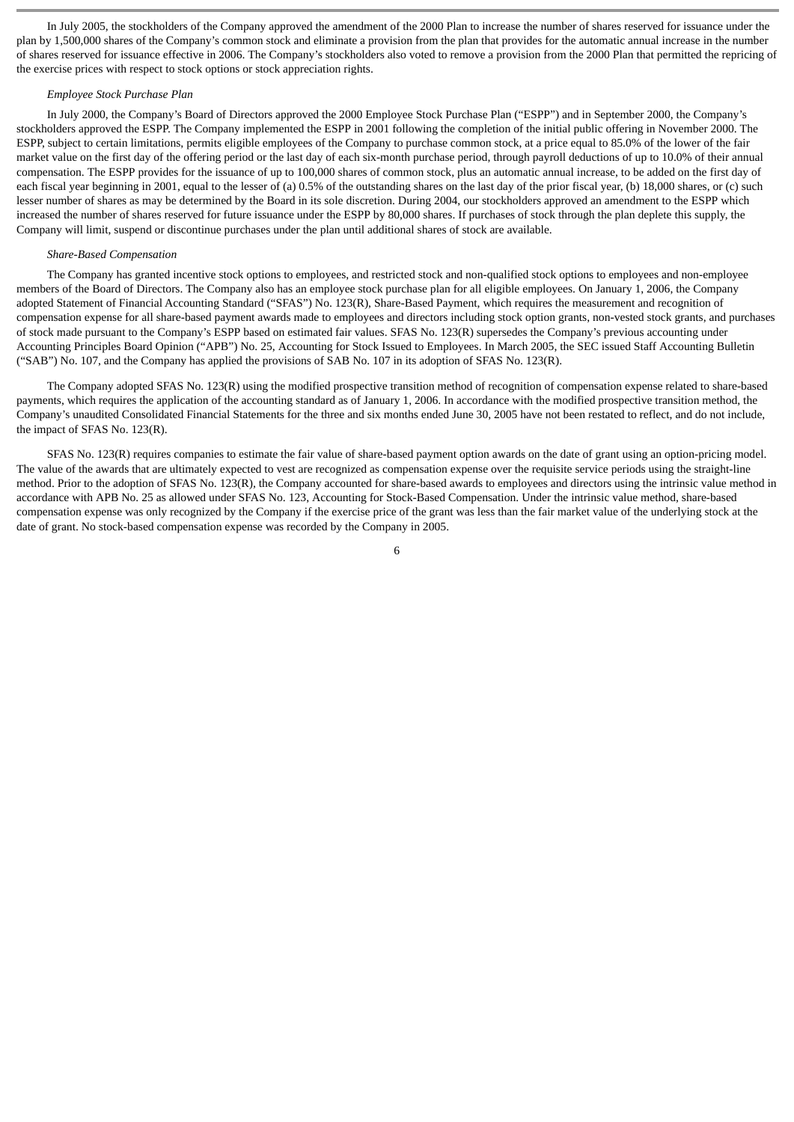In July 2005, the stockholders of the Company approved the amendment of the 2000 Plan to increase the number of shares reserved for issuance under the plan by 1,500,000 shares of the Company's common stock and eliminate a provision from the plan that provides for the automatic annual increase in the number of shares reserved for issuance effective in 2006. The Company's stockholders also voted to remove a provision from the 2000 Plan that permitted the repricing of the exercise prices with respect to stock options or stock appreciation rights.

#### *Employee Stock Purchase Plan*

In July 2000, the Company's Board of Directors approved the 2000 Employee Stock Purchase Plan ("ESPP") and in September 2000, the Company's stockholders approved the ESPP. The Company implemented the ESPP in 2001 following the completion of the initial public offering in November 2000. The ESPP, subject to certain limitations, permits eligible employees of the Company to purchase common stock, at a price equal to 85.0% of the lower of the fair market value on the first day of the offering period or the last day of each six-month purchase period, through payroll deductions of up to 10.0% of their annual compensation. The ESPP provides for the issuance of up to 100,000 shares of common stock, plus an automatic annual increase, to be added on the first day of each fiscal year beginning in 2001, equal to the lesser of (a) 0.5% of the outstanding shares on the last day of the prior fiscal year, (b) 18,000 shares, or (c) such lesser number of shares as may be determined by the Board in its sole discretion. During 2004, our stockholders approved an amendment to the ESPP which increased the number of shares reserved for future issuance under the ESPP by 80,000 shares. If purchases of stock through the plan deplete this supply, the Company will limit, suspend or discontinue purchases under the plan until additional shares of stock are available.

#### *Share-Based Compensation*

The Company has granted incentive stock options to employees, and restricted stock and non-qualified stock options to employees and non-employee members of the Board of Directors. The Company also has an employee stock purchase plan for all eligible employees. On January 1, 2006, the Company adopted Statement of Financial Accounting Standard ("SFAS") No. 123(R), Share-Based Payment, which requires the measurement and recognition of compensation expense for all share-based payment awards made to employees and directors including stock option grants, non-vested stock grants, and purchases of stock made pursuant to the Company's ESPP based on estimated fair values. SFAS No. 123(R) supersedes the Company's previous accounting under Accounting Principles Board Opinion ("APB") No. 25, Accounting for Stock Issued to Employees. In March 2005, the SEC issued Staff Accounting Bulletin ("SAB") No. 107, and the Company has applied the provisions of SAB No. 107 in its adoption of SFAS No. 123(R).

The Company adopted SFAS No. 123(R) using the modified prospective transition method of recognition of compensation expense related to share-based payments, which requires the application of the accounting standard as of January 1, 2006. In accordance with the modified prospective transition method, the Company's unaudited Consolidated Financial Statements for the three and six months ended June 30, 2005 have not been restated to reflect, and do not include, the impact of SFAS No. 123(R).

SFAS No. 123(R) requires companies to estimate the fair value of share-based payment option awards on the date of grant using an option-pricing model. The value of the awards that are ultimately expected to vest are recognized as compensation expense over the requisite service periods using the straight-line method. Prior to the adoption of SFAS No. 123(R), the Company accounted for share-based awards to employees and directors using the intrinsic value method in accordance with APB No. 25 as allowed under SFAS No. 123, Accounting for Stock-Based Compensation. Under the intrinsic value method, share-based compensation expense was only recognized by the Company if the exercise price of the grant was less than the fair market value of the underlying stock at the date of grant. No stock-based compensation expense was recorded by the Company in 2005.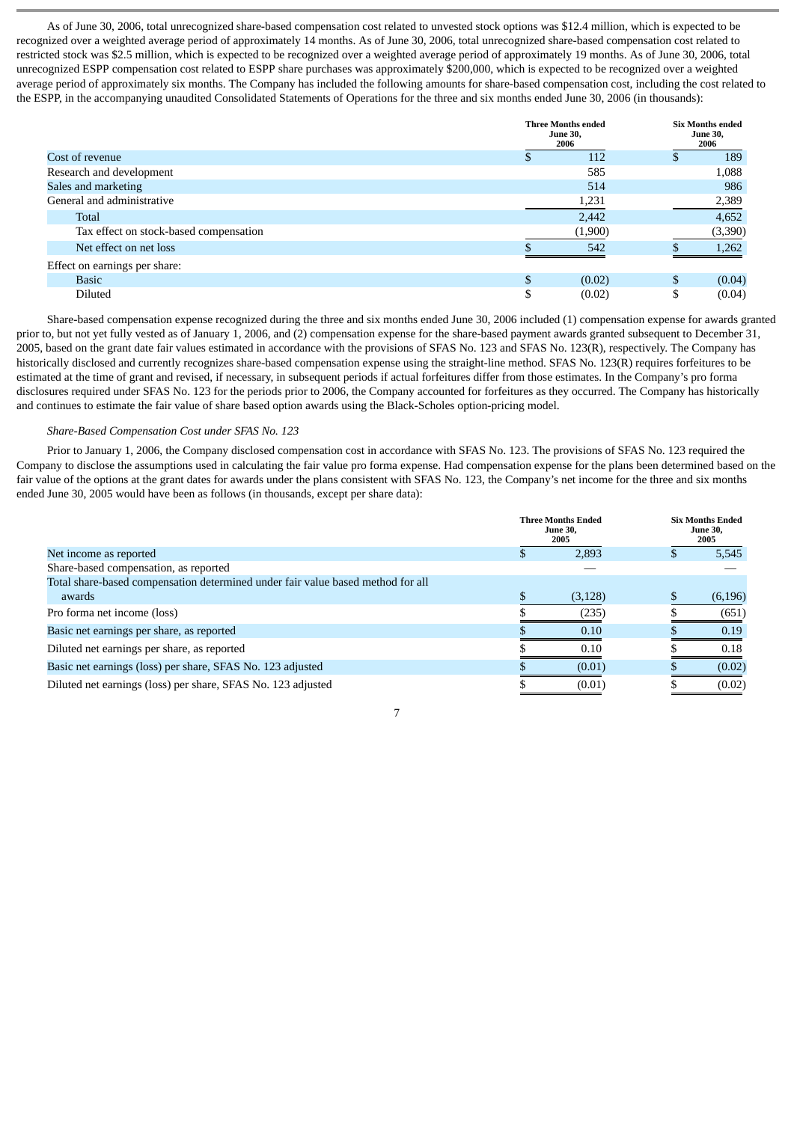As of June 30, 2006, total unrecognized share-based compensation cost related to unvested stock options was \$12.4 million, which is expected to be recognized over a weighted average period of approximately 14 months. As of June 30, 2006, total unrecognized share-based compensation cost related to restricted stock was \$2.5 million, which is expected to be recognized over a weighted average period of approximately 19 months. As of June 30, 2006, total unrecognized ESPP compensation cost related to ESPP share purchases was approximately \$200,000, which is expected to be recognized over a weighted average period of approximately six months. The Company has included the following amounts for share-based compensation cost, including the cost related to the ESPP, in the accompanying unaudited Consolidated Statements of Operations for the three and six months ended June 30, 2006 (in thousands):

|                                        | <b>Three Months ended</b><br><b>June 30,</b><br>2006 |         | <b>Six Months ended</b><br><b>June 30,</b><br>2006 |  |
|----------------------------------------|------------------------------------------------------|---------|----------------------------------------------------|--|
| Cost of revenue                        | J.                                                   | 112     | 189                                                |  |
| Research and development               |                                                      | 585     | 1,088                                              |  |
| Sales and marketing                    |                                                      | 514     | 986                                                |  |
| General and administrative             |                                                      | 1,231   | 2,389                                              |  |
| <b>Total</b>                           |                                                      | 2,442   | 4,652                                              |  |
| Tax effect on stock-based compensation |                                                      | (1,900) | (3,390)                                            |  |
| Net effect on net loss                 |                                                      | 542     | 1,262                                              |  |
| Effect on earnings per share:          |                                                      |         |                                                    |  |
| <b>Basic</b>                           | \$                                                   | (0.02)  | \$<br>(0.04)                                       |  |
| Diluted                                | \$                                                   | (0.02)  | (0.04)                                             |  |

Share-based compensation expense recognized during the three and six months ended June 30, 2006 included (1) compensation expense for awards granted prior to, but not yet fully vested as of January 1, 2006, and (2) compensation expense for the share-based payment awards granted subsequent to December 31, 2005, based on the grant date fair values estimated in accordance with the provisions of SFAS No. 123 and SFAS No. 123(R), respectively. The Company has historically disclosed and currently recognizes share-based compensation expense using the straight-line method. SFAS No. 123(R) requires forfeitures to be estimated at the time of grant and revised, if necessary, in subsequent periods if actual forfeitures differ from those estimates. In the Company's pro forma disclosures required under SFAS No. 123 for the periods prior to 2006, the Company accounted for forfeitures as they occurred. The Company has historically and continues to estimate the fair value of share based option awards using the Black-Scholes option-pricing model.

# *Share-Based Compensation Cost under SFAS No. 123*

Prior to January 1, 2006, the Company disclosed compensation cost in accordance with SFAS No. 123. The provisions of SFAS No. 123 required the Company to disclose the assumptions used in calculating the fair value pro forma expense. Had compensation expense for the plans been determined based on the fair value of the options at the grant dates for awards under the plans consistent with SFAS No. 123, the Company's net income for the three and six months ended June 30, 2005 would have been as follows (in thousands, except per share data):

|                                                                                 | <b>Three Months Ended</b><br><b>June 30,</b><br>2005 |          | <b>Six Months Ended</b><br><b>June 30.</b><br>2005 |
|---------------------------------------------------------------------------------|------------------------------------------------------|----------|----------------------------------------------------|
| Net income as reported                                                          |                                                      | 2,893    | 5,545                                              |
| Share-based compensation, as reported                                           |                                                      |          |                                                    |
| Total share-based compensation determined under fair value based method for all |                                                      |          |                                                    |
| awards                                                                          |                                                      | (3, 128) | (6, 196)                                           |
| Pro forma net income (loss)                                                     |                                                      | (235)    | (651)                                              |
| Basic net earnings per share, as reported                                       |                                                      | 0.10     | 0.19                                               |
| Diluted net earnings per share, as reported                                     |                                                      | 0.10     | 0.18                                               |
| Basic net earnings (loss) per share, SFAS No. 123 adjusted                      |                                                      | (0.01)   | (0.02)                                             |
| Diluted net earnings (loss) per share, SFAS No. 123 adjusted                    |                                                      | (0.01)   | (0.02)                                             |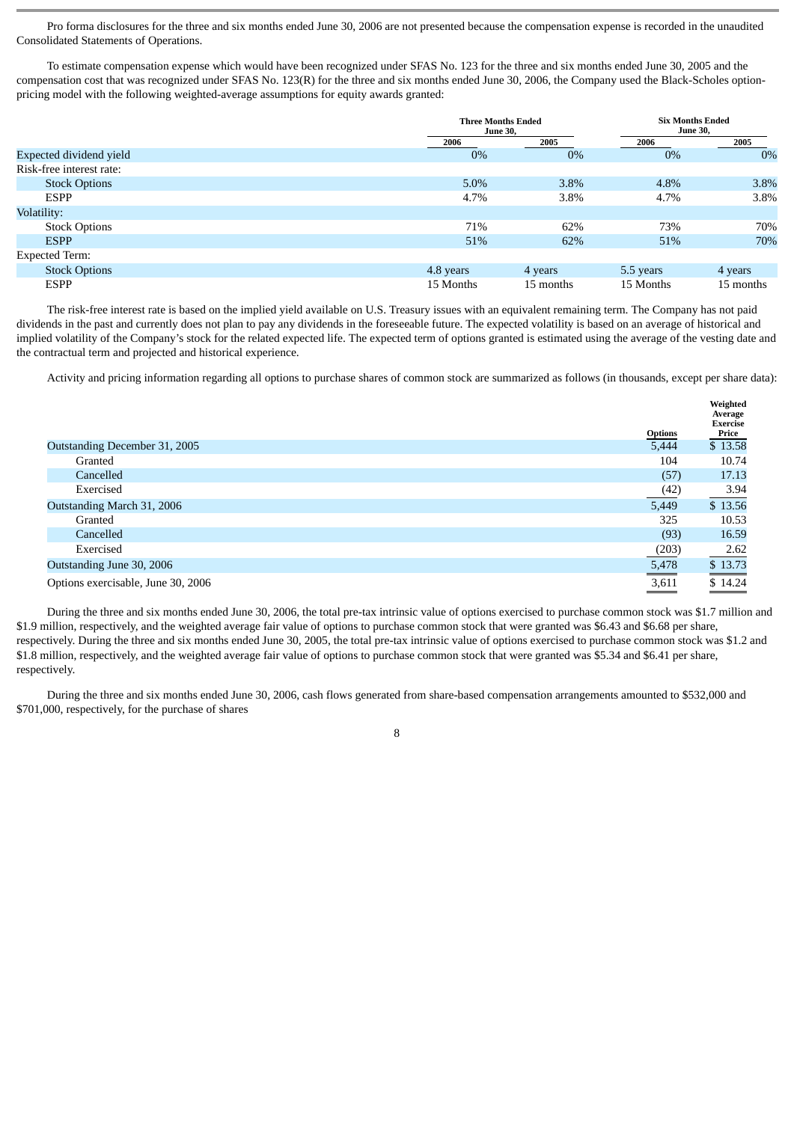Pro forma disclosures for the three and six months ended June 30, 2006 are not presented because the compensation expense is recorded in the unaudited Consolidated Statements of Operations.

To estimate compensation expense which would have been recognized under SFAS No. 123 for the three and six months ended June 30, 2005 and the compensation cost that was recognized under SFAS No. 123(R) for the three and six months ended June 30, 2006, the Company used the Black-Scholes optionpricing model with the following weighted-average assumptions for equity awards granted:

|                          |           | <b>Three Months Ended</b><br><b>June 30,</b> |           | <b>Six Months Ended</b><br><b>June 30,</b> |
|--------------------------|-----------|----------------------------------------------|-----------|--------------------------------------------|
|                          | 2006      | 2005                                         | 2006      | 2005                                       |
| Expected dividend yield  | $0\%$     | 0%                                           | 0%        | 0%                                         |
| Risk-free interest rate: |           |                                              |           |                                            |
| <b>Stock Options</b>     | 5.0%      | 3.8%                                         | 4.8%      | 3.8%                                       |
| <b>ESPP</b>              | 4.7%      | 3.8%                                         | 4.7%      | 3.8%                                       |
| Volatility:              |           |                                              |           |                                            |
| <b>Stock Options</b>     | 71%       | 62%                                          | 73%       | 70%                                        |
| <b>ESPP</b>              | 51%       | 62%                                          | 51%       | 70%                                        |
| <b>Expected Term:</b>    |           |                                              |           |                                            |
| <b>Stock Options</b>     | 4.8 years | 4 years                                      | 5.5 years | 4 years                                    |
| <b>ESPP</b>              | 15 Months | 15 months                                    | 15 Months | 15 months                                  |

The risk-free interest rate is based on the implied yield available on U.S. Treasury issues with an equivalent remaining term. The Company has not paid dividends in the past and currently does not plan to pay any dividends in the foreseeable future. The expected volatility is based on an average of historical and implied volatility of the Company's stock for the related expected life. The expected term of options granted is estimated using the average of the vesting date and the contractual term and projected and historical experience.

Activity and pricing information regarding all options to purchase shares of common stock are summarized as follows (in thousands, except per share data):

|                                    | <b>Options</b> | Weighted<br>Average<br><b>Exercise</b><br>Price |
|------------------------------------|----------------|-------------------------------------------------|
| Outstanding December 31, 2005      | 5,444          | \$13.58                                         |
| Granted                            | 104            | 10.74                                           |
| Cancelled                          | (57)           | 17.13                                           |
| Exercised                          | (42)           | 3.94                                            |
| Outstanding March 31, 2006         | 5,449          | \$13.56                                         |
| Granted                            | 325            | 10.53                                           |
| Cancelled                          | (93)           | 16.59                                           |
| Exercised                          | (203)          | 2.62                                            |
| Outstanding June 30, 2006          | 5,478          | \$13.73                                         |
| Options exercisable, June 30, 2006 | 3,611          | \$14.24                                         |

During the three and six months ended June 30, 2006, the total pre-tax intrinsic value of options exercised to purchase common stock was \$1.7 million and \$1.9 million, respectively, and the weighted average fair value of options to purchase common stock that were granted was \$6.43 and \$6.68 per share, respectively. During the three and six months ended June 30, 2005, the total pre-tax intrinsic value of options exercised to purchase common stock was \$1.2 and \$1.8 million, respectively, and the weighted average fair value of options to purchase common stock that were granted was \$5.34 and \$6.41 per share, respectively.

During the three and six months ended June 30, 2006, cash flows generated from share-based compensation arrangements amounted to \$532,000 and \$701,000, respectively, for the purchase of shares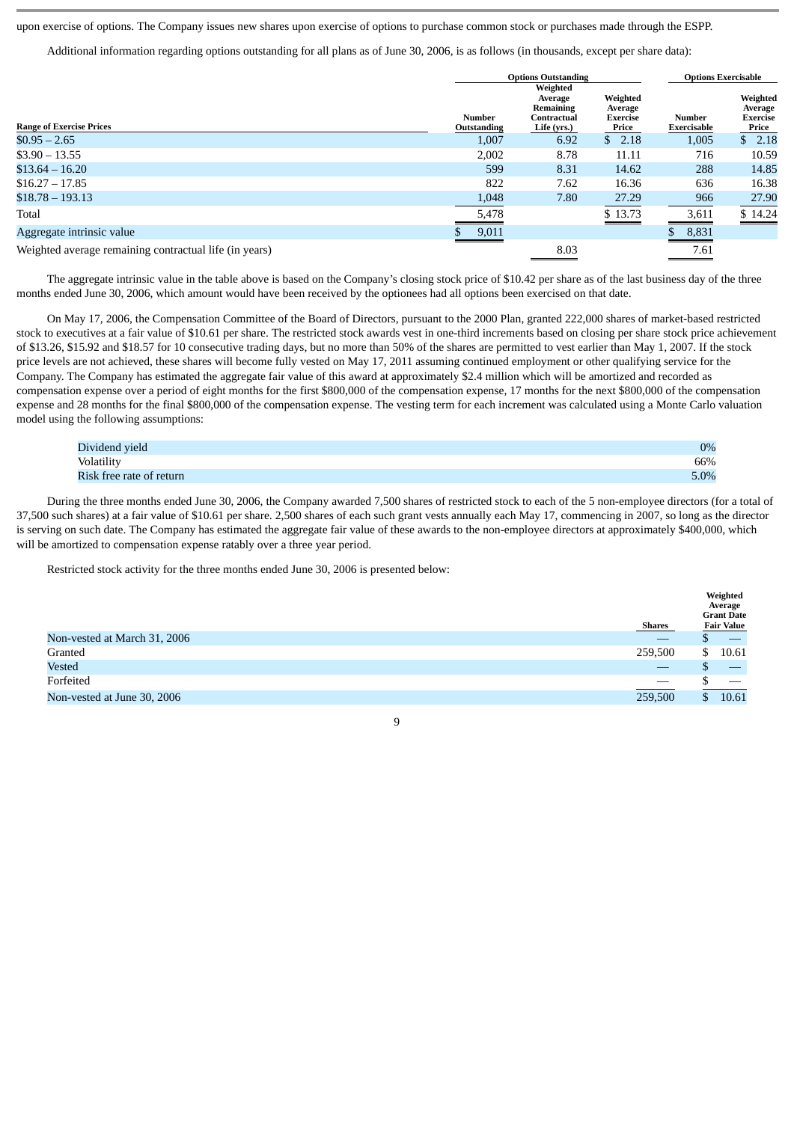upon exercise of options. The Company issues new shares upon exercise of options to purchase common stock or purchases made through the ESPP.

Additional information regarding options outstanding for all plans as of June 30, 2006, is as follows (in thousands, except per share data):

|                                                        |                       | <b>Options Outstanding</b>                                            |                                                 |                       | <b>Options Exercisable</b>               |  |  |
|--------------------------------------------------------|-----------------------|-----------------------------------------------------------------------|-------------------------------------------------|-----------------------|------------------------------------------|--|--|
| <b>Range of Exercise Prices</b>                        | Number<br>Outstanding | Weighted<br>Average<br>Remaining<br>Contractual<br>Life <u>(yrs.)</u> | Weighted<br>Average<br><b>Exercise</b><br>Price | Number<br>Exercisable | Weighted<br>Average<br>Exercise<br>Price |  |  |
| $$0.95 - 2.65$                                         | 1,007                 | 6.92                                                                  | \$2.18                                          | 1,005                 | \$2.18                                   |  |  |
| $$3.90 - 13.55$                                        | 2,002                 | 8.78                                                                  | 11.11                                           | 716                   | 10.59                                    |  |  |
| $$13.64 - 16.20$                                       | 599                   | 8.31                                                                  | 14.62                                           | 288                   | 14.85                                    |  |  |
| $$16.27 - 17.85$                                       | 822                   | 7.62                                                                  | 16.36                                           | 636                   | 16.38                                    |  |  |
| $$18.78 - 193.13$                                      | 1,048                 | 7.80                                                                  | 27.29                                           | 966                   | 27.90                                    |  |  |
| Total                                                  | 5,478                 |                                                                       | \$13.73                                         | 3,611                 | \$14.24                                  |  |  |
| Aggregate intrinsic value                              | 9,011                 |                                                                       |                                                 | 8,831                 |                                          |  |  |
| Weighted average remaining contractual life (in years) |                       | 8.03                                                                  |                                                 | 7.61                  |                                          |  |  |

The aggregate intrinsic value in the table above is based on the Company's closing stock price of \$10.42 per share as of the last business day of the three months ended June 30, 2006, which amount would have been received by the optionees had all options been exercised on that date.

On May 17, 2006, the Compensation Committee of the Board of Directors, pursuant to the 2000 Plan, granted 222,000 shares of market-based restricted stock to executives at a fair value of \$10.61 per share. The restricted stock awards vest in one-third increments based on closing per share stock price achievement of \$13.26, \$15.92 and \$18.57 for 10 consecutive trading days, but no more than 50% of the shares are permitted to vest earlier than May 1, 2007. If the stock price levels are not achieved, these shares will become fully vested on May 17, 2011 assuming continued employment or other qualifying service for the Company. The Company has estimated the aggregate fair value of this award at approximately \$2.4 million which will be amortized and recorded as compensation expense over a period of eight months for the first \$800,000 of the compensation expense, 17 months for the next \$800,000 of the compensation expense and 28 months for the final \$800,000 of the compensation expense. The vesting term for each increment was calculated using a Monte Carlo valuation model using the following assumptions:

| Dividend vield           | $0\%$ |
|--------------------------|-------|
| Volatility               | 66%   |
| Risk free rate of return | 5.0%  |

During the three months ended June 30, 2006, the Company awarded 7,500 shares of restricted stock to each of the 5 non-employee directors (for a total of 37,500 such shares) at a fair value of \$10.61 per share. 2,500 shares of each such grant vests annually each May 17, commencing in 2007, so long as the director is serving on such date. The Company has estimated the aggregate fair value of these awards to the non-employee directors at approximately \$400,000, which will be amortized to compensation expense ratably over a three year period.

Restricted stock activity for the three months ended June 30, 2006 is presented below:

|                              |                                                                | Weighted<br>Average |
|------------------------------|----------------------------------------------------------------|---------------------|
|                              |                                                                | <b>Grant Date</b>   |
|                              | <b>Shares</b>                                                  | <b>Fair Value</b>   |
| Non-vested at March 31, 2006 |                                                                |                     |
| Granted                      | 259,500                                                        | \$<br>10.61         |
| <b>Vested</b>                |                                                                |                     |
| Forfeited                    | $\hspace{0.1mm}-\hspace{0.1mm}$<br>and the control of the con- |                     |
| Non-vested at June 30, 2006  | 259,500                                                        | 10.61               |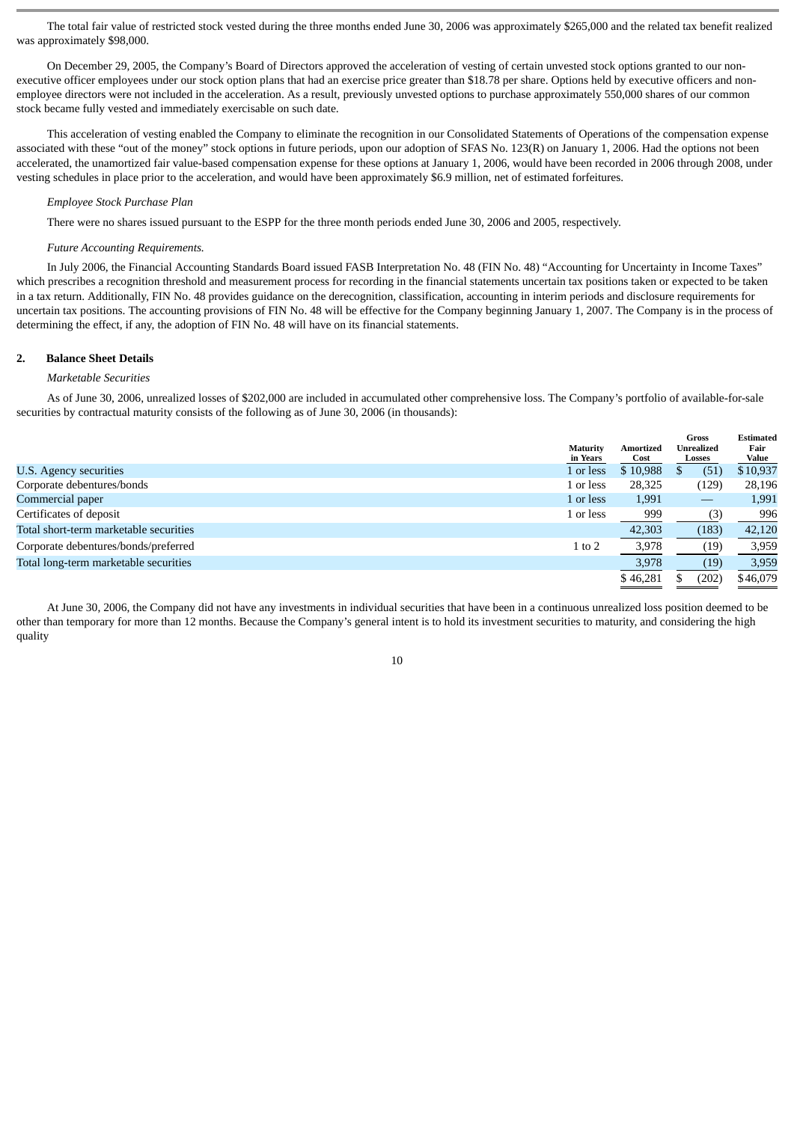The total fair value of restricted stock vested during the three months ended June 30, 2006 was approximately \$265,000 and the related tax benefit realized was approximately \$98,000.

On December 29, 2005, the Company's Board of Directors approved the acceleration of vesting of certain unvested stock options granted to our nonexecutive officer employees under our stock option plans that had an exercise price greater than \$18.78 per share. Options held by executive officers and nonemployee directors were not included in the acceleration. As a result, previously unvested options to purchase approximately 550,000 shares of our common stock became fully vested and immediately exercisable on such date.

This acceleration of vesting enabled the Company to eliminate the recognition in our Consolidated Statements of Operations of the compensation expense associated with these "out of the money" stock options in future periods, upon our adoption of SFAS No. 123(R) on January 1, 2006. Had the options not been accelerated, the unamortized fair value-based compensation expense for these options at January 1, 2006, would have been recorded in 2006 through 2008, under vesting schedules in place prior to the acceleration, and would have been approximately \$6.9 million, net of estimated forfeitures.

#### *Employee Stock Purchase Plan*

There were no shares issued pursuant to the ESPP for the three month periods ended June 30, 2006 and 2005, respectively.

#### *Future Accounting Requirements.*

In July 2006, the Financial Accounting Standards Board issued FASB Interpretation No. 48 (FIN No. 48) "Accounting for Uncertainty in Income Taxes" which prescribes a recognition threshold and measurement process for recording in the financial statements uncertain tax positions taken or expected to be taken in a tax return. Additionally, FIN No. 48 provides guidance on the derecognition, classification, accounting in interim periods and disclosure requirements for uncertain tax positions. The accounting provisions of FIN No. 48 will be effective for the Company beginning January 1, 2007. The Company is in the process of determining the effect, if any, the adoption of FIN No. 48 will have on its financial statements.

### **2. Balance Sheet Details**

# *Marketable Securities*

As of June 30, 2006, unrealized losses of \$202,000 are included in accumulated other comprehensive loss. The Company's portfolio of available-for-sale securities by contractual maturity consists of the following as of June 30, 2006 (in thousands):

|                                        |                 |           |   | Gross             | <b>Estimated</b> |
|----------------------------------------|-----------------|-----------|---|-------------------|------------------|
|                                        | <b>Maturity</b> | Amortized |   | <b>Unrealized</b> | Fair             |
|                                        | in Years        | Cost      |   | Losses            | Value            |
| U.S. Agency securities                 | 1 or less       | \$10,988  | D | (51)              | \$10,937         |
| Corporate debentures/bonds             | 1 or less       | 28,325    |   | (129)             | 28,196           |
| Commercial paper                       | 1 or less       | 1,991     |   |                   | 1,991            |
| Certificates of deposit                | 1 or less       | 999       |   | (3)               | 996              |
| Total short-term marketable securities |                 | 42,303    |   | (183)             | 42,120           |
| Corporate debentures/bonds/preferred   | $1$ to $2$      | 3,978     |   | (19)              | 3,959            |
| Total long-term marketable securities  |                 | 3,978     |   | (19)              | 3,959            |
|                                        |                 | \$46,281  |   | (202)             | \$46,079         |

At June 30, 2006, the Company did not have any investments in individual securities that have been in a continuous unrealized loss position deemed to be other than temporary for more than 12 months. Because the Company's general intent is to hold its investment securities to maturity, and considering the high quality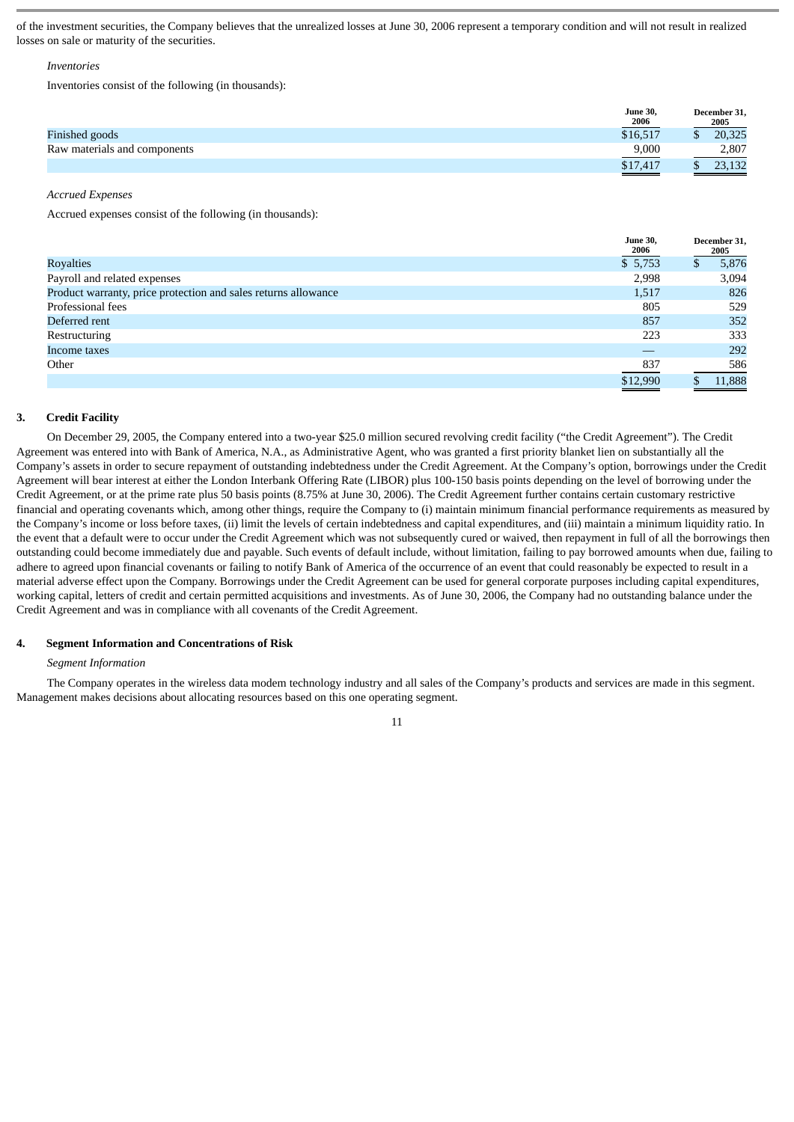of the investment securities, the Company believes that the unrealized losses at June 30, 2006 represent a temporary condition and will not result in realized losses on sale or maturity of the securities.

#### *Inventories*

Inventories consist of the following (in thousands):

|                              | <b>June 30,</b><br>2006                    | December 31,<br>2005                              |
|------------------------------|--------------------------------------------|---------------------------------------------------|
| <b>Finished goods</b>        | \$16,517                                   | 20,325                                            |
| Raw materials and components | 9,000                                      | 2,807                                             |
|                              | \$17,417                                   | 23,132                                            |
|                              | <b>Contract Contract Contract Contract</b> | <u> The Communication of the Communication of</u> |

*Accrued Expenses*

Accrued expenses consist of the following (in thousands):

| <b>June 30,</b><br>2006 | December 31,<br>2005 |
|-------------------------|----------------------|
| \$5,753                 | 5,876                |
| 2,998                   | 3,094                |
| 1,517                   | 826                  |
| 805                     | 529                  |
| 857                     | 352                  |
| 223                     | 333                  |
| __                      | 292                  |
| 837                     | 586                  |
| \$12,990                | 11,888               |
|                         |                      |

# **3. Credit Facility**

On December 29, 2005, the Company entered into a two-year \$25.0 million secured revolving credit facility ("the Credit Agreement"). The Credit Agreement was entered into with Bank of America, N.A., as Administrative Agent, who was granted a first priority blanket lien on substantially all the Company's assets in order to secure repayment of outstanding indebtedness under the Credit Agreement. At the Company's option, borrowings under the Credit Agreement will bear interest at either the London Interbank Offering Rate (LIBOR) plus 100-150 basis points depending on the level of borrowing under the Credit Agreement, or at the prime rate plus 50 basis points (8.75% at June 30, 2006). The Credit Agreement further contains certain customary restrictive financial and operating covenants which, among other things, require the Company to (i) maintain minimum financial performance requirements as measured by the Company's income or loss before taxes, (ii) limit the levels of certain indebtedness and capital expenditures, and (iii) maintain a minimum liquidity ratio. In the event that a default were to occur under the Credit Agreement which was not subsequently cured or waived, then repayment in full of all the borrowings then outstanding could become immediately due and payable. Such events of default include, without limitation, failing to pay borrowed amounts when due, failing to adhere to agreed upon financial covenants or failing to notify Bank of America of the occurrence of an event that could reasonably be expected to result in a material adverse effect upon the Company. Borrowings under the Credit Agreement can be used for general corporate purposes including capital expenditures, working capital, letters of credit and certain permitted acquisitions and investments. As of June 30, 2006, the Company had no outstanding balance under the Credit Agreement and was in compliance with all covenants of the Credit Agreement.

#### **4. Segment Information and Concentrations of Risk**

#### *Segment Information*

The Company operates in the wireless data modem technology industry and all sales of the Company's products and services are made in this segment. Management makes decisions about allocating resources based on this one operating segment.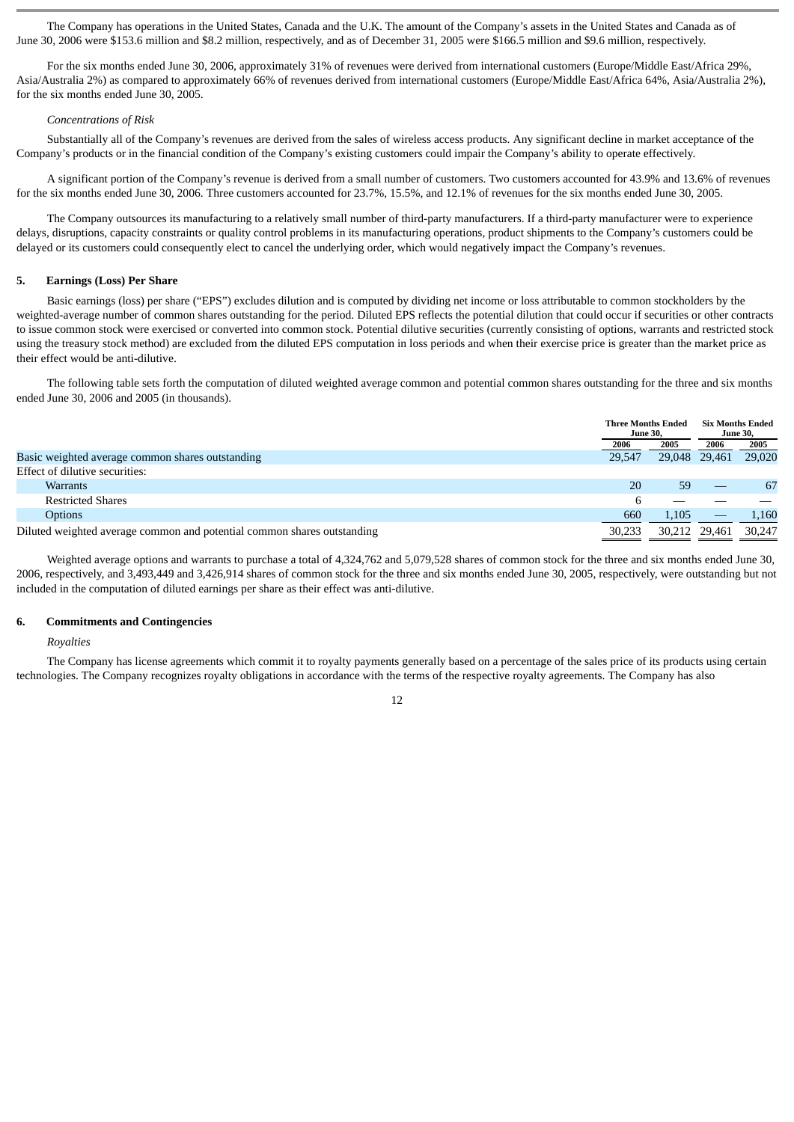The Company has operations in the United States, Canada and the U.K. The amount of the Company's assets in the United States and Canada as of June 30, 2006 were \$153.6 million and \$8.2 million, respectively, and as of December 31, 2005 were \$166.5 million and \$9.6 million, respectively.

For the six months ended June 30, 2006, approximately 31% of revenues were derived from international customers (Europe/Middle East/Africa 29%, Asia/Australia 2%) as compared to approximately 66% of revenues derived from international customers (Europe/Middle East/Africa 64%, Asia/Australia 2%), for the six months ended June 30, 2005.

#### *Concentrations of Risk*

Substantially all of the Company's revenues are derived from the sales of wireless access products. Any significant decline in market acceptance of the Company's products or in the financial condition of the Company's existing customers could impair the Company's ability to operate effectively.

A significant portion of the Company's revenue is derived from a small number of customers. Two customers accounted for 43.9% and 13.6% of revenues for the six months ended June 30, 2006. Three customers accounted for 23.7%, 15.5%, and 12.1% of revenues for the six months ended June 30, 2005.

The Company outsources its manufacturing to a relatively small number of third-party manufacturers. If a third-party manufacturer were to experience delays, disruptions, capacity constraints or quality control problems in its manufacturing operations, product shipments to the Company's customers could be delayed or its customers could consequently elect to cancel the underlying order, which would negatively impact the Company's revenues.

#### **5. Earnings (Loss) Per Share**

Basic earnings (loss) per share ("EPS") excludes dilution and is computed by dividing net income or loss attributable to common stockholders by the weighted-average number of common shares outstanding for the period. Diluted EPS reflects the potential dilution that could occur if securities or other contracts to issue common stock were exercised or converted into common stock. Potential dilutive securities (currently consisting of options, warrants and restricted stock using the treasury stock method) are excluded from the diluted EPS computation in loss periods and when their exercise price is greater than the market price as their effect would be anti-dilutive.

The following table sets forth the computation of diluted weighted average common and potential common shares outstanding for the three and six months ended June 30, 2006 and 2005 (in thousands).

|                                                                         | <b>Three Months Ended</b><br><b>June 30,</b> |               | <b>Six Months Ended</b><br><b>June 30,</b> |        |
|-------------------------------------------------------------------------|----------------------------------------------|---------------|--------------------------------------------|--------|
|                                                                         | 2006<br>2005                                 |               | 2006                                       | 2005   |
| Basic weighted average common shares outstanding                        | 29.547                                       | 29,048 29,461 |                                            | 29,020 |
| Effect of dilutive securities:                                          |                                              |               |                                            |        |
| <b>Warrants</b>                                                         | 20                                           | 59            |                                            | 67     |
| <b>Restricted Shares</b>                                                |                                              |               |                                            |        |
| <b>Options</b>                                                          | 660                                          | 1.105         |                                            | l,160  |
| Diluted weighted average common and potential common shares outstanding | 30,233                                       | 30,212 29,461 |                                            | 30,247 |

Weighted average options and warrants to purchase a total of 4,324,762 and 5,079,528 shares of common stock for the three and six months ended June 30, 2006, respectively, and 3,493,449 and 3,426,914 shares of common stock for the three and six months ended June 30, 2005, respectively, were outstanding but not included in the computation of diluted earnings per share as their effect was anti-dilutive.

#### **6. Commitments and Contingencies**

# *Royalties*

The Company has license agreements which commit it to royalty payments generally based on a percentage of the sales price of its products using certain technologies. The Company recognizes royalty obligations in accordance with the terms of the respective royalty agreements. The Company has also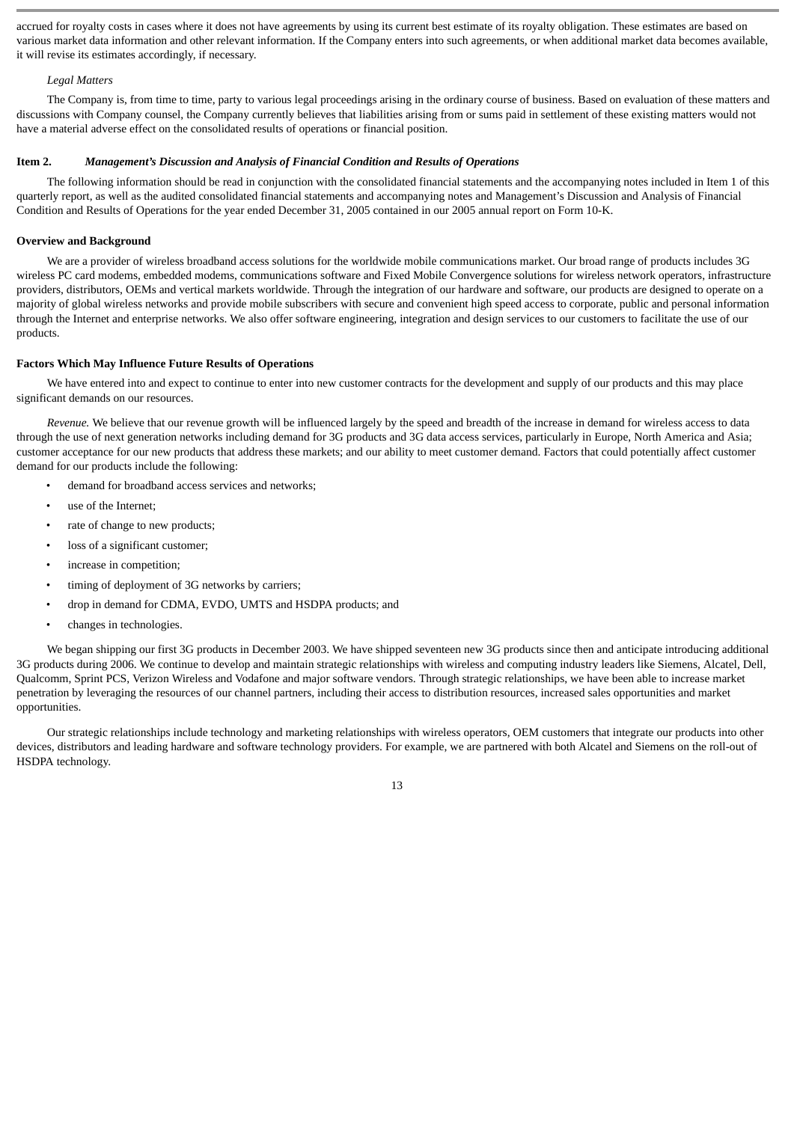accrued for royalty costs in cases where it does not have agreements by using its current best estimate of its royalty obligation. These estimates are based on various market data information and other relevant information. If the Company enters into such agreements, or when additional market data becomes available, it will revise its estimates accordingly, if necessary.

#### *Legal Matters*

The Company is, from time to time, party to various legal proceedings arising in the ordinary course of business. Based on evaluation of these matters and discussions with Company counsel, the Company currently believes that liabilities arising from or sums paid in settlement of these existing matters would not have a material adverse effect on the consolidated results of operations or financial position.

#### **Item 2.** *Management's Discussion and Analysis of Financial Condition and Results of Operations*

The following information should be read in conjunction with the consolidated financial statements and the accompanying notes included in Item 1 of this quarterly report, as well as the audited consolidated financial statements and accompanying notes and Management's Discussion and Analysis of Financial Condition and Results of Operations for the year ended December 31, 2005 contained in our 2005 annual report on Form 10-K.

#### **Overview and Background**

We are a provider of wireless broadband access solutions for the worldwide mobile communications market. Our broad range of products includes 3G wireless PC card modems, embedded modems, communications software and Fixed Mobile Convergence solutions for wireless network operators, infrastructure providers, distributors, OEMs and vertical markets worldwide. Through the integration of our hardware and software, our products are designed to operate on a majority of global wireless networks and provide mobile subscribers with secure and convenient high speed access to corporate, public and personal information through the Internet and enterprise networks. We also offer software engineering, integration and design services to our customers to facilitate the use of our products.

#### **Factors Which May Influence Future Results of Operations**

We have entered into and expect to continue to enter into new customer contracts for the development and supply of our products and this may place significant demands on our resources.

*Revenue.* We believe that our revenue growth will be influenced largely by the speed and breadth of the increase in demand for wireless access to data through the use of next generation networks including demand for 3G products and 3G data access services, particularly in Europe, North America and Asia; customer acceptance for our new products that address these markets; and our ability to meet customer demand. Factors that could potentially affect customer demand for our products include the following:

- demand for broadband access services and networks;
- use of the Internet:
- rate of change to new products;
- loss of a significant customer;
- increase in competition;
- timing of deployment of 3G networks by carriers;
- drop in demand for CDMA, EVDO, UMTS and HSDPA products; and
- changes in technologies.

We began shipping our first 3G products in December 2003. We have shipped seventeen new 3G products since then and anticipate introducing additional 3G products during 2006. We continue to develop and maintain strategic relationships with wireless and computing industry leaders like Siemens, Alcatel, Dell, Qualcomm, Sprint PCS, Verizon Wireless and Vodafone and major software vendors. Through strategic relationships, we have been able to increase market penetration by leveraging the resources of our channel partners, including their access to distribution resources, increased sales opportunities and market opportunities.

Our strategic relationships include technology and marketing relationships with wireless operators, OEM customers that integrate our products into other devices, distributors and leading hardware and software technology providers. For example, we are partnered with both Alcatel and Siemens on the roll-out of HSDPA technology.

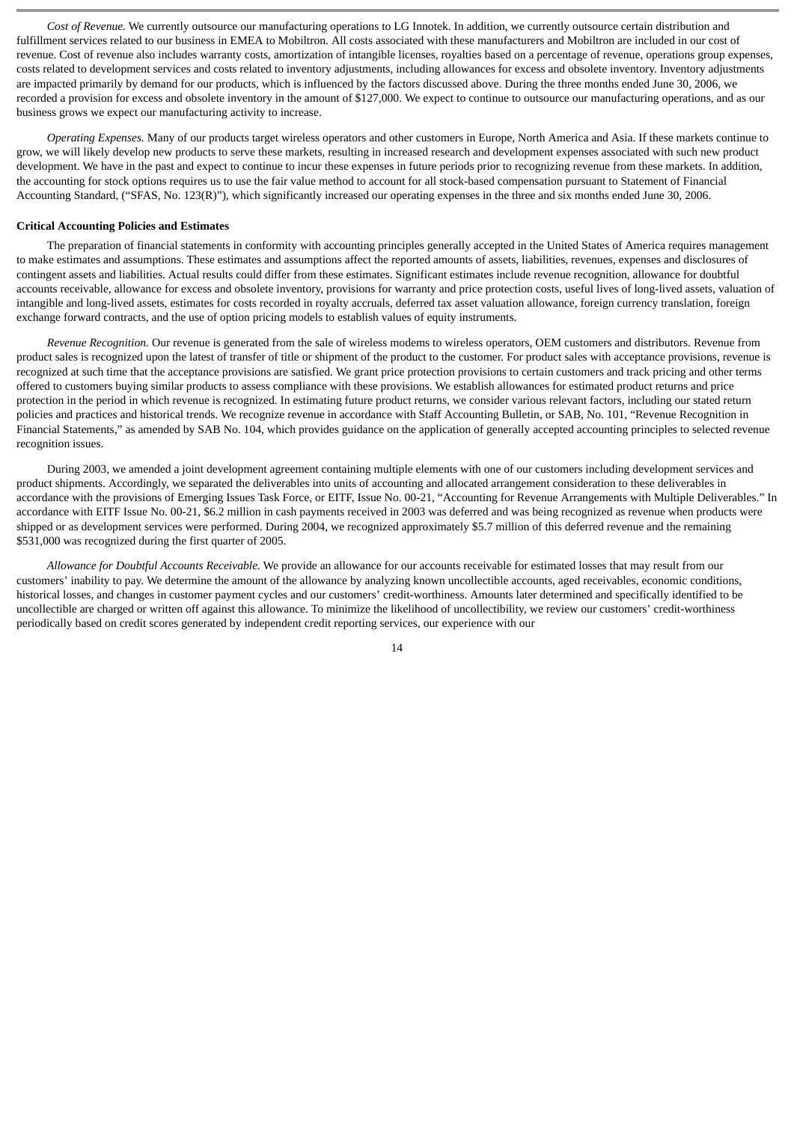*Cost of Revenue.* We currently outsource our manufacturing operations to LG Innotek. In addition, we currently outsource certain distribution and fulfillment services related to our business in EMEA to Mobiltron. All costs associated with these manufacturers and Mobiltron are included in our cost of revenue. Cost of revenue also includes warranty costs, amortization of intangible licenses, royalties based on a percentage of revenue, operations group expenses, costs related to development services and costs related to inventory adjustments, including allowances for excess and obsolete inventory. Inventory adjustments are impacted primarily by demand for our products, which is influenced by the factors discussed above. During the three months ended June 30, 2006, we recorded a provision for excess and obsolete inventory in the amount of \$127,000. We expect to continue to outsource our manufacturing operations, and as our business grows we expect our manufacturing activity to increase.

*Operating Expenses.* Many of our products target wireless operators and other customers in Europe, North America and Asia. If these markets continue to grow, we will likely develop new products to serve these markets, resulting in increased research and development expenses associated with such new product development. We have in the past and expect to continue to incur these expenses in future periods prior to recognizing revenue from these markets. In addition, the accounting for stock options requires us to use the fair value method to account for all stock-based compensation pursuant to Statement of Financial Accounting Standard, ("SFAS, No. 123(R)"), which significantly increased our operating expenses in the three and six months ended June 30, 2006.

#### **Critical Accounting Policies and Estimates**

The preparation of financial statements in conformity with accounting principles generally accepted in the United States of America requires management to make estimates and assumptions. These estimates and assumptions affect the reported amounts of assets, liabilities, revenues, expenses and disclosures of contingent assets and liabilities. Actual results could differ from these estimates. Significant estimates include revenue recognition, allowance for doubtful accounts receivable, allowance for excess and obsolete inventory, provisions for warranty and price protection costs, useful lives of long-lived assets, valuation of intangible and long-lived assets, estimates for costs recorded in royalty accruals, deferred tax asset valuation allowance, foreign currency translation, foreign exchange forward contracts, and the use of option pricing models to establish values of equity instruments.

*Revenue Recognition.* Our revenue is generated from the sale of wireless modems to wireless operators, OEM customers and distributors. Revenue from product sales is recognized upon the latest of transfer of title or shipment of the product to the customer. For product sales with acceptance provisions, revenue is recognized at such time that the acceptance provisions are satisfied. We grant price protection provisions to certain customers and track pricing and other terms offered to customers buying similar products to assess compliance with these provisions. We establish allowances for estimated product returns and price protection in the period in which revenue is recognized. In estimating future product returns, we consider various relevant factors, including our stated return policies and practices and historical trends. We recognize revenue in accordance with Staff Accounting Bulletin, or SAB, No. 101, "Revenue Recognition in Financial Statements," as amended by SAB No. 104, which provides guidance on the application of generally accepted accounting principles to selected revenue recognition issues.

During 2003, we amended a joint development agreement containing multiple elements with one of our customers including development services and product shipments. Accordingly, we separated the deliverables into units of accounting and allocated arrangement consideration to these deliverables in accordance with the provisions of Emerging Issues Task Force, or EITF, Issue No. 00-21, "Accounting for Revenue Arrangements with Multiple Deliverables." In accordance with EITF Issue No. 00-21, \$6.2 million in cash payments received in 2003 was deferred and was being recognized as revenue when products were shipped or as development services were performed. During 2004, we recognized approximately \$5.7 million of this deferred revenue and the remaining \$531,000 was recognized during the first quarter of 2005.

*Allowance for Doubtful Accounts Receivable.* We provide an allowance for our accounts receivable for estimated losses that may result from our customers' inability to pay. We determine the amount of the allowance by analyzing known uncollectible accounts, aged receivables, economic conditions, historical losses, and changes in customer payment cycles and our customers' credit-worthiness. Amounts later determined and specifically identified to be uncollectible are charged or written off against this allowance. To minimize the likelihood of uncollectibility, we review our customers' credit-worthiness periodically based on credit scores generated by independent credit reporting services, our experience with our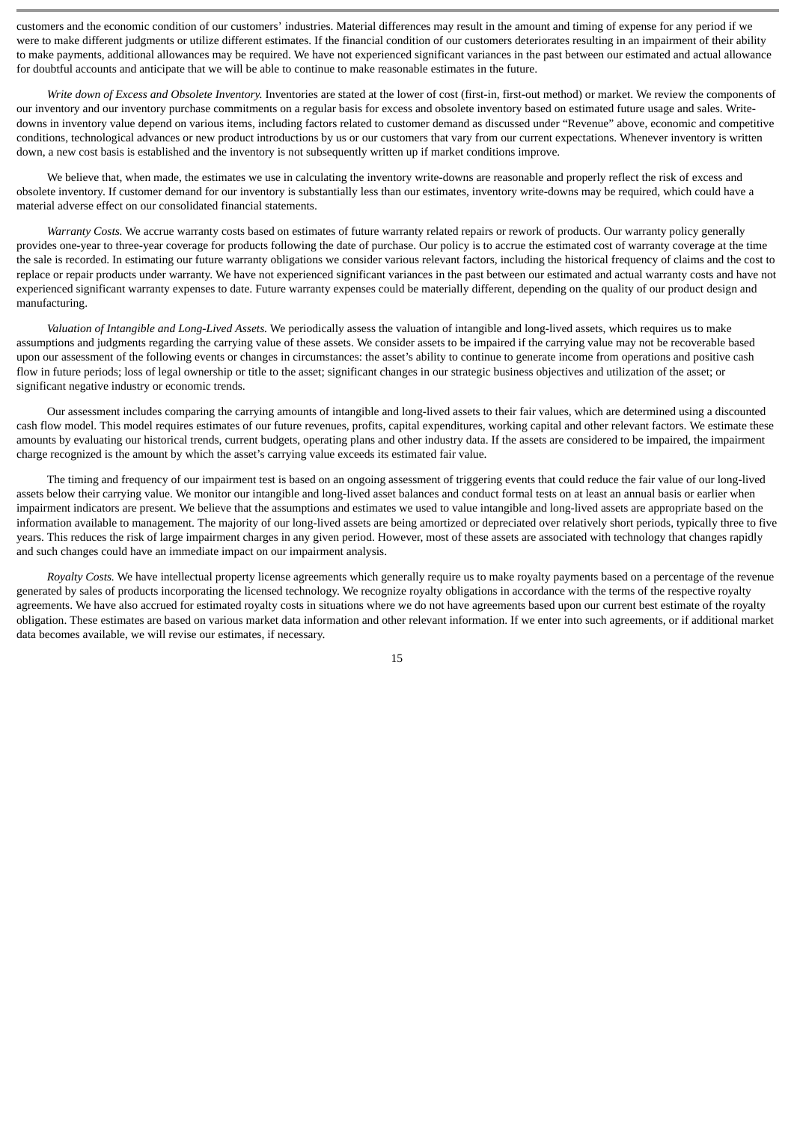customers and the economic condition of our customers' industries. Material differences may result in the amount and timing of expense for any period if we were to make different judgments or utilize different estimates. If the financial condition of our customers deteriorates resulting in an impairment of their ability to make payments, additional allowances may be required. We have not experienced significant variances in the past between our estimated and actual allowance for doubtful accounts and anticipate that we will be able to continue to make reasonable estimates in the future.

*Write down of Excess and Obsolete Inventory.* Inventories are stated at the lower of cost (first-in, first-out method) or market. We review the components of our inventory and our inventory purchase commitments on a regular basis for excess and obsolete inventory based on estimated future usage and sales. Writedowns in inventory value depend on various items, including factors related to customer demand as discussed under "Revenue" above, economic and competitive conditions, technological advances or new product introductions by us or our customers that vary from our current expectations. Whenever inventory is written down, a new cost basis is established and the inventory is not subsequently written up if market conditions improve.

We believe that, when made, the estimates we use in calculating the inventory write-downs are reasonable and properly reflect the risk of excess and obsolete inventory. If customer demand for our inventory is substantially less than our estimates, inventory write-downs may be required, which could have a material adverse effect on our consolidated financial statements.

*Warranty Costs.* We accrue warranty costs based on estimates of future warranty related repairs or rework of products. Our warranty policy generally provides one-year to three-year coverage for products following the date of purchase. Our policy is to accrue the estimated cost of warranty coverage at the time the sale is recorded. In estimating our future warranty obligations we consider various relevant factors, including the historical frequency of claims and the cost to replace or repair products under warranty. We have not experienced significant variances in the past between our estimated and actual warranty costs and have not experienced significant warranty expenses to date. Future warranty expenses could be materially different, depending on the quality of our product design and manufacturing.

*Valuation of Intangible and Long-Lived Assets.* We periodically assess the valuation of intangible and long-lived assets, which requires us to make assumptions and judgments regarding the carrying value of these assets. We consider assets to be impaired if the carrying value may not be recoverable based upon our assessment of the following events or changes in circumstances: the asset's ability to continue to generate income from operations and positive cash flow in future periods; loss of legal ownership or title to the asset; significant changes in our strategic business objectives and utilization of the asset; or significant negative industry or economic trends.

Our assessment includes comparing the carrying amounts of intangible and long-lived assets to their fair values, which are determined using a discounted cash flow model. This model requires estimates of our future revenues, profits, capital expenditures, working capital and other relevant factors. We estimate these amounts by evaluating our historical trends, current budgets, operating plans and other industry data. If the assets are considered to be impaired, the impairment charge recognized is the amount by which the asset's carrying value exceeds its estimated fair value.

The timing and frequency of our impairment test is based on an ongoing assessment of triggering events that could reduce the fair value of our long-lived assets below their carrying value. We monitor our intangible and long-lived asset balances and conduct formal tests on at least an annual basis or earlier when impairment indicators are present. We believe that the assumptions and estimates we used to value intangible and long-lived assets are appropriate based on the information available to management. The majority of our long-lived assets are being amortized or depreciated over relatively short periods, typically three to five years. This reduces the risk of large impairment charges in any given period. However, most of these assets are associated with technology that changes rapidly and such changes could have an immediate impact on our impairment analysis.

*Royalty Costs.* We have intellectual property license agreements which generally require us to make royalty payments based on a percentage of the revenue generated by sales of products incorporating the licensed technology. We recognize royalty obligations in accordance with the terms of the respective royalty agreements. We have also accrued for estimated royalty costs in situations where we do not have agreements based upon our current best estimate of the royalty obligation. These estimates are based on various market data information and other relevant information. If we enter into such agreements, or if additional market data becomes available, we will revise our estimates, if necessary.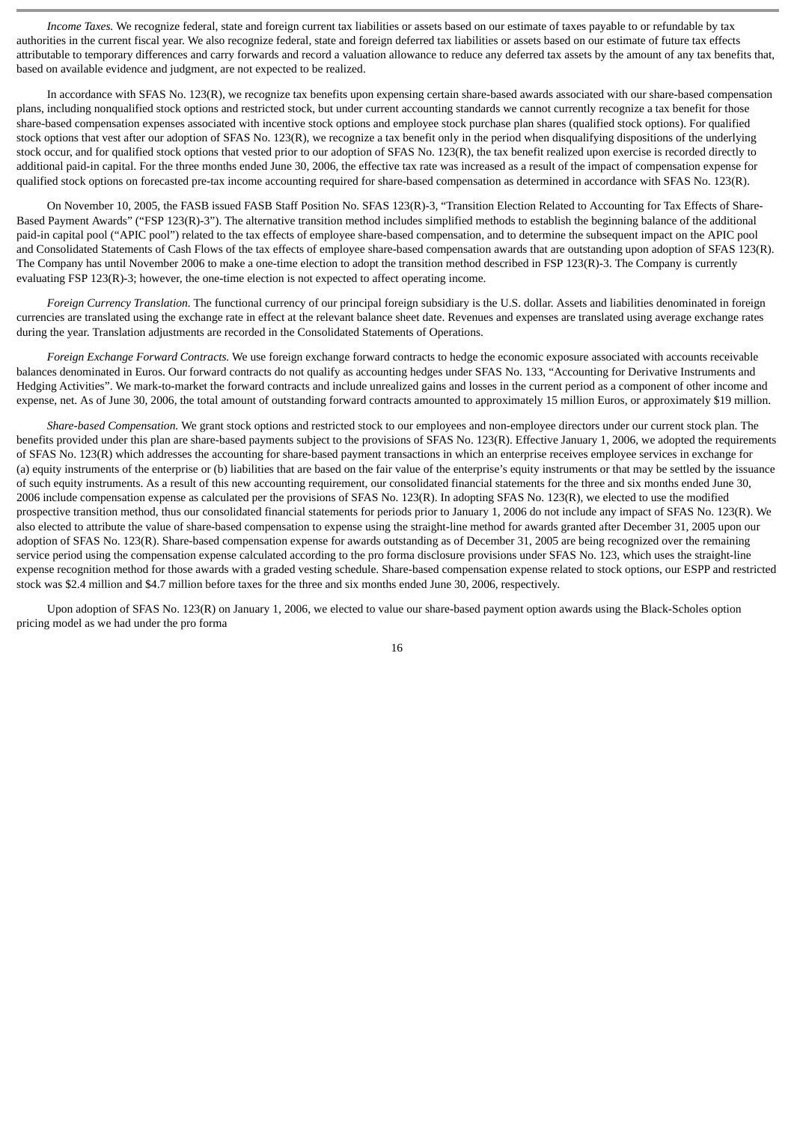*Income Taxes.* We recognize federal, state and foreign current tax liabilities or assets based on our estimate of taxes payable to or refundable by tax authorities in the current fiscal year. We also recognize federal, state and foreign deferred tax liabilities or assets based on our estimate of future tax effects attributable to temporary differences and carry forwards and record a valuation allowance to reduce any deferred tax assets by the amount of any tax benefits that, based on available evidence and judgment, are not expected to be realized.

In accordance with SFAS No. 123(R), we recognize tax benefits upon expensing certain share-based awards associated with our share-based compensation plans, including nonqualified stock options and restricted stock, but under current accounting standards we cannot currently recognize a tax benefit for those share-based compensation expenses associated with incentive stock options and employee stock purchase plan shares (qualified stock options). For qualified stock options that vest after our adoption of SFAS No. 123(R), we recognize a tax benefit only in the period when disqualifying dispositions of the underlying stock occur, and for qualified stock options that vested prior to our adoption of SFAS No. 123(R), the tax benefit realized upon exercise is recorded directly to additional paid-in capital. For the three months ended June 30, 2006, the effective tax rate was increased as a result of the impact of compensation expense for qualified stock options on forecasted pre-tax income accounting required for share-based compensation as determined in accordance with SFAS No. 123(R).

On November 10, 2005, the FASB issued FASB Staff Position No. SFAS 123(R)-3, "Transition Election Related to Accounting for Tax Effects of Share-Based Payment Awards" ("FSP 123(R)-3"). The alternative transition method includes simplified methods to establish the beginning balance of the additional paid-in capital pool ("APIC pool") related to the tax effects of employee share-based compensation, and to determine the subsequent impact on the APIC pool and Consolidated Statements of Cash Flows of the tax effects of employee share-based compensation awards that are outstanding upon adoption of SFAS 123(R). The Company has until November 2006 to make a one-time election to adopt the transition method described in FSP 123(R)-3. The Company is currently evaluating FSP 123(R)-3; however, the one-time election is not expected to affect operating income.

*Foreign Currency Translation.* The functional currency of our principal foreign subsidiary is the U.S. dollar. Assets and liabilities denominated in foreign currencies are translated using the exchange rate in effect at the relevant balance sheet date. Revenues and expenses are translated using average exchange rates during the year. Translation adjustments are recorded in the Consolidated Statements of Operations.

*Foreign Exchange Forward Contracts.* We use foreign exchange forward contracts to hedge the economic exposure associated with accounts receivable balances denominated in Euros. Our forward contracts do not qualify as accounting hedges under SFAS No. 133, "Accounting for Derivative Instruments and Hedging Activities". We mark-to-market the forward contracts and include unrealized gains and losses in the current period as a component of other income and expense, net. As of June 30, 2006, the total amount of outstanding forward contracts amounted to approximately 15 million Euros, or approximately \$19 million.

*Share-based Compensation.* We grant stock options and restricted stock to our employees and non-employee directors under our current stock plan. The benefits provided under this plan are share-based payments subject to the provisions of SFAS No. 123(R). Effective January 1, 2006, we adopted the requirements of SFAS No. 123(R) which addresses the accounting for share-based payment transactions in which an enterprise receives employee services in exchange for (a) equity instruments of the enterprise or (b) liabilities that are based on the fair value of the enterprise's equity instruments or that may be settled by the issuance of such equity instruments. As a result of this new accounting requirement, our consolidated financial statements for the three and six months ended June 30, 2006 include compensation expense as calculated per the provisions of SFAS No. 123(R). In adopting SFAS No. 123(R), we elected to use the modified prospective transition method, thus our consolidated financial statements for periods prior to January 1, 2006 do not include any impact of SFAS No. 123(R). We also elected to attribute the value of share-based compensation to expense using the straight-line method for awards granted after December 31, 2005 upon our adoption of SFAS No. 123(R). Share-based compensation expense for awards outstanding as of December 31, 2005 are being recognized over the remaining service period using the compensation expense calculated according to the pro forma disclosure provisions under SFAS No. 123, which uses the straight-line expense recognition method for those awards with a graded vesting schedule. Share-based compensation expense related to stock options, our ESPP and restricted stock was \$2.4 million and \$4.7 million before taxes for the three and six months ended June 30, 2006, respectively.

Upon adoption of SFAS No. 123(R) on January 1, 2006, we elected to value our share-based payment option awards using the Black-Scholes option pricing model as we had under the pro forma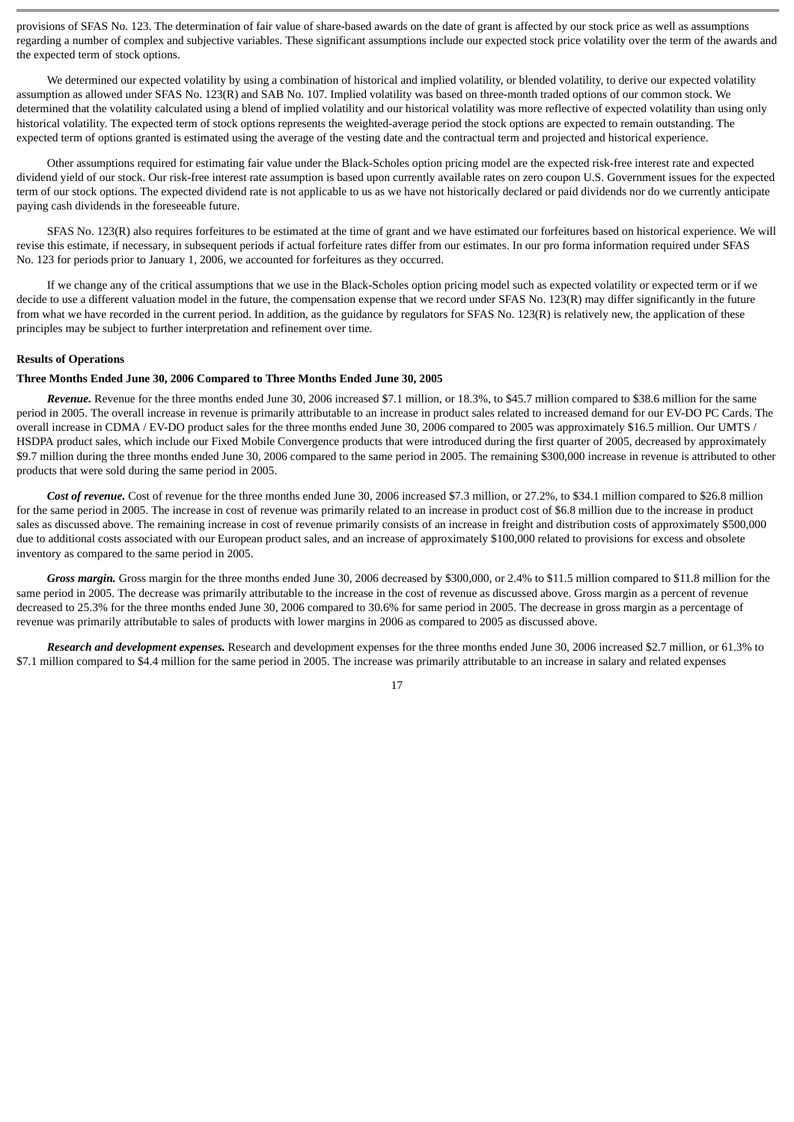provisions of SFAS No. 123. The determination of fair value of share-based awards on the date of grant is affected by our stock price as well as assumptions regarding a number of complex and subjective variables. These significant assumptions include our expected stock price volatility over the term of the awards and the expected term of stock options.

We determined our expected volatility by using a combination of historical and implied volatility, or blended volatility, to derive our expected volatility assumption as allowed under SFAS No. 123(R) and SAB No. 107. Implied volatility was based on three-month traded options of our common stock. We determined that the volatility calculated using a blend of implied volatility and our historical volatility was more reflective of expected volatility than using only historical volatility. The expected term of stock options represents the weighted-average period the stock options are expected to remain outstanding. The expected term of options granted is estimated using the average of the vesting date and the contractual term and projected and historical experience.

Other assumptions required for estimating fair value under the Black-Scholes option pricing model are the expected risk-free interest rate and expected dividend yield of our stock. Our risk-free interest rate assumption is based upon currently available rates on zero coupon U.S. Government issues for the expected term of our stock options. The expected dividend rate is not applicable to us as we have not historically declared or paid dividends nor do we currently anticipate paying cash dividends in the foreseeable future.

SFAS No. 123(R) also requires forfeitures to be estimated at the time of grant and we have estimated our forfeitures based on historical experience. We will revise this estimate, if necessary, in subsequent periods if actual forfeiture rates differ from our estimates. In our pro forma information required under SFAS No. 123 for periods prior to January 1, 2006, we accounted for forfeitures as they occurred.

If we change any of the critical assumptions that we use in the Black-Scholes option pricing model such as expected volatility or expected term or if we decide to use a different valuation model in the future, the compensation expense that we record under SFAS No. 123(R) may differ significantly in the future from what we have recorded in the current period. In addition, as the guidance by regulators for SFAS No. 123(R) is relatively new, the application of these principles may be subject to further interpretation and refinement over time.

#### **Results of Operations**

#### **Three Months Ended June 30, 2006 Compared to Three Months Ended June 30, 2005**

*Revenue.* Revenue for the three months ended June 30, 2006 increased \$7.1 million, or 18.3%, to \$45.7 million compared to \$38.6 million for the same period in 2005. The overall increase in revenue is primarily attributable to an increase in product sales related to increased demand for our EV-DO PC Cards. The overall increase in CDMA / EV-DO product sales for the three months ended June 30, 2006 compared to 2005 was approximately \$16.5 million. Our UMTS / HSDPA product sales, which include our Fixed Mobile Convergence products that were introduced during the first quarter of 2005, decreased by approximately \$9.7 million during the three months ended June 30, 2006 compared to the same period in 2005. The remaining \$300,000 increase in revenue is attributed to other products that were sold during the same period in 2005.

Cost of revenue. Cost of revenue for the three months ended June 30, 2006 increased \$7.3 million, or 27.2%, to \$34.1 million compared to \$26.8 million for the same period in 2005. The increase in cost of revenue was primarily related to an increase in product cost of \$6.8 million due to the increase in product sales as discussed above. The remaining increase in cost of revenue primarily consists of an increase in freight and distribution costs of approximately \$500,000 due to additional costs associated with our European product sales, and an increase of approximately \$100,000 related to provisions for excess and obsolete inventory as compared to the same period in 2005.

*Gross margin.* Gross margin for the three months ended June 30, 2006 decreased by \$300,000, or 2.4% to \$11.5 million compared to \$11.8 million for the same period in 2005. The decrease was primarily attributable to the increase in the cost of revenue as discussed above. Gross margin as a percent of revenue decreased to 25.3% for the three months ended June 30, 2006 compared to 30.6% for same period in 2005. The decrease in gross margin as a percentage of revenue was primarily attributable to sales of products with lower margins in 2006 as compared to 2005 as discussed above.

*Research and development expenses.* Research and development expenses for the three months ended June 30, 2006 increased \$2.7 million, or 61.3% to \$7.1 million compared to \$4.4 million for the same period in 2005. The increase was primarily attributable to an increase in salary and related expenses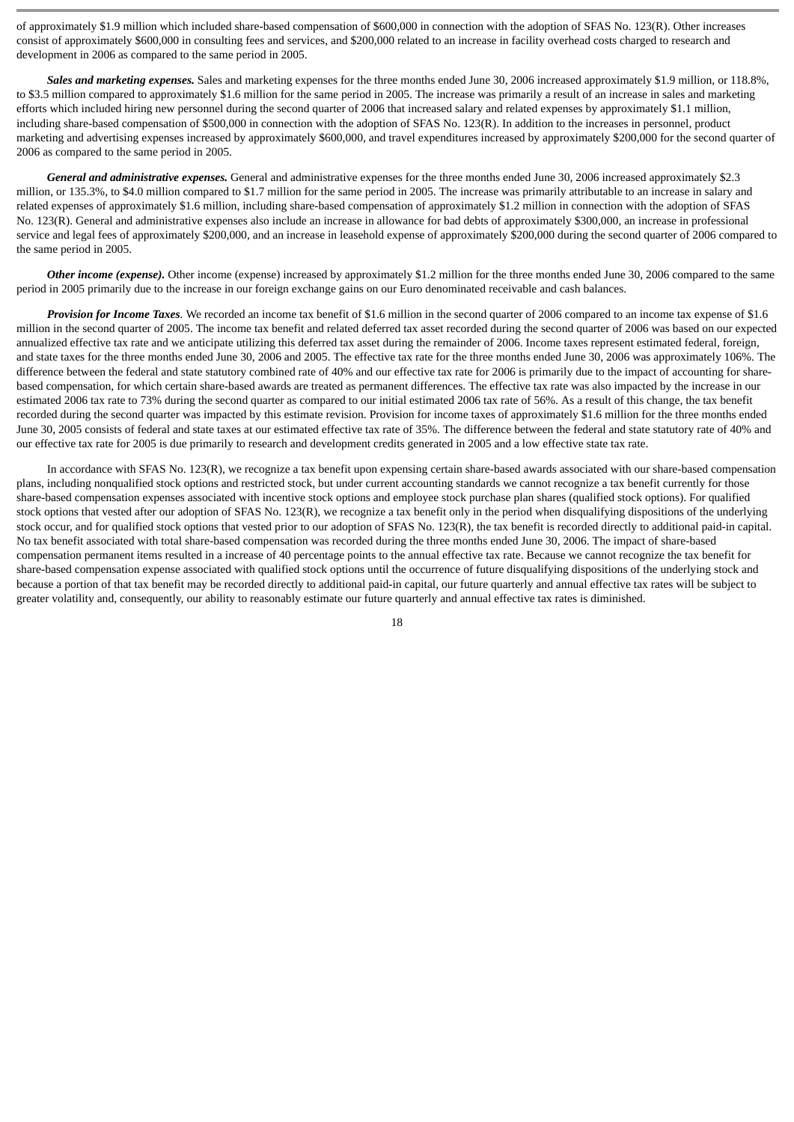of approximately \$1.9 million which included share-based compensation of \$600,000 in connection with the adoption of SFAS No. 123(R). Other increases consist of approximately \$600,000 in consulting fees and services, and \$200,000 related to an increase in facility overhead costs charged to research and development in 2006 as compared to the same period in 2005.

*Sales and marketing expenses.* Sales and marketing expenses for the three months ended June 30, 2006 increased approximately \$1.9 million, or 118.8%, to \$3.5 million compared to approximately \$1.6 million for the same period in 2005. The increase was primarily a result of an increase in sales and marketing efforts which included hiring new personnel during the second quarter of 2006 that increased salary and related expenses by approximately \$1.1 million, including share-based compensation of \$500,000 in connection with the adoption of SFAS No. 123(R). In addition to the increases in personnel, product marketing and advertising expenses increased by approximately \$600,000, and travel expenditures increased by approximately \$200,000 for the second quarter of 2006 as compared to the same period in 2005.

*General and administrative expenses.* General and administrative expenses for the three months ended June 30, 2006 increased approximately \$2.3 million, or 135.3%, to \$4.0 million compared to \$1.7 million for the same period in 2005. The increase was primarily attributable to an increase in salary and related expenses of approximately \$1.6 million, including share-based compensation of approximately \$1.2 million in connection with the adoption of SFAS No. 123(R). General and administrative expenses also include an increase in allowance for bad debts of approximately \$300,000, an increase in professional service and legal fees of approximately \$200,000, and an increase in leasehold expense of approximately \$200,000 during the second quarter of 2006 compared to the same period in 2005.

*Other income (expense).* Other income (expense) increased by approximately \$1.2 million for the three months ended June 30, 2006 compared to the same period in 2005 primarily due to the increase in our foreign exchange gains on our Euro denominated receivable and cash balances.

*Provision for Income Taxes.* We recorded an income tax benefit of \$1.6 million in the second quarter of 2006 compared to an income tax expense of \$1.6 million in the second quarter of 2005. The income tax benefit and related deferred tax asset recorded during the second quarter of 2006 was based on our expected annualized effective tax rate and we anticipate utilizing this deferred tax asset during the remainder of 2006. Income taxes represent estimated federal, foreign, and state taxes for the three months ended June 30, 2006 and 2005. The effective tax rate for the three months ended June 30, 2006 was approximately 106%. The difference between the federal and state statutory combined rate of 40% and our effective tax rate for 2006 is primarily due to the impact of accounting for sharebased compensation, for which certain share-based awards are treated as permanent differences. The effective tax rate was also impacted by the increase in our estimated 2006 tax rate to 73% during the second quarter as compared to our initial estimated 2006 tax rate of 56%. As a result of this change, the tax benefit recorded during the second quarter was impacted by this estimate revision. Provision for income taxes of approximately \$1.6 million for the three months ended June 30, 2005 consists of federal and state taxes at our estimated effective tax rate of 35%. The difference between the federal and state statutory rate of 40% and our effective tax rate for 2005 is due primarily to research and development credits generated in 2005 and a low effective state tax rate.

In accordance with SFAS No. 123(R), we recognize a tax benefit upon expensing certain share-based awards associated with our share-based compensation plans, including nonqualified stock options and restricted stock, but under current accounting standards we cannot recognize a tax benefit currently for those share-based compensation expenses associated with incentive stock options and employee stock purchase plan shares (qualified stock options). For qualified stock options that vested after our adoption of SFAS No. 123(R), we recognize a tax benefit only in the period when disqualifying dispositions of the underlying stock occur, and for qualified stock options that vested prior to our adoption of SFAS No. 123(R), the tax benefit is recorded directly to additional paid-in capital. No tax benefit associated with total share-based compensation was recorded during the three months ended June 30, 2006. The impact of share-based compensation permanent items resulted in a increase of 40 percentage points to the annual effective tax rate. Because we cannot recognize the tax benefit for share-based compensation expense associated with qualified stock options until the occurrence of future disqualifying dispositions of the underlying stock and because a portion of that tax benefit may be recorded directly to additional paid-in capital, our future quarterly and annual effective tax rates will be subject to greater volatility and, consequently, our ability to reasonably estimate our future quarterly and annual effective tax rates is diminished.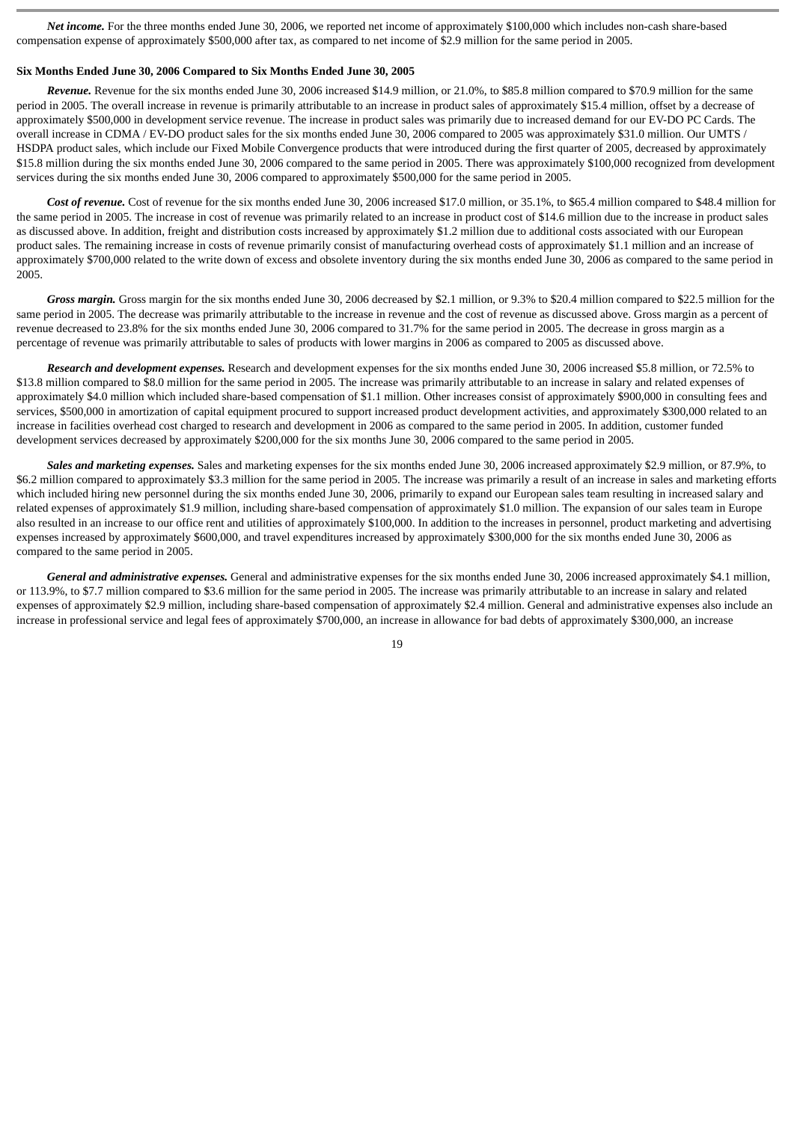*Net income.* For the three months ended June 30, 2006, we reported net income of approximately \$100,000 which includes non-cash share-based compensation expense of approximately \$500,000 after tax, as compared to net income of \$2.9 million for the same period in 2005.

# **Six Months Ended June 30, 2006 Compared to Six Months Ended June 30, 2005**

*Revenue.* Revenue for the six months ended June 30, 2006 increased \$14.9 million, or 21.0%, to \$85.8 million compared to \$70.9 million for the same period in 2005. The overall increase in revenue is primarily attributable to an increase in product sales of approximately \$15.4 million, offset by a decrease of approximately \$500,000 in development service revenue. The increase in product sales was primarily due to increased demand for our EV-DO PC Cards. The overall increase in CDMA / EV-DO product sales for the six months ended June 30, 2006 compared to 2005 was approximately \$31.0 million. Our UMTS / HSDPA product sales, which include our Fixed Mobile Convergence products that were introduced during the first quarter of 2005, decreased by approximately \$15.8 million during the six months ended June 30, 2006 compared to the same period in 2005. There was approximately \$100,000 recognized from development services during the six months ended June 30, 2006 compared to approximately \$500,000 for the same period in 2005.

*Cost of revenue.* Cost of revenue for the six months ended June 30, 2006 increased \$17.0 million, or 35.1%, to \$65.4 million compared to \$48.4 million for the same period in 2005. The increase in cost of revenue was primarily related to an increase in product cost of \$14.6 million due to the increase in product sales as discussed above. In addition, freight and distribution costs increased by approximately \$1.2 million due to additional costs associated with our European product sales. The remaining increase in costs of revenue primarily consist of manufacturing overhead costs of approximately \$1.1 million and an increase of approximately \$700,000 related to the write down of excess and obsolete inventory during the six months ended June 30, 2006 as compared to the same period in 2005.

Gross margin. Gross margin for the six months ended June 30, 2006 decreased by \$2.1 million, or 9.3% to \$20.4 million compared to \$22.5 million for the same period in 2005. The decrease was primarily attributable to the increase in revenue and the cost of revenue as discussed above. Gross margin as a percent of revenue decreased to 23.8% for the six months ended June 30, 2006 compared to 31.7% for the same period in 2005. The decrease in gross margin as a percentage of revenue was primarily attributable to sales of products with lower margins in 2006 as compared to 2005 as discussed above.

*Research and development expenses.* Research and development expenses for the six months ended June 30, 2006 increased \$5.8 million, or 72.5% to \$13.8 million compared to \$8.0 million for the same period in 2005. The increase was primarily attributable to an increase in salary and related expenses of approximately \$4.0 million which included share-based compensation of \$1.1 million. Other increases consist of approximately \$900,000 in consulting fees and services, \$500,000 in amortization of capital equipment procured to support increased product development activities, and approximately \$300,000 related to an increase in facilities overhead cost charged to research and development in 2006 as compared to the same period in 2005. In addition, customer funded development services decreased by approximately \$200,000 for the six months June 30, 2006 compared to the same period in 2005.

*Sales and marketing expenses.* Sales and marketing expenses for the six months ended June 30, 2006 increased approximately \$2.9 million, or 87.9%, to \$6.2 million compared to approximately \$3.3 million for the same period in 2005. The increase was primarily a result of an increase in sales and marketing efforts which included hiring new personnel during the six months ended June 30, 2006, primarily to expand our European sales team resulting in increased salary and related expenses of approximately \$1.9 million, including share-based compensation of approximately \$1.0 million. The expansion of our sales team in Europe also resulted in an increase to our office rent and utilities of approximately \$100,000. In addition to the increases in personnel, product marketing and advertising expenses increased by approximately \$600,000, and travel expenditures increased by approximately \$300,000 for the six months ended June 30, 2006 as compared to the same period in 2005.

*General and administrative expenses.* General and administrative expenses for the six months ended June 30, 2006 increased approximately \$4.1 million, or 113.9%, to \$7.7 million compared to \$3.6 million for the same period in 2005. The increase was primarily attributable to an increase in salary and related expenses of approximately \$2.9 million, including share-based compensation of approximately \$2.4 million. General and administrative expenses also include an increase in professional service and legal fees of approximately \$700,000, an increase in allowance for bad debts of approximately \$300,000, an increase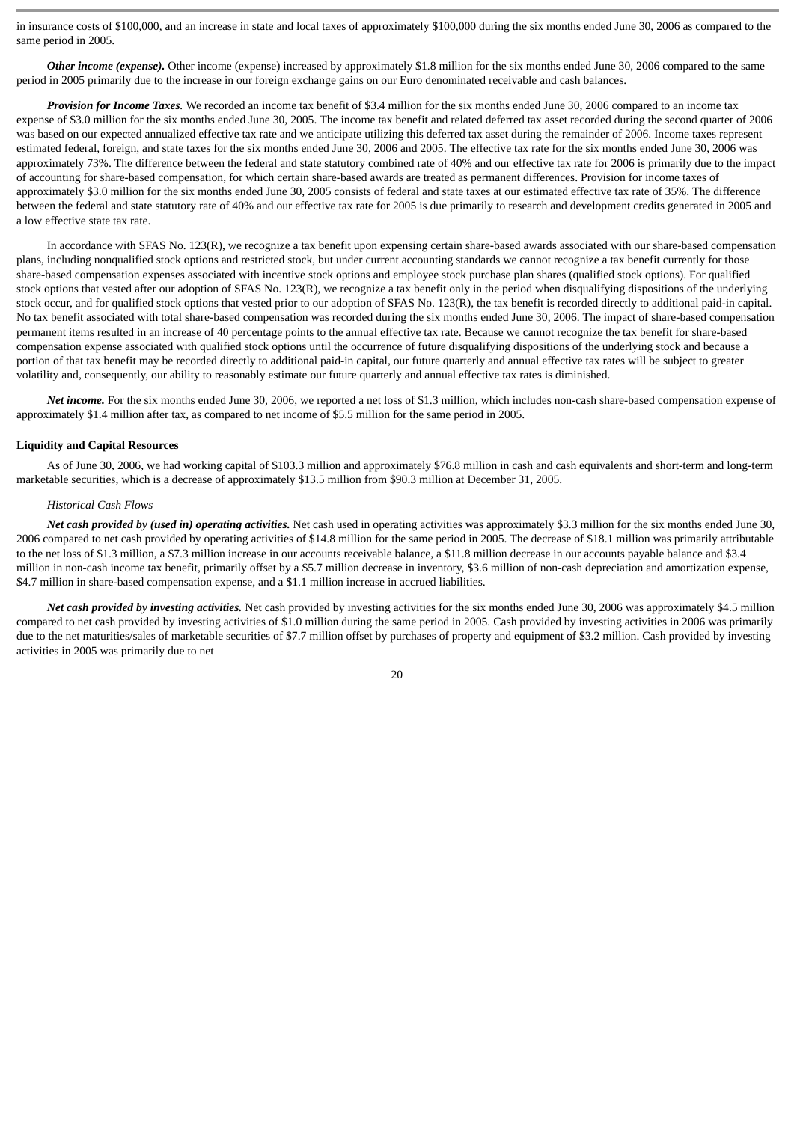in insurance costs of \$100,000, and an increase in state and local taxes of approximately \$100,000 during the six months ended June 30, 2006 as compared to the same period in 2005.

*Other income (expense).* Other income (expense) increased by approximately \$1.8 million for the six months ended June 30, 2006 compared to the same period in 2005 primarily due to the increase in our foreign exchange gains on our Euro denominated receivable and cash balances.

*Provision for Income Taxes.* We recorded an income tax benefit of \$3.4 million for the six months ended June 30, 2006 compared to an income tax expense of \$3.0 million for the six months ended June 30, 2005. The income tax benefit and related deferred tax asset recorded during the second quarter of 2006 was based on our expected annualized effective tax rate and we anticipate utilizing this deferred tax asset during the remainder of 2006. Income taxes represent estimated federal, foreign, and state taxes for the six months ended June 30, 2006 and 2005. The effective tax rate for the six months ended June 30, 2006 was approximately 73%. The difference between the federal and state statutory combined rate of 40% and our effective tax rate for 2006 is primarily due to the impact of accounting for share-based compensation, for which certain share-based awards are treated as permanent differences. Provision for income taxes of approximately \$3.0 million for the six months ended June 30, 2005 consists of federal and state taxes at our estimated effective tax rate of 35%. The difference between the federal and state statutory rate of 40% and our effective tax rate for 2005 is due primarily to research and development credits generated in 2005 and a low effective state tax rate.

In accordance with SFAS No. 123(R), we recognize a tax benefit upon expensing certain share-based awards associated with our share-based compensation plans, including nonqualified stock options and restricted stock, but under current accounting standards we cannot recognize a tax benefit currently for those share-based compensation expenses associated with incentive stock options and employee stock purchase plan shares (qualified stock options). For qualified stock options that vested after our adoption of SFAS No. 123(R), we recognize a tax benefit only in the period when disqualifying dispositions of the underlying stock occur, and for qualified stock options that vested prior to our adoption of SFAS No. 123(R), the tax benefit is recorded directly to additional paid-in capital. No tax benefit associated with total share-based compensation was recorded during the six months ended June 30, 2006. The impact of share-based compensation permanent items resulted in an increase of 40 percentage points to the annual effective tax rate. Because we cannot recognize the tax benefit for share-based compensation expense associated with qualified stock options until the occurrence of future disqualifying dispositions of the underlying stock and because a portion of that tax benefit may be recorded directly to additional paid-in capital, our future quarterly and annual effective tax rates will be subject to greater volatility and, consequently, our ability to reasonably estimate our future quarterly and annual effective tax rates is diminished.

*Net income.* For the six months ended June 30, 2006, we reported a net loss of \$1.3 million, which includes non-cash share-based compensation expense of approximately \$1.4 million after tax, as compared to net income of \$5.5 million for the same period in 2005.

### **Liquidity and Capital Resources**

As of June 30, 2006, we had working capital of \$103.3 million and approximately \$76.8 million in cash and cash equivalents and short-term and long-term marketable securities, which is a decrease of approximately \$13.5 million from \$90.3 million at December 31, 2005.

#### *Historical Cash Flows*

*Net cash provided by (used in) operating activities.* Net cash used in operating activities was approximately \$3.3 million for the six months ended June 30, 2006 compared to net cash provided by operating activities of \$14.8 million for the same period in 2005. The decrease of \$18.1 million was primarily attributable to the net loss of \$1.3 million, a \$7.3 million increase in our accounts receivable balance, a \$11.8 million decrease in our accounts payable balance and \$3.4 million in non-cash income tax benefit, primarily offset by a \$5.7 million decrease in inventory, \$3.6 million of non-cash depreciation and amortization expense, \$4.7 million in share-based compensation expense, and a \$1.1 million increase in accrued liabilities.

*Net cash provided by investing activities.* Net cash provided by investing activities for the six months ended June 30, 2006 was approximately \$4.5 million compared to net cash provided by investing activities of \$1.0 million during the same period in 2005. Cash provided by investing activities in 2006 was primarily due to the net maturities/sales of marketable securities of \$7.7 million offset by purchases of property and equipment of \$3.2 million. Cash provided by investing activities in 2005 was primarily due to net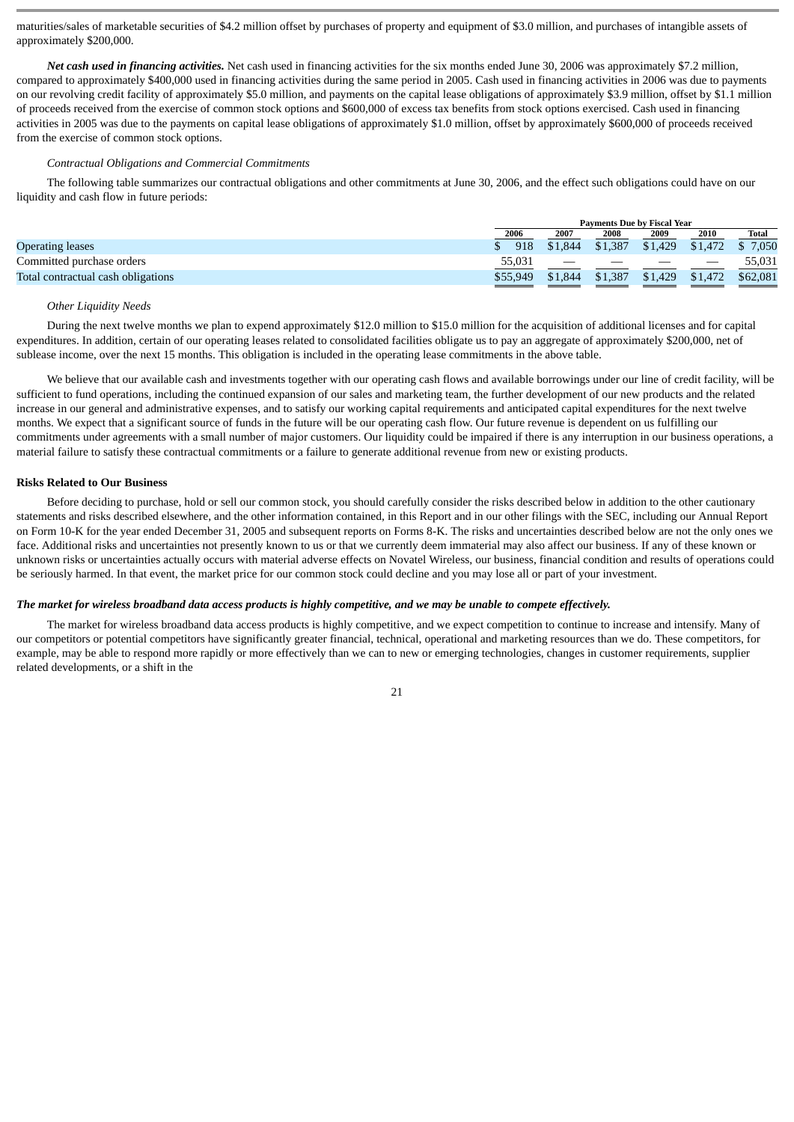maturities/sales of marketable securities of \$4.2 million offset by purchases of property and equipment of \$3.0 million, and purchases of intangible assets of approximately \$200,000.

*Net cash used in financing activities.* Net cash used in financing activities for the six months ended June 30, 2006 was approximately \$7.2 million, compared to approximately \$400,000 used in financing activities during the same period in 2005. Cash used in financing activities in 2006 was due to payments on our revolving credit facility of approximately \$5.0 million, and payments on the capital lease obligations of approximately \$3.9 million, offset by \$1.1 million of proceeds received from the exercise of common stock options and \$600,000 of excess tax benefits from stock options exercised. Cash used in financing activities in 2005 was due to the payments on capital lease obligations of approximately \$1.0 million, offset by approximately \$600,000 of proceeds received from the exercise of common stock options.

#### *Contractual Obligations and Commercial Commitments*

The following table summarizes our contractual obligations and other commitments at June 30, 2006, and the effect such obligations could have on our liquidity and cash flow in future periods:

|                                    | <b>Payments Due by Fiscal Year</b>   |         |         |         |                               |          |  |
|------------------------------------|--------------------------------------|---------|---------|---------|-------------------------------|----------|--|
|                                    | 2006<br>2010<br>2007<br>2008<br>2009 |         |         |         | <b>Total</b>                  |          |  |
| <b>Operating leases</b>            | 918                                  | .844    | \$1,387 | \$1,429 | \$1,472                       | \$7,050  |  |
| Committed purchase orders          | 55.031                               |         |         |         | $\overbrace{\phantom{aaaaa}}$ | 55,031   |  |
| Total contractual cash obligations | \$55,949                             | \$1.844 | \$1,387 | \$1,429 | \$1,472                       | \$62,081 |  |

#### *Other Liquidity Needs*

During the next twelve months we plan to expend approximately \$12.0 million to \$15.0 million for the acquisition of additional licenses and for capital expenditures. In addition, certain of our operating leases related to consolidated facilities obligate us to pay an aggregate of approximately \$200,000, net of sublease income, over the next 15 months. This obligation is included in the operating lease commitments in the above table.

We believe that our available cash and investments together with our operating cash flows and available borrowings under our line of credit facility, will be sufficient to fund operations, including the continued expansion of our sales and marketing team, the further development of our new products and the related increase in our general and administrative expenses, and to satisfy our working capital requirements and anticipated capital expenditures for the next twelve months. We expect that a significant source of funds in the future will be our operating cash flow. Our future revenue is dependent on us fulfilling our commitments under agreements with a small number of major customers. Our liquidity could be impaired if there is any interruption in our business operations, a material failure to satisfy these contractual commitments or a failure to generate additional revenue from new or existing products.

#### **Risks Related to Our Business**

Before deciding to purchase, hold or sell our common stock, you should carefully consider the risks described below in addition to the other cautionary statements and risks described elsewhere, and the other information contained, in this Report and in our other filings with the SEC, including our Annual Report on Form 10-K for the year ended December 31, 2005 and subsequent reports on Forms 8-K. The risks and uncertainties described below are not the only ones we face. Additional risks and uncertainties not presently known to us or that we currently deem immaterial may also affect our business. If any of these known or unknown risks or uncertainties actually occurs with material adverse effects on Novatel Wireless, our business, financial condition and results of operations could be seriously harmed. In that event, the market price for our common stock could decline and you may lose all or part of your investment.

#### *The market for wireless broadband data access products is highly competitive, and we may be unable to compete effectively.*

The market for wireless broadband data access products is highly competitive, and we expect competition to continue to increase and intensify. Many of our competitors or potential competitors have significantly greater financial, technical, operational and marketing resources than we do. These competitors, for example, may be able to respond more rapidly or more effectively than we can to new or emerging technologies, changes in customer requirements, supplier related developments, or a shift in the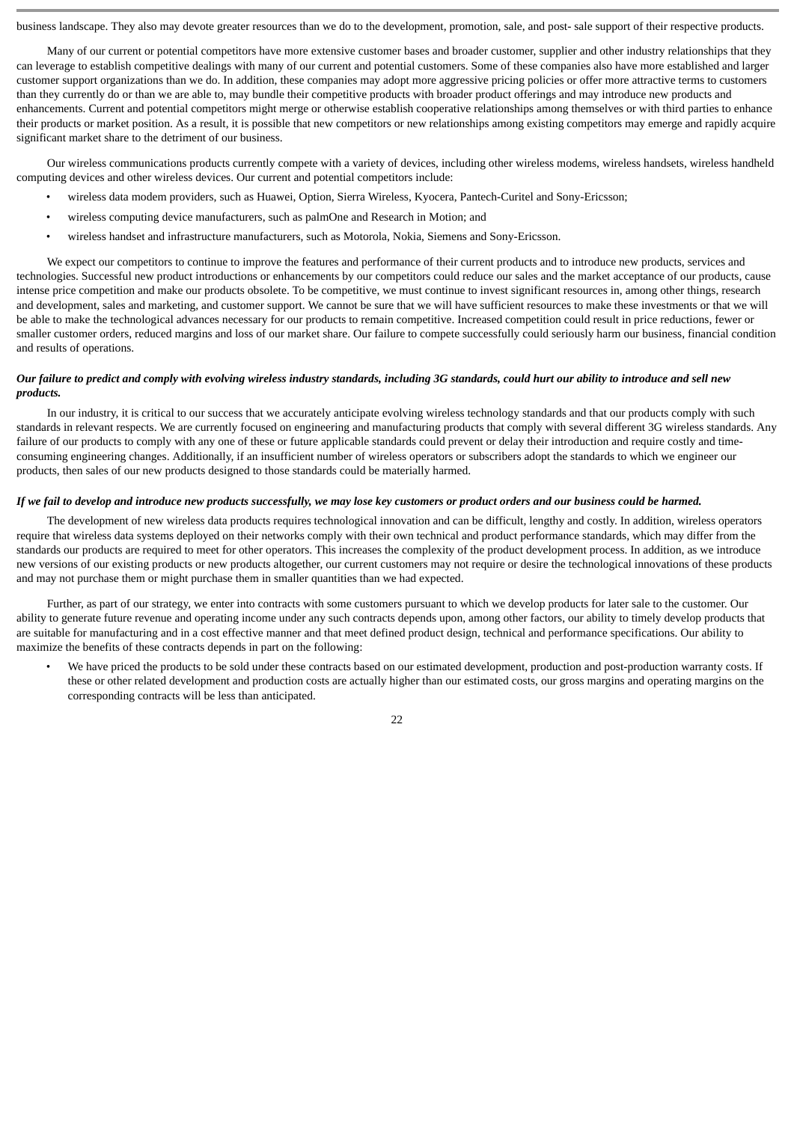business landscape. They also may devote greater resources than we do to the development, promotion, sale, and post- sale support of their respective products.

Many of our current or potential competitors have more extensive customer bases and broader customer, supplier and other industry relationships that they can leverage to establish competitive dealings with many of our current and potential customers. Some of these companies also have more established and larger customer support organizations than we do. In addition, these companies may adopt more aggressive pricing policies or offer more attractive terms to customers than they currently do or than we are able to, may bundle their competitive products with broader product offerings and may introduce new products and enhancements. Current and potential competitors might merge or otherwise establish cooperative relationships among themselves or with third parties to enhance their products or market position. As a result, it is possible that new competitors or new relationships among existing competitors may emerge and rapidly acquire significant market share to the detriment of our business.

Our wireless communications products currently compete with a variety of devices, including other wireless modems, wireless handsets, wireless handheld computing devices and other wireless devices. Our current and potential competitors include:

- wireless data modem providers, such as Huawei, Option, Sierra Wireless, Kyocera, Pantech-Curitel and Sony-Ericsson;
- wireless computing device manufacturers, such as palmOne and Research in Motion; and
- wireless handset and infrastructure manufacturers, such as Motorola, Nokia, Siemens and Sony-Ericsson.

We expect our competitors to continue to improve the features and performance of their current products and to introduce new products, services and technologies. Successful new product introductions or enhancements by our competitors could reduce our sales and the market acceptance of our products, cause intense price competition and make our products obsolete. To be competitive, we must continue to invest significant resources in, among other things, research and development, sales and marketing, and customer support. We cannot be sure that we will have sufficient resources to make these investments or that we will be able to make the technological advances necessary for our products to remain competitive. Increased competition could result in price reductions, fewer or smaller customer orders, reduced margins and loss of our market share. Our failure to compete successfully could seriously harm our business, financial condition and results of operations.

#### *Our failure to predict and comply with evolving wireless industry standards, including 3G standards, could hurt our ability to introduce and sell new products.*

In our industry, it is critical to our success that we accurately anticipate evolving wireless technology standards and that our products comply with such standards in relevant respects. We are currently focused on engineering and manufacturing products that comply with several different 3G wireless standards. Any failure of our products to comply with any one of these or future applicable standards could prevent or delay their introduction and require costly and timeconsuming engineering changes. Additionally, if an insufficient number of wireless operators or subscribers adopt the standards to which we engineer our products, then sales of our new products designed to those standards could be materially harmed.

# *If we fail to develop and introduce new products successfully, we may lose key customers or product orders and our business could be harmed.*

The development of new wireless data products requires technological innovation and can be difficult, lengthy and costly. In addition, wireless operators require that wireless data systems deployed on their networks comply with their own technical and product performance standards, which may differ from the standards our products are required to meet for other operators. This increases the complexity of the product development process. In addition, as we introduce new versions of our existing products or new products altogether, our current customers may not require or desire the technological innovations of these products and may not purchase them or might purchase them in smaller quantities than we had expected.

Further, as part of our strategy, we enter into contracts with some customers pursuant to which we develop products for later sale to the customer. Our ability to generate future revenue and operating income under any such contracts depends upon, among other factors, our ability to timely develop products that are suitable for manufacturing and in a cost effective manner and that meet defined product design, technical and performance specifications. Our ability to maximize the benefits of these contracts depends in part on the following:

• We have priced the products to be sold under these contracts based on our estimated development, production and post-production warranty costs. If these or other related development and production costs are actually higher than our estimated costs, our gross margins and operating margins on the corresponding contracts will be less than anticipated.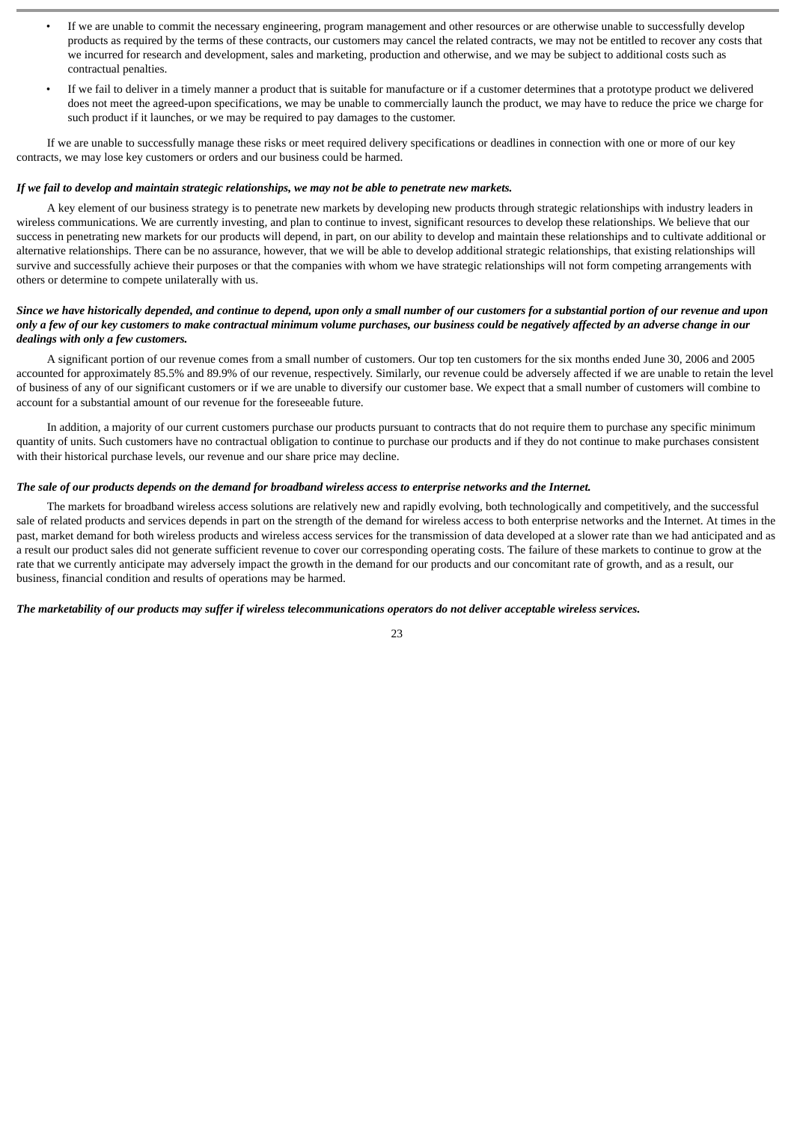- If we are unable to commit the necessary engineering, program management and other resources or are otherwise unable to successfully develop products as required by the terms of these contracts, our customers may cancel the related contracts, we may not be entitled to recover any costs that we incurred for research and development, sales and marketing, production and otherwise, and we may be subject to additional costs such as contractual penalties.
- If we fail to deliver in a timely manner a product that is suitable for manufacture or if a customer determines that a prototype product we delivered does not meet the agreed-upon specifications, we may be unable to commercially launch the product, we may have to reduce the price we charge for such product if it launches, or we may be required to pay damages to the customer.

If we are unable to successfully manage these risks or meet required delivery specifications or deadlines in connection with one or more of our key contracts, we may lose key customers or orders and our business could be harmed.

#### *If we fail to develop and maintain strategic relationships, we may not be able to penetrate new markets.*

A key element of our business strategy is to penetrate new markets by developing new products through strategic relationships with industry leaders in wireless communications. We are currently investing, and plan to continue to invest, significant resources to develop these relationships. We believe that our success in penetrating new markets for our products will depend, in part, on our ability to develop and maintain these relationships and to cultivate additional or alternative relationships. There can be no assurance, however, that we will be able to develop additional strategic relationships, that existing relationships will survive and successfully achieve their purposes or that the companies with whom we have strategic relationships will not form competing arrangements with others or determine to compete unilaterally with us.

### *Since we have historically depended, and continue to depend, upon only a small number of our customers for a substantial portion of our revenue and upon only a few of our key customers to make contractual minimum volume purchases, our business could be negatively affected by an adverse change in our dealings with only a few customers.*

A significant portion of our revenue comes from a small number of customers. Our top ten customers for the six months ended June 30, 2006 and 2005 accounted for approximately 85.5% and 89.9% of our revenue, respectively. Similarly, our revenue could be adversely affected if we are unable to retain the level of business of any of our significant customers or if we are unable to diversify our customer base. We expect that a small number of customers will combine to account for a substantial amount of our revenue for the foreseeable future.

In addition, a majority of our current customers purchase our products pursuant to contracts that do not require them to purchase any specific minimum quantity of units. Such customers have no contractual obligation to continue to purchase our products and if they do not continue to make purchases consistent with their historical purchase levels, our revenue and our share price may decline.

#### *The sale of our products depends on the demand for broadband wireless access to enterprise networks and the Internet.*

The markets for broadband wireless access solutions are relatively new and rapidly evolving, both technologically and competitively, and the successful sale of related products and services depends in part on the strength of the demand for wireless access to both enterprise networks and the Internet. At times in the past, market demand for both wireless products and wireless access services for the transmission of data developed at a slower rate than we had anticipated and as a result our product sales did not generate sufficient revenue to cover our corresponding operating costs. The failure of these markets to continue to grow at the rate that we currently anticipate may adversely impact the growth in the demand for our products and our concomitant rate of growth, and as a result, our business, financial condition and results of operations may be harmed.

*The marketability of our products may suffer if wireless telecommunications operators do not deliver acceptable wireless services.*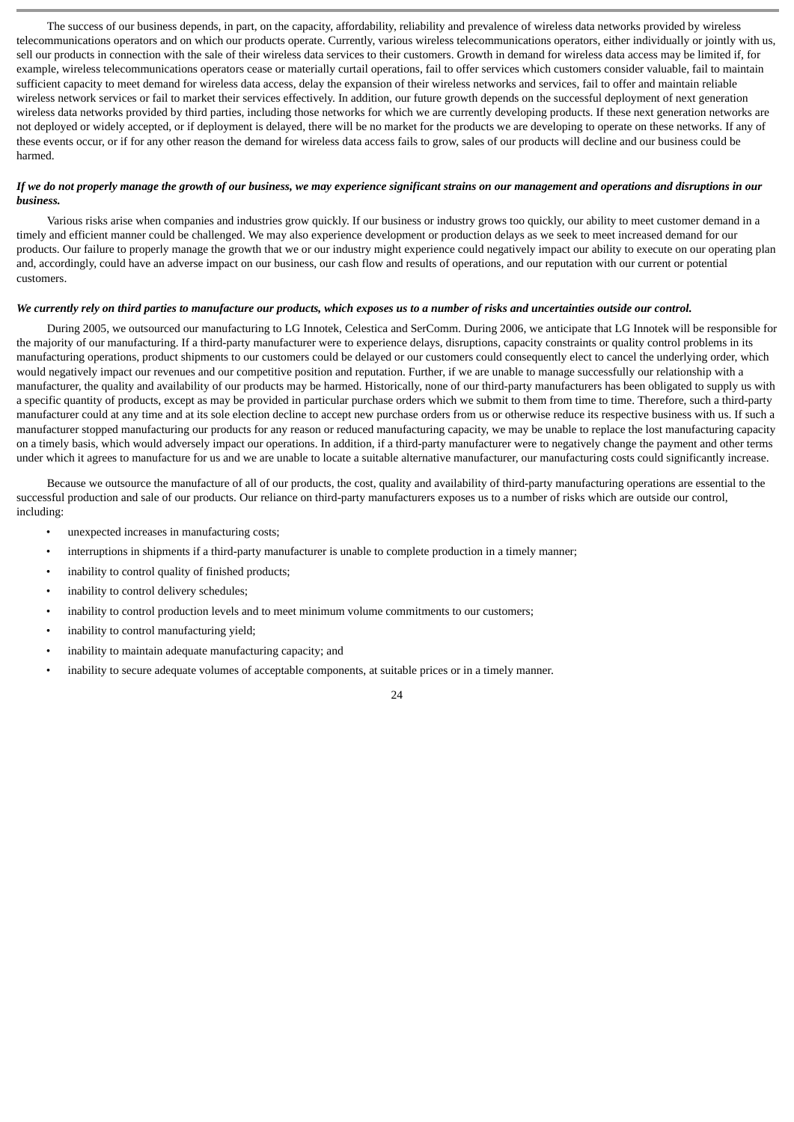The success of our business depends, in part, on the capacity, affordability, reliability and prevalence of wireless data networks provided by wireless telecommunications operators and on which our products operate. Currently, various wireless telecommunications operators, either individually or jointly with us, sell our products in connection with the sale of their wireless data services to their customers. Growth in demand for wireless data access may be limited if, for example, wireless telecommunications operators cease or materially curtail operations, fail to offer services which customers consider valuable, fail to maintain sufficient capacity to meet demand for wireless data access, delay the expansion of their wireless networks and services, fail to offer and maintain reliable wireless network services or fail to market their services effectively. In addition, our future growth depends on the successful deployment of next generation wireless data networks provided by third parties, including those networks for which we are currently developing products. If these next generation networks are not deployed or widely accepted, or if deployment is delayed, there will be no market for the products we are developing to operate on these networks. If any of these events occur, or if for any other reason the demand for wireless data access fails to grow, sales of our products will decline and our business could be harmed.

#### *If we do not properly manage the growth of our business, we may experience significant strains on our management and operations and disruptions in our business.*

Various risks arise when companies and industries grow quickly. If our business or industry grows too quickly, our ability to meet customer demand in a timely and efficient manner could be challenged. We may also experience development or production delays as we seek to meet increased demand for our products. Our failure to properly manage the growth that we or our industry might experience could negatively impact our ability to execute on our operating plan and, accordingly, could have an adverse impact on our business, our cash flow and results of operations, and our reputation with our current or potential customers.

#### *We currently rely on third parties to manufacture our products, which exposes us to a number of risks and uncertainties outside our control.*

During 2005, we outsourced our manufacturing to LG Innotek, Celestica and SerComm. During 2006, we anticipate that LG Innotek will be responsible for the majority of our manufacturing. If a third-party manufacturer were to experience delays, disruptions, capacity constraints or quality control problems in its manufacturing operations, product shipments to our customers could be delayed or our customers could consequently elect to cancel the underlying order, which would negatively impact our revenues and our competitive position and reputation. Further, if we are unable to manage successfully our relationship with a manufacturer, the quality and availability of our products may be harmed. Historically, none of our third-party manufacturers has been obligated to supply us with a specific quantity of products, except as may be provided in particular purchase orders which we submit to them from time to time. Therefore, such a third-party manufacturer could at any time and at its sole election decline to accept new purchase orders from us or otherwise reduce its respective business with us. If such a manufacturer stopped manufacturing our products for any reason or reduced manufacturing capacity, we may be unable to replace the lost manufacturing capacity on a timely basis, which would adversely impact our operations. In addition, if a third-party manufacturer were to negatively change the payment and other terms under which it agrees to manufacture for us and we are unable to locate a suitable alternative manufacturer, our manufacturing costs could significantly increase.

Because we outsource the manufacture of all of our products, the cost, quality and availability of third-party manufacturing operations are essential to the successful production and sale of our products. Our reliance on third-party manufacturers exposes us to a number of risks which are outside our control, including:

- unexpected increases in manufacturing costs;
- interruptions in shipments if a third-party manufacturer is unable to complete production in a timely manner;
- inability to control quality of finished products;
- inability to control delivery schedules;
- inability to control production levels and to meet minimum volume commitments to our customers;
- inability to control manufacturing yield;
- inability to maintain adequate manufacturing capacity; and
- inability to secure adequate volumes of acceptable components, at suitable prices or in a timely manner.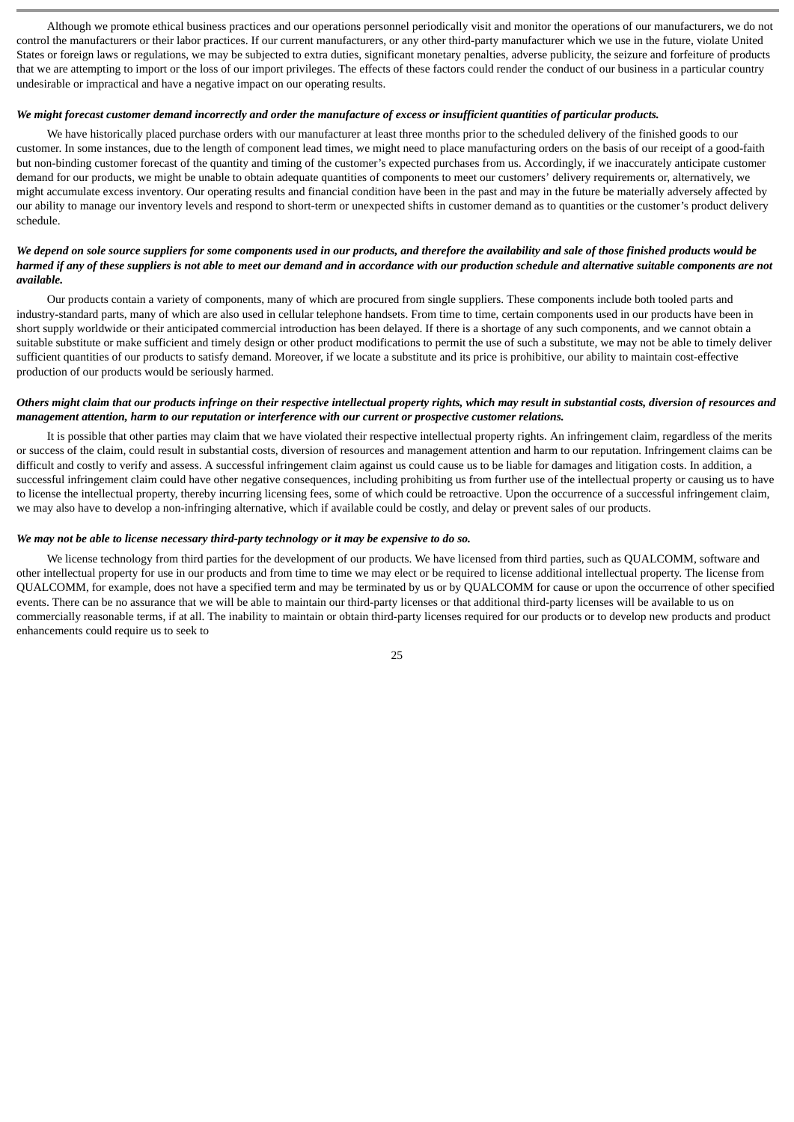Although we promote ethical business practices and our operations personnel periodically visit and monitor the operations of our manufacturers, we do not control the manufacturers or their labor practices. If our current manufacturers, or any other third-party manufacturer which we use in the future, violate United States or foreign laws or regulations, we may be subjected to extra duties, significant monetary penalties, adverse publicity, the seizure and forfeiture of products that we are attempting to import or the loss of our import privileges. The effects of these factors could render the conduct of our business in a particular country undesirable or impractical and have a negative impact on our operating results.

#### *We might forecast customer demand incorrectly and order the manufacture of excess or insufficient quantities of particular products.*

We have historically placed purchase orders with our manufacturer at least three months prior to the scheduled delivery of the finished goods to our customer. In some instances, due to the length of component lead times, we might need to place manufacturing orders on the basis of our receipt of a good-faith but non-binding customer forecast of the quantity and timing of the customer's expected purchases from us. Accordingly, if we inaccurately anticipate customer demand for our products, we might be unable to obtain adequate quantities of components to meet our customers' delivery requirements or, alternatively, we might accumulate excess inventory. Our operating results and financial condition have been in the past and may in the future be materially adversely affected by our ability to manage our inventory levels and respond to short-term or unexpected shifts in customer demand as to quantities or the customer's product delivery schedule.

# *We depend on sole source suppliers for some components used in our products, and therefore the availability and sale of those finished products would be harmed if any of these suppliers is not able to meet our demand and in accordance with our production schedule and alternative suitable components are not available.*

Our products contain a variety of components, many of which are procured from single suppliers. These components include both tooled parts and industry-standard parts, many of which are also used in cellular telephone handsets. From time to time, certain components used in our products have been in short supply worldwide or their anticipated commercial introduction has been delayed. If there is a shortage of any such components, and we cannot obtain a suitable substitute or make sufficient and timely design or other product modifications to permit the use of such a substitute, we may not be able to timely deliver sufficient quantities of our products to satisfy demand. Moreover, if we locate a substitute and its price is prohibitive, our ability to maintain cost-effective production of our products would be seriously harmed.

#### *Others might claim that our products infringe on their respective intellectual property rights, which may result in substantial costs, diversion of resources and management attention, harm to our reputation or interference with our current or prospective customer relations.*

It is possible that other parties may claim that we have violated their respective intellectual property rights. An infringement claim, regardless of the merits or success of the claim, could result in substantial costs, diversion of resources and management attention and harm to our reputation. Infringement claims can be difficult and costly to verify and assess. A successful infringement claim against us could cause us to be liable for damages and litigation costs. In addition, a successful infringement claim could have other negative consequences, including prohibiting us from further use of the intellectual property or causing us to have to license the intellectual property, thereby incurring licensing fees, some of which could be retroactive. Upon the occurrence of a successful infringement claim, we may also have to develop a non-infringing alternative, which if available could be costly, and delay or prevent sales of our products.

#### *We may not be able to license necessary third-party technology or it may be expensive to do so.*

We license technology from third parties for the development of our products. We have licensed from third parties, such as QUALCOMM, software and other intellectual property for use in our products and from time to time we may elect or be required to license additional intellectual property. The license from QUALCOMM, for example, does not have a specified term and may be terminated by us or by QUALCOMM for cause or upon the occurrence of other specified events. There can be no assurance that we will be able to maintain our third-party licenses or that additional third-party licenses will be available to us on commercially reasonable terms, if at all. The inability to maintain or obtain third-party licenses required for our products or to develop new products and product enhancements could require us to seek to

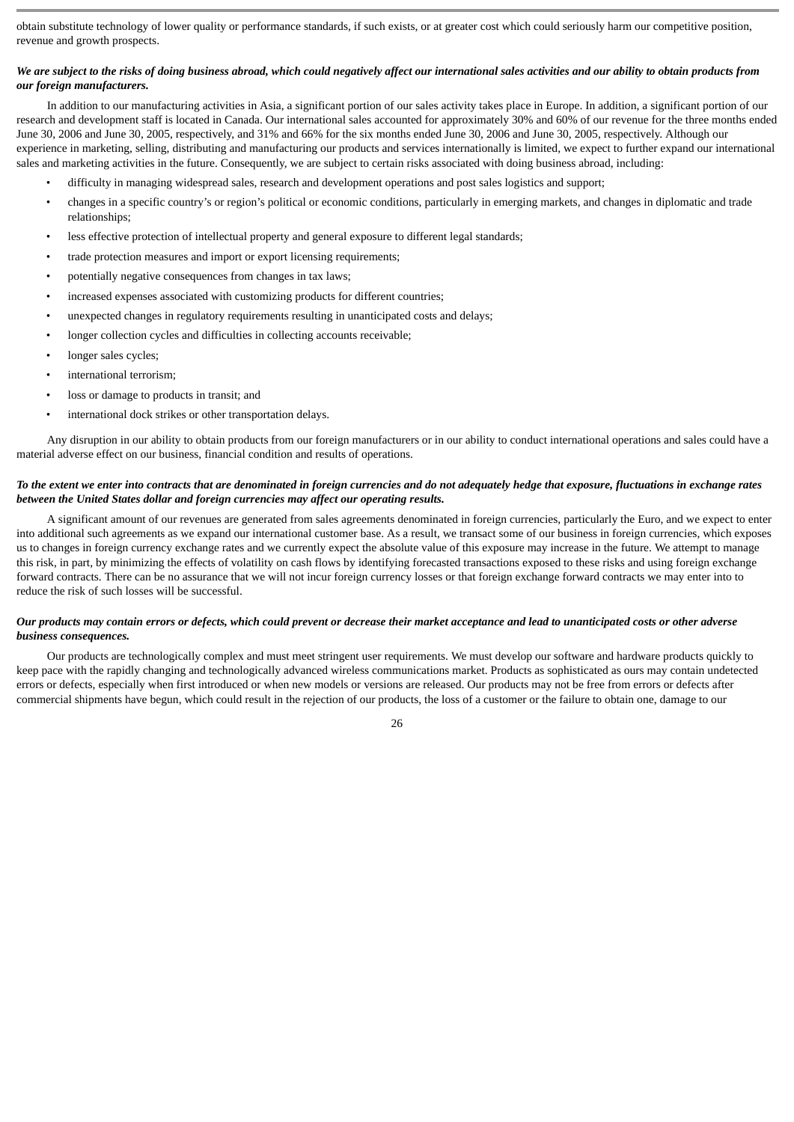obtain substitute technology of lower quality or performance standards, if such exists, or at greater cost which could seriously harm our competitive position, revenue and growth prospects.

# *We are subject to the risks of doing business abroad, which could negatively affect our international sales activities and our ability to obtain products from our foreign manufacturers.*

In addition to our manufacturing activities in Asia, a significant portion of our sales activity takes place in Europe. In addition, a significant portion of our research and development staff is located in Canada. Our international sales accounted for approximately 30% and 60% of our revenue for the three months ended June 30, 2006 and June 30, 2005, respectively, and 31% and 66% for the six months ended June 30, 2006 and June 30, 2005, respectively. Although our experience in marketing, selling, distributing and manufacturing our products and services internationally is limited, we expect to further expand our international sales and marketing activities in the future. Consequently, we are subject to certain risks associated with doing business abroad, including:

- difficulty in managing widespread sales, research and development operations and post sales logistics and support;
- changes in a specific country's or region's political or economic conditions, particularly in emerging markets, and changes in diplomatic and trade relationships;
- less effective protection of intellectual property and general exposure to different legal standards;
- trade protection measures and import or export licensing requirements;
- potentially negative consequences from changes in tax laws;
- increased expenses associated with customizing products for different countries;
- unexpected changes in regulatory requirements resulting in unanticipated costs and delays;
- longer collection cycles and difficulties in collecting accounts receivable;
- longer sales cycles;
- international terrorism;
- loss or damage to products in transit; and
- international dock strikes or other transportation delays.

Any disruption in our ability to obtain products from our foreign manufacturers or in our ability to conduct international operations and sales could have a material adverse effect on our business, financial condition and results of operations.

# *To the extent we enter into contracts that are denominated in foreign currencies and do not adequately hedge that exposure, fluctuations in exchange rates between the United States dollar and foreign currencies may affect our operating results.*

A significant amount of our revenues are generated from sales agreements denominated in foreign currencies, particularly the Euro, and we expect to enter into additional such agreements as we expand our international customer base. As a result, we transact some of our business in foreign currencies, which exposes us to changes in foreign currency exchange rates and we currently expect the absolute value of this exposure may increase in the future. We attempt to manage this risk, in part, by minimizing the effects of volatility on cash flows by identifying forecasted transactions exposed to these risks and using foreign exchange forward contracts. There can be no assurance that we will not incur foreign currency losses or that foreign exchange forward contracts we may enter into to reduce the risk of such losses will be successful.

# *Our products may contain errors or defects, which could prevent or decrease their market acceptance and lead to unanticipated costs or other adverse business consequences.*

Our products are technologically complex and must meet stringent user requirements. We must develop our software and hardware products quickly to keep pace with the rapidly changing and technologically advanced wireless communications market. Products as sophisticated as ours may contain undetected errors or defects, especially when first introduced or when new models or versions are released. Our products may not be free from errors or defects after commercial shipments have begun, which could result in the rejection of our products, the loss of a customer or the failure to obtain one, damage to our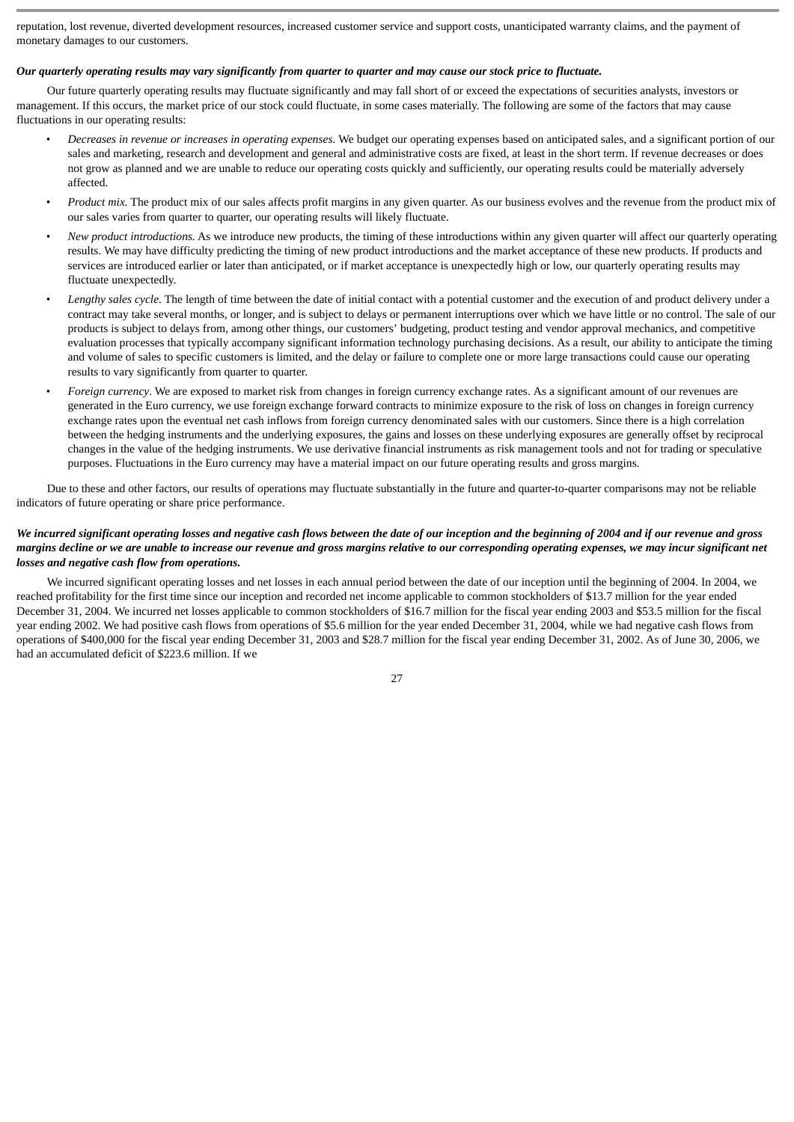reputation, lost revenue, diverted development resources, increased customer service and support costs, unanticipated warranty claims, and the payment of monetary damages to our customers.

# *Our quarterly operating results may vary significantly from quarter to quarter and may cause our stock price to fluctuate.*

Our future quarterly operating results may fluctuate significantly and may fall short of or exceed the expectations of securities analysts, investors or management. If this occurs, the market price of our stock could fluctuate, in some cases materially. The following are some of the factors that may cause fluctuations in our operating results:

- *Decreases in revenue or increases in operating expenses*. We budget our operating expenses based on anticipated sales, and a significant portion of our sales and marketing, research and development and general and administrative costs are fixed, at least in the short term. If revenue decreases or does not grow as planned and we are unable to reduce our operating costs quickly and sufficiently, our operating results could be materially adversely affected.
- *Product mix.* The product mix of our sales affects profit margins in any given quarter. As our business evolves and the revenue from the product mix of our sales varies from quarter to quarter, our operating results will likely fluctuate.
- *New product introductions.* As we introduce new products, the timing of these introductions within any given quarter will affect our quarterly operating results. We may have difficulty predicting the timing of new product introductions and the market acceptance of these new products. If products and services are introduced earlier or later than anticipated, or if market acceptance is unexpectedly high or low, our quarterly operating results may fluctuate unexpectedly.
- *Lengthy sales cycle.* The length of time between the date of initial contact with a potential customer and the execution of and product delivery under a contract may take several months, or longer, and is subject to delays or permanent interruptions over which we have little or no control. The sale of our products is subject to delays from, among other things, our customers' budgeting, product testing and vendor approval mechanics, and competitive evaluation processes that typically accompany significant information technology purchasing decisions. As a result, our ability to anticipate the timing and volume of sales to specific customers is limited, and the delay or failure to complete one or more large transactions could cause our operating results to vary significantly from quarter to quarter.
- *Foreign currency*. We are exposed to market risk from changes in foreign currency exchange rates. As a significant amount of our revenues are generated in the Euro currency, we use foreign exchange forward contracts to minimize exposure to the risk of loss on changes in foreign currency exchange rates upon the eventual net cash inflows from foreign currency denominated sales with our customers. Since there is a high correlation between the hedging instruments and the underlying exposures, the gains and losses on these underlying exposures are generally offset by reciprocal changes in the value of the hedging instruments. We use derivative financial instruments as risk management tools and not for trading or speculative purposes. Fluctuations in the Euro currency may have a material impact on our future operating results and gross margins.

Due to these and other factors, our results of operations may fluctuate substantially in the future and quarter-to-quarter comparisons may not be reliable indicators of future operating or share price performance.

# *We incurred significant operating losses and negative cash flows between the date of our inception and the beginning of 2004 and if our revenue and gross margins decline or we are unable to increase our revenue and gross margins relative to our corresponding operating expenses, we may incur significant net losses and negative cash flow from operations.*

We incurred significant operating losses and net losses in each annual period between the date of our inception until the beginning of 2004. In 2004, we reached profitability for the first time since our inception and recorded net income applicable to common stockholders of \$13.7 million for the year ended December 31, 2004. We incurred net losses applicable to common stockholders of \$16.7 million for the fiscal year ending 2003 and \$53.5 million for the fiscal year ending 2002. We had positive cash flows from operations of \$5.6 million for the year ended December 31, 2004, while we had negative cash flows from operations of \$400,000 for the fiscal year ending December 31, 2003 and \$28.7 million for the fiscal year ending December 31, 2002. As of June 30, 2006, we had an accumulated deficit of \$223.6 million. If we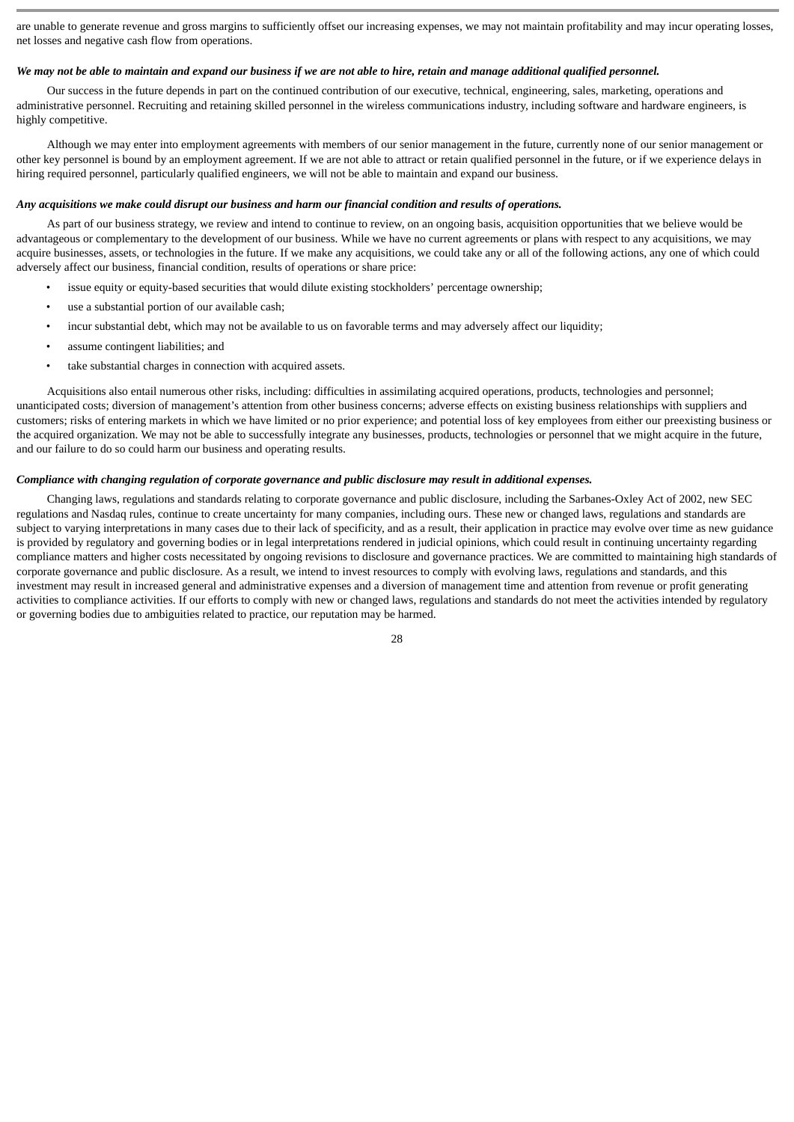are unable to generate revenue and gross margins to sufficiently offset our increasing expenses, we may not maintain profitability and may incur operating losses, net losses and negative cash flow from operations.

# *We may not be able to maintain and expand our business if we are not able to hire, retain and manage additional qualified personnel.*

Our success in the future depends in part on the continued contribution of our executive, technical, engineering, sales, marketing, operations and administrative personnel. Recruiting and retaining skilled personnel in the wireless communications industry, including software and hardware engineers, is highly competitive.

Although we may enter into employment agreements with members of our senior management in the future, currently none of our senior management or other key personnel is bound by an employment agreement. If we are not able to attract or retain qualified personnel in the future, or if we experience delays in hiring required personnel, particularly qualified engineers, we will not be able to maintain and expand our business.

#### *Any acquisitions we make could disrupt our business and harm our financial condition and results of operations.*

As part of our business strategy, we review and intend to continue to review, on an ongoing basis, acquisition opportunities that we believe would be advantageous or complementary to the development of our business. While we have no current agreements or plans with respect to any acquisitions, we may acquire businesses, assets, or technologies in the future. If we make any acquisitions, we could take any or all of the following actions, any one of which could adversely affect our business, financial condition, results of operations or share price:

- issue equity or equity-based securities that would dilute existing stockholders' percentage ownership;
- use a substantial portion of our available cash;
- incur substantial debt, which may not be available to us on favorable terms and may adversely affect our liquidity;
- assume contingent liabilities; and
- take substantial charges in connection with acquired assets.

Acquisitions also entail numerous other risks, including: difficulties in assimilating acquired operations, products, technologies and personnel; unanticipated costs; diversion of management's attention from other business concerns; adverse effects on existing business relationships with suppliers and customers; risks of entering markets in which we have limited or no prior experience; and potential loss of key employees from either our preexisting business or the acquired organization. We may not be able to successfully integrate any businesses, products, technologies or personnel that we might acquire in the future, and our failure to do so could harm our business and operating results.

# *Compliance with changing regulation of corporate governance and public disclosure may result in additional expenses.*

Changing laws, regulations and standards relating to corporate governance and public disclosure, including the Sarbanes-Oxley Act of 2002, new SEC regulations and Nasdaq rules, continue to create uncertainty for many companies, including ours. These new or changed laws, regulations and standards are subject to varying interpretations in many cases due to their lack of specificity, and as a result, their application in practice may evolve over time as new guidance is provided by regulatory and governing bodies or in legal interpretations rendered in judicial opinions, which could result in continuing uncertainty regarding compliance matters and higher costs necessitated by ongoing revisions to disclosure and governance practices. We are committed to maintaining high standards of corporate governance and public disclosure. As a result, we intend to invest resources to comply with evolving laws, regulations and standards, and this investment may result in increased general and administrative expenses and a diversion of management time and attention from revenue or profit generating activities to compliance activities. If our efforts to comply with new or changed laws, regulations and standards do not meet the activities intended by regulatory or governing bodies due to ambiguities related to practice, our reputation may be harmed.

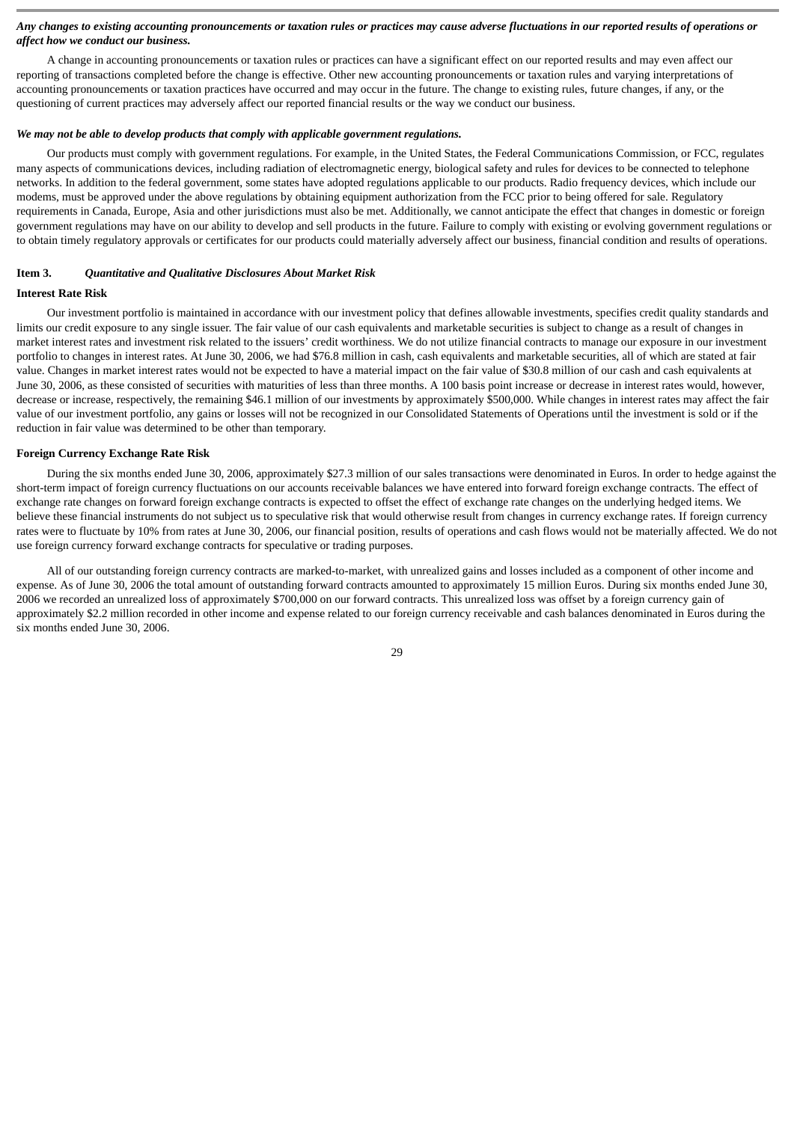#### *Any changes to existing accounting pronouncements or taxation rules or practices may cause adverse fluctuations in our reported results of operations or affect how we conduct our business.*

A change in accounting pronouncements or taxation rules or practices can have a significant effect on our reported results and may even affect our reporting of transactions completed before the change is effective. Other new accounting pronouncements or taxation rules and varying interpretations of accounting pronouncements or taxation practices have occurred and may occur in the future. The change to existing rules, future changes, if any, or the questioning of current practices may adversely affect our reported financial results or the way we conduct our business.

#### *We may not be able to develop products that comply with applicable government regulations.*

Our products must comply with government regulations. For example, in the United States, the Federal Communications Commission, or FCC, regulates many aspects of communications devices, including radiation of electromagnetic energy, biological safety and rules for devices to be connected to telephone networks. In addition to the federal government, some states have adopted regulations applicable to our products. Radio frequency devices, which include our modems, must be approved under the above regulations by obtaining equipment authorization from the FCC prior to being offered for sale. Regulatory requirements in Canada, Europe, Asia and other jurisdictions must also be met. Additionally, we cannot anticipate the effect that changes in domestic or foreign government regulations may have on our ability to develop and sell products in the future. Failure to comply with existing or evolving government regulations or to obtain timely regulatory approvals or certificates for our products could materially adversely affect our business, financial condition and results of operations.

#### **Item 3.** *Quantitative and Qualitative Disclosures About Market Risk*

#### **Interest Rate Risk**

Our investment portfolio is maintained in accordance with our investment policy that defines allowable investments, specifies credit quality standards and limits our credit exposure to any single issuer. The fair value of our cash equivalents and marketable securities is subject to change as a result of changes in market interest rates and investment risk related to the issuers' credit worthiness. We do not utilize financial contracts to manage our exposure in our investment portfolio to changes in interest rates. At June 30, 2006, we had \$76.8 million in cash, cash equivalents and marketable securities, all of which are stated at fair value. Changes in market interest rates would not be expected to have a material impact on the fair value of \$30.8 million of our cash and cash equivalents at June 30, 2006, as these consisted of securities with maturities of less than three months. A 100 basis point increase or decrease in interest rates would, however, decrease or increase, respectively, the remaining \$46.1 million of our investments by approximately \$500,000. While changes in interest rates may affect the fair value of our investment portfolio, any gains or losses will not be recognized in our Consolidated Statements of Operations until the investment is sold or if the reduction in fair value was determined to be other than temporary.

#### **Foreign Currency Exchange Rate Risk**

During the six months ended June 30, 2006, approximately \$27.3 million of our sales transactions were denominated in Euros. In order to hedge against the short-term impact of foreign currency fluctuations on our accounts receivable balances we have entered into forward foreign exchange contracts. The effect of exchange rate changes on forward foreign exchange contracts is expected to offset the effect of exchange rate changes on the underlying hedged items. We believe these financial instruments do not subject us to speculative risk that would otherwise result from changes in currency exchange rates. If foreign currency rates were to fluctuate by 10% from rates at June 30, 2006, our financial position, results of operations and cash flows would not be materially affected. We do not use foreign currency forward exchange contracts for speculative or trading purposes.

All of our outstanding foreign currency contracts are marked-to-market, with unrealized gains and losses included as a component of other income and expense. As of June 30, 2006 the total amount of outstanding forward contracts amounted to approximately 15 million Euros. During six months ended June 30, 2006 we recorded an unrealized loss of approximately \$700,000 on our forward contracts. This unrealized loss was offset by a foreign currency gain of approximately \$2.2 million recorded in other income and expense related to our foreign currency receivable and cash balances denominated in Euros during the six months ended June 30, 2006.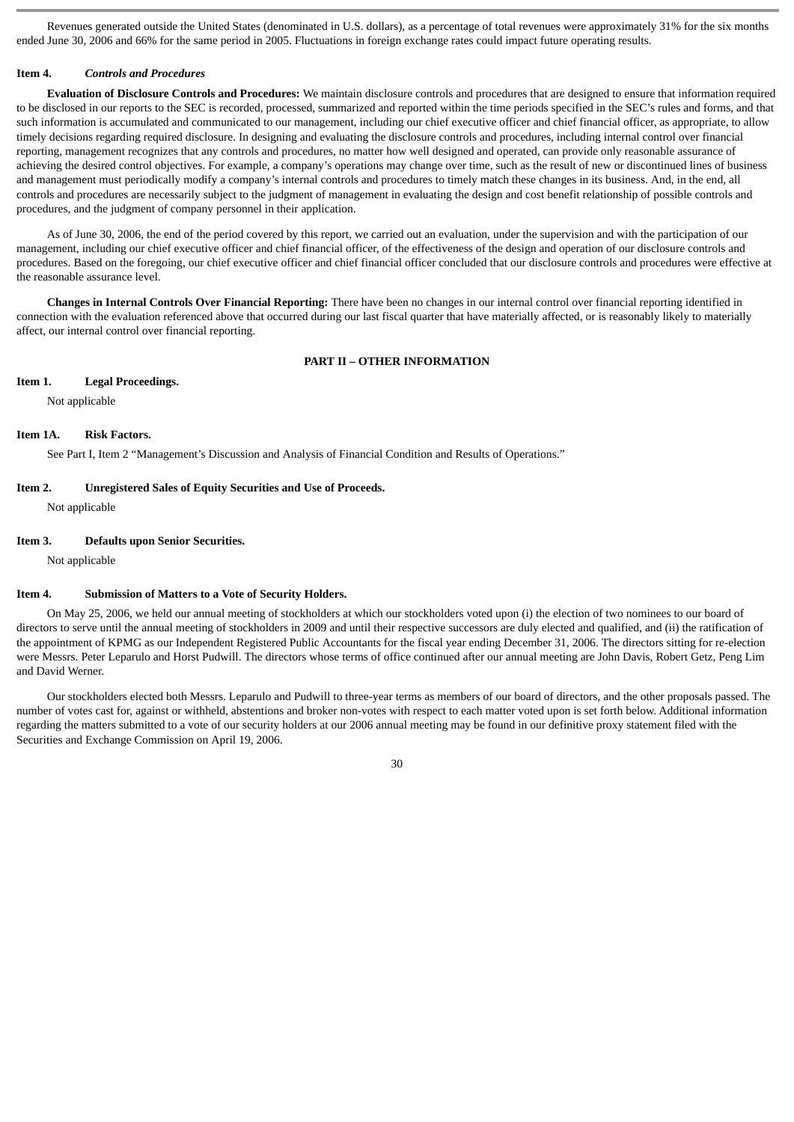Revenues generated outside the United States (denominated in U.S. dollars), as a percentage of total revenues were approximately 31% for the six months ended June 30, 2006 and 66% for the same period in 2005. Fluctuations in foreign exchange rates could impact future operating results.

#### **Item 4.** *Controls and Procedures*

**Evaluation of Disclosure Controls and Procedures:** We maintain disclosure controls and procedures that are designed to ensure that information required to be disclosed in our reports to the SEC is recorded, processed, summarized and reported within the time periods specified in the SEC's rules and forms, and that such information is accumulated and communicated to our management, including our chief executive officer and chief financial officer, as appropriate, to allow timely decisions regarding required disclosure. In designing and evaluating the disclosure controls and procedures, including internal control over financial reporting, management recognizes that any controls and procedures, no matter how well designed and operated, can provide only reasonable assurance of achieving the desired control objectives. For example, a company's operations may change over time, such as the result of new or discontinued lines of business and management must periodically modify a company's internal controls and procedures to timely match these changes in its business. And, in the end, all controls and procedures are necessarily subject to the judgment of management in evaluating the design and cost benefit relationship of possible controls and procedures, and the judgment of company personnel in their application.

As of June 30, 2006, the end of the period covered by this report, we carried out an evaluation, under the supervision and with the participation of our management, including our chief executive officer and chief financial officer, of the effectiveness of the design and operation of our disclosure controls and procedures. Based on the foregoing, our chief executive officer and chief financial officer concluded that our disclosure controls and procedures were effective at the reasonable assurance level.

**Changes in Internal Controls Over Financial Reporting:** There have been no changes in our internal control over financial reporting identified in connection with the evaluation referenced above that occurred during our last fiscal quarter that have materially affected, or is reasonably likely to materially affect, our internal control over financial reporting.

# **PART II – OTHER INFORMATION**

#### **Item 1. Legal Proceedings.**

Not applicable

# **Item 1A. Risk Factors.**

See Part I, Item 2 "Management's Discussion and Analysis of Financial Condition and Results of Operations."

#### **Item 2. Unregistered Sales of Equity Securities and Use of Proceeds.**

Not applicable

#### **Item 3. Defaults upon Senior Securities.**

Not applicable

#### **Item 4. Submission of Matters to a Vote of Security Holders.**

On May 25, 2006, we held our annual meeting of stockholders at which our stockholders voted upon (i) the election of two nominees to our board of directors to serve until the annual meeting of stockholders in 2009 and until their respective successors are duly elected and qualified, and (ii) the ratification of the appointment of KPMG as our Independent Registered Public Accountants for the fiscal year ending December 31, 2006. The directors sitting for re-election were Messrs. Peter Leparulo and Horst Pudwill. The directors whose terms of office continued after our annual meeting are John Davis, Robert Getz, Peng Lim and David Werner.

Our stockholders elected both Messrs. Leparulo and Pudwill to three-year terms as members of our board of directors, and the other proposals passed. The number of votes cast for, against or withheld, abstentions and broker non-votes with respect to each matter voted upon is set forth below. Additional information regarding the matters submitted to a vote of our security holders at our 2006 annual meeting may be found in our definitive proxy statement filed with the Securities and Exchange Commission on April 19, 2006.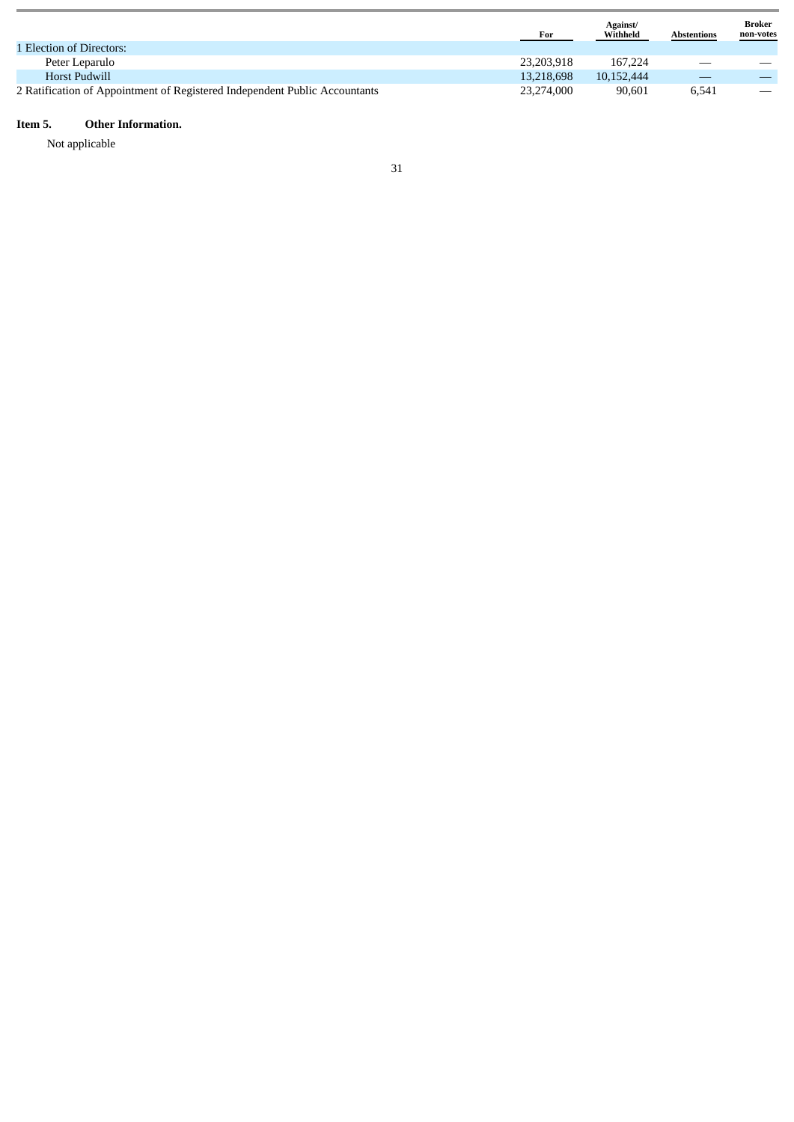|                                                                            | For        | Against/<br>Withheld | <b>Abstentions</b> | Broker<br>non-votes |
|----------------------------------------------------------------------------|------------|----------------------|--------------------|---------------------|
| 1 Election of Directors:                                                   |            |                      |                    |                     |
| Peter Leparulo                                                             | 23.203.918 | 167,224              |                    |                     |
| Horst Pudwill                                                              | 13,218,698 | 10.152,444           |                    |                     |
| 2 Ratification of Appointment of Registered Independent Public Accountants | 23,274,000 | 90.601               | 6.541              | $\hspace{0.05cm}$   |

# **Item 5. Other Information.**

Not applicable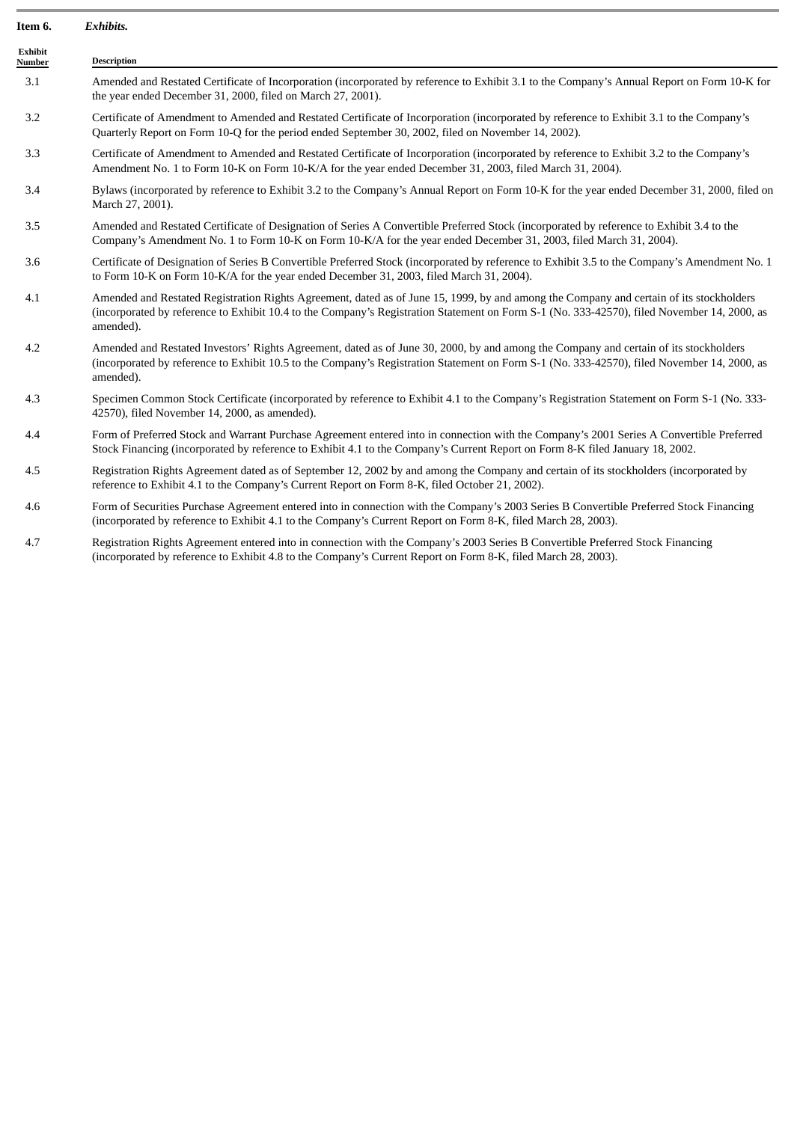| Item 6.           | <b>Exhibits.</b>                                                                                                                                                                                                                                                                                    |
|-------------------|-----------------------------------------------------------------------------------------------------------------------------------------------------------------------------------------------------------------------------------------------------------------------------------------------------|
| Exhibit<br>Number | <b>Description</b>                                                                                                                                                                                                                                                                                  |
| 3.1               | Amended and Restated Certificate of Incorporation (incorporated by reference to Exhibit 3.1 to the Company's Annual Report on Form 10-K for<br>the year ended December 31, 2000, filed on March 27, 2001).                                                                                          |
| 3.2               | Certificate of Amendment to Amended and Restated Certificate of Incorporation (incorporated by reference to Exhibit 3.1 to the Company's<br>Ouarterly Report on Form 10-O for the period ended September 30, 2002, filed on November 14, 2002).                                                     |
| 3.3               | Certificate of Amendment to Amended and Restated Certificate of Incorporation (incorporated by reference to Exhibit 3.2 to the Company's<br>Amendment No. 1 to Form 10-K on Form 10-K/A for the year ended December 31, 2003, filed March 31, 2004).                                                |
| 3.4               | Bylaws (incorporated by reference to Exhibit 3.2 to the Company's Annual Report on Form 10-K for the year ended December 31, 2000, filed on<br>March 27, 2001).                                                                                                                                     |
| 3.5               | Amended and Restated Certificate of Designation of Series A Convertible Preferred Stock (incorporated by reference to Exhibit 3.4 to the<br>Company's Amendment No. 1 to Form 10-K on Form 10-K/A for the year ended December 31, 2003, filed March 31, 2004).                                      |
| 3.6               | Certificate of Designation of Series B Convertible Preferred Stock (incorporated by reference to Exhibit 3.5 to the Company's Amendment No. 1<br>to Form 10-K on Form 10-K/A for the year ended December 31, 2003, filed March 31, 2004).                                                           |
| 4.1               | Amended and Restated Registration Rights Agreement, dated as of June 15, 1999, by and among the Company and certain of its stockholders<br>(incorporated by reference to Exhibit 10.4 to the Company's Registration Statement on Form S-1 (No. 333-42570), filed November 14, 2000, as<br>amended). |
| 4.2               | Amended and Restated Investors' Rights Agreement, dated as of June 30, 2000, by and among the Company and certain of its stockholders<br>(incorporated by reference to Exhibit 10.5 to the Company's Registration Statement on Form S-1 (No. 333-42570), filed November 14, 2000, as<br>amended).   |
| 4.3               | Specimen Common Stock Certificate (incorporated by reference to Exhibit 4.1 to the Company's Registration Statement on Form S-1 (No. 333-<br>42570), filed November 14, 2000, as amended).                                                                                                          |
| 4.4               | Form of Preferred Stock and Warrant Purchase Agreement entered into in connection with the Company's 2001 Series A Convertible Preferred<br>Stock Financing (incorporated by reference to Exhibit 4.1 to the Company's Current Report on Form 8-K filed January 18, 2002.                           |
| 4.5               | Registration Rights Agreement dated as of September 12, 2002 by and among the Company and certain of its stockholders (incorporated by<br>reference to Exhibit 4.1 to the Company's Current Report on Form 8-K, filed October 21, 2002).                                                            |
| $\sqrt{2}$        | P (C ) IA, III II II II II O JOODE PO HIP (ICHT)                                                                                                                                                                                                                                                    |

4.6 Form of Securities Purchase Agreement entered into in connection with the Company's 2003 Series B Convertible Preferred Stock Financing (incorporated by reference to Exhibit 4.1 to the Company's Current Report on Form 8-K, filed March 28, 2003).

4.7 Registration Rights Agreement entered into in connection with the Company's 2003 Series B Convertible Preferred Stock Financing (incorporated by reference to Exhibit 4.8 to the Company's Current Report on Form 8-K, filed March 28, 2003).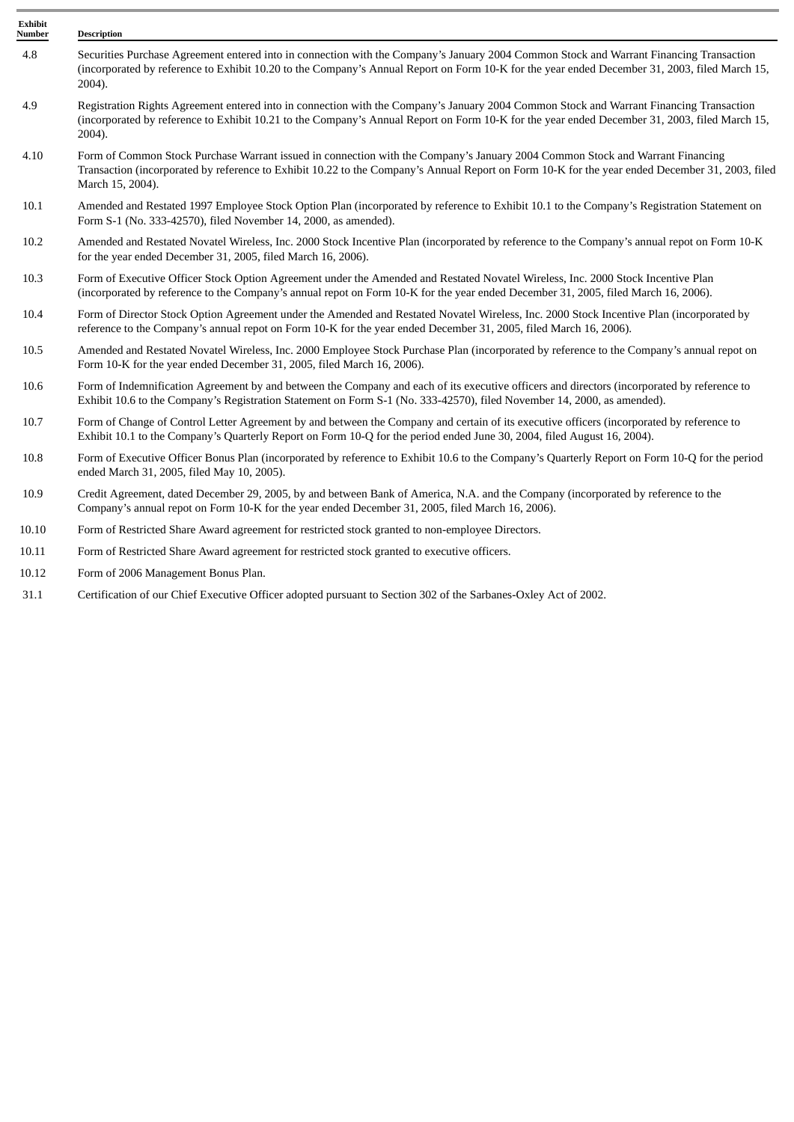| Exhibit<br>Number | <b>Description</b>                                                                                                                                                                                                                                                                                   |
|-------------------|------------------------------------------------------------------------------------------------------------------------------------------------------------------------------------------------------------------------------------------------------------------------------------------------------|
| 4.8               | Securities Purchase Agreement entered into in connection with the Company's January 2004 Common Stock and Warrant Financing Transaction<br>(incorporated by reference to Exhibit 10.20 to the Company's Annual Report on Form 10-K for the year ended December 31, 2003, filed March 15,<br>2004).   |
| 4.9               | Registration Rights Agreement entered into in connection with the Company's January 2004 Common Stock and Warrant Financing Transaction<br>(incorporated by reference to Exhibit 10.21 to the Company's Annual Report on Form 10-K for the year ended December 31, 2003, filed March 15,<br>2004).   |
| 4.10              | Form of Common Stock Purchase Warrant issued in connection with the Company's January 2004 Common Stock and Warrant Financing<br>Transaction (incorporated by reference to Exhibit 10.22 to the Company's Annual Report on Form 10-K for the year ended December 31, 2003, filed<br>March 15, 2004). |
| 10.1              | Amended and Restated 1997 Employee Stock Option Plan (incorporated by reference to Exhibit 10.1 to the Company's Registration Statement on<br>Form S-1 (No. 333-42570), filed November 14, 2000, as amended).                                                                                        |
| 10.2              | Amended and Restated Novatel Wireless, Inc. 2000 Stock Incentive Plan (incorporated by reference to the Company's annual repot on Form 10-K<br>for the year ended December 31, 2005, filed March 16, 2006).                                                                                          |
| 10.3              | Form of Executive Officer Stock Option Agreement under the Amended and Restated Novatel Wireless, Inc. 2000 Stock Incentive Plan<br>(incorporated by reference to the Company's annual repot on Form 10-K for the year ended December 31, 2005, filed March 16, 2006).                               |
| 10.4              | Form of Director Stock Option Agreement under the Amended and Restated Novatel Wireless, Inc. 2000 Stock Incentive Plan (incorporated by<br>reference to the Company's annual repot on Form 10-K for the year ended December 31, 2005, filed March 16, 2006).                                        |
| 10.5              | Amended and Restated Novatel Wireless, Inc. 2000 Employee Stock Purchase Plan (incorporated by reference to the Company's annual repot on<br>Form 10-K for the year ended December 31, 2005, filed March 16, 2006).                                                                                  |
| 10.6              | Form of Indemnification Agreement by and between the Company and each of its executive officers and directors (incorporated by reference to<br>Exhibit 10.6 to the Company's Registration Statement on Form S-1 (No. 333-42570), filed November 14, 2000, as amended).                               |
| 10.7              | Form of Change of Control Letter Agreement by and between the Company and certain of its executive officers (incorporated by reference to<br>Exhibit 10.1 to the Company's Quarterly Report on Form 10-Q for the period ended June 30, 2004, filed August 16, 2004).                                 |
| 10.8              | Form of Executive Officer Bonus Plan (incorporated by reference to Exhibit 10.6 to the Company's Quarterly Report on Form 10-Q for the period<br>ended March 31, 2005, filed May 10, 2005).                                                                                                          |
| 10.9              | Credit Agreement, dated December 29, 2005, by and between Bank of America, N.A. and the Company (incorporated by reference to the<br>Company's annual repot on Form 10-K for the year ended December 31, 2005, filed March 16, 2006).                                                                |
| 10.10             | Form of Restricted Share Award agreement for restricted stock granted to non-employee Directors.                                                                                                                                                                                                     |
| 10.11             | Form of Restricted Share Award agreement for restricted stock granted to executive officers.                                                                                                                                                                                                         |
| 10.12             | Form of 2006 Management Bonus Plan.                                                                                                                                                                                                                                                                  |
| 31.1              | Certification of our Chief Executive Officer adopted pursuant to Section 302 of the Sarbanes-Oxley Act of 2002.                                                                                                                                                                                      |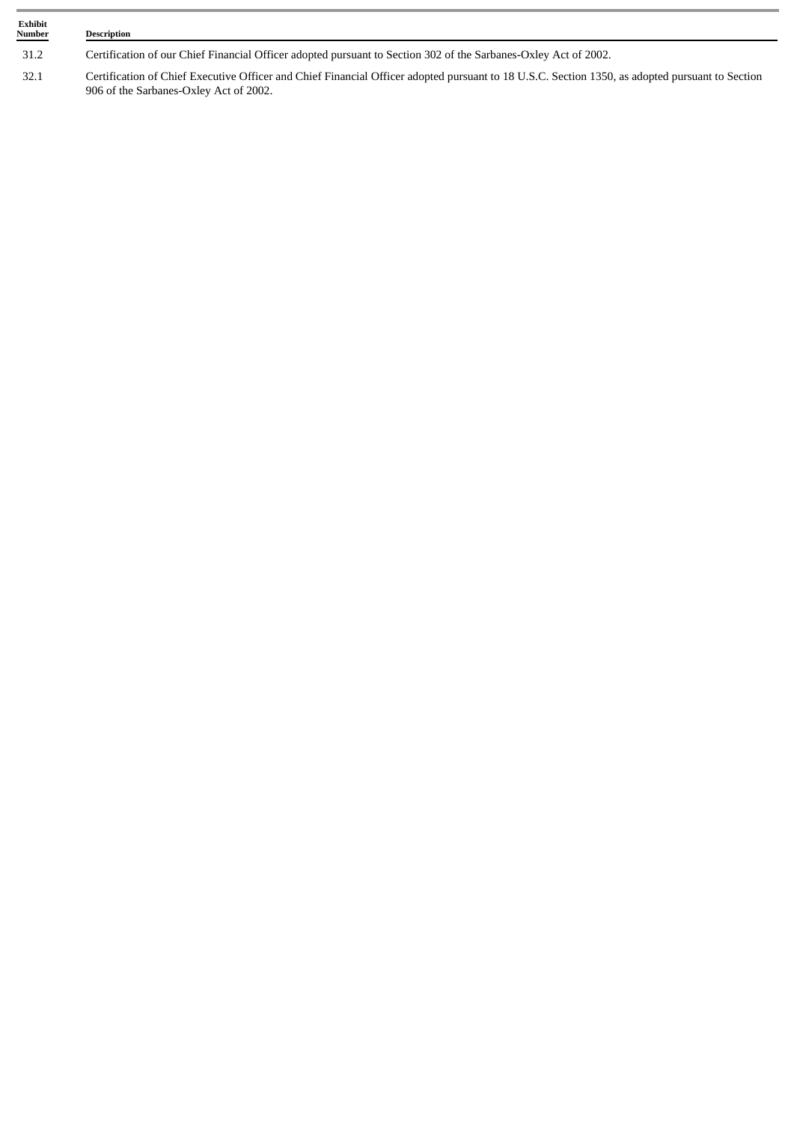| Exhibit<br><b>Number</b> | Description                                                                                                     |
|--------------------------|-----------------------------------------------------------------------------------------------------------------|
| 31.2                     | Certification of our Chief Financial Officer adopted pursuant to Section 302 of the Sarbanes-Oxley Act of 2002. |

32.1 Certification of Chief Executive Officer and Chief Financial Officer adopted pursuant to 18 U.S.C. Section 1350, as adopted pursuant to Section 906 of the Sarbanes-Oxley Act of 2002.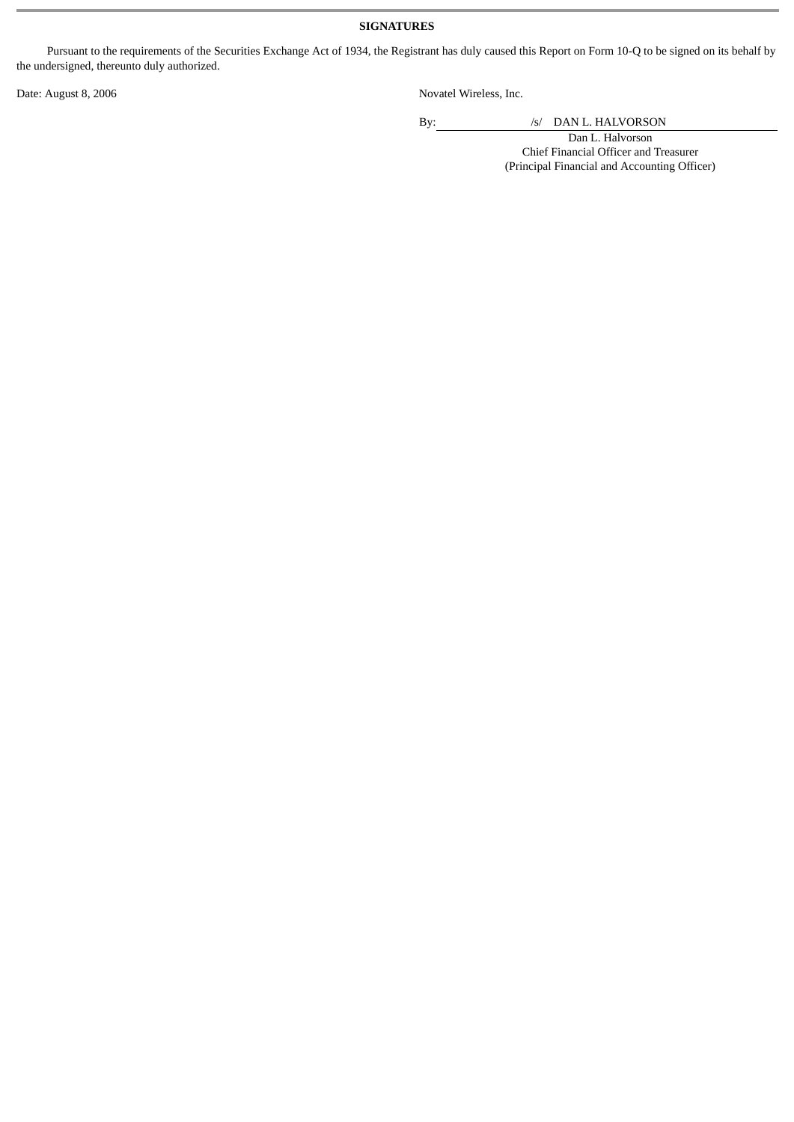# **SIGNATURES**

Pursuant to the requirements of the Securities Exchange Act of 1934, the Registrant has duly caused this Report on Form 10-Q to be signed on its behalf by the undersigned, thereunto duly authorized.

Date: August 8, 2006 Novatel Wireless, Inc.

By: /s/ DAN L. HALVORSON Dan L. Halvorson

Chief Financial Officer and Treasurer (Principal Financial and Accounting Officer)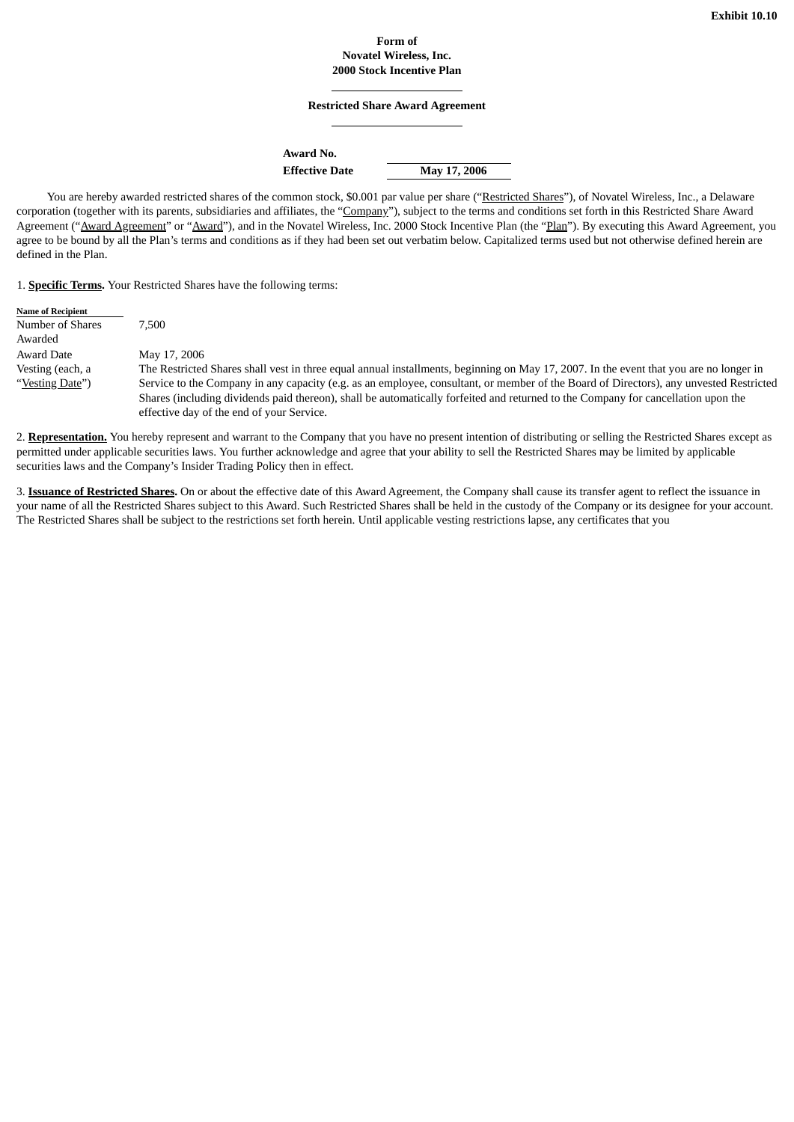# **Form of Novatel Wireless, Inc. 2000 Stock Incentive Plan**

# **Restricted Share Award Agreement**

# **Award No. Effective Date May 17, 2006**

You are hereby awarded restricted shares of the common stock, \$0.001 par value per share ("Restricted Shares"), of Novatel Wireless, Inc., a Delaware corporation (together with its parents, subsidiaries and affiliates, the "Company"), subject to the terms and conditions set forth in this Restricted Share Award Agreement ("Award Agreement" or "Award"), and in the Novatel Wireless, Inc. 2000 Stock Incentive Plan (the "Plan"). By executing this Award Agreement, you agree to be bound by all the Plan's terms and conditions as if they had been set out verbatim below. Capitalized terms used but not otherwise defined herein are defined in the Plan.

1. **Specific Terms.** Your Restricted Shares have the following terms:

| <b>Name of Recipient</b> |                                                                                                                                        |
|--------------------------|----------------------------------------------------------------------------------------------------------------------------------------|
| Number of Shares         | 7.500                                                                                                                                  |
| Awarded                  |                                                                                                                                        |
| Award Date               | May 17, 2006                                                                                                                           |
| Vesting (each, a         | The Restricted Shares shall vest in three equal annual installments, beginning on May 17, 2007. In the event that you are no longer in |
| "Vesting Date")          | Service to the Company in any capacity (e.g. as an employee, consultant, or member of the Board of Directors), any unvested Restricted |
|                          | Shares (including dividends paid thereon), shall be automatically forfeited and returned to the Company for cancellation upon the      |
|                          | effective day of the end of your Service.                                                                                              |

2. **Representation.** You hereby represent and warrant to the Company that you have no present intention of distributing or selling the Restricted Shares except as permitted under applicable securities laws. You further acknowledge and agree that your ability to sell the Restricted Shares may be limited by applicable securities laws and the Company's Insider Trading Policy then in effect.

3. **Issuance of Restricted Shares.** On or about the effective date of this Award Agreement, the Company shall cause its transfer agent to reflect the issuance in your name of all the Restricted Shares subject to this Award. Such Restricted Shares shall be held in the custody of the Company or its designee for your account. The Restricted Shares shall be subject to the restrictions set forth herein. Until applicable vesting restrictions lapse, any certificates that you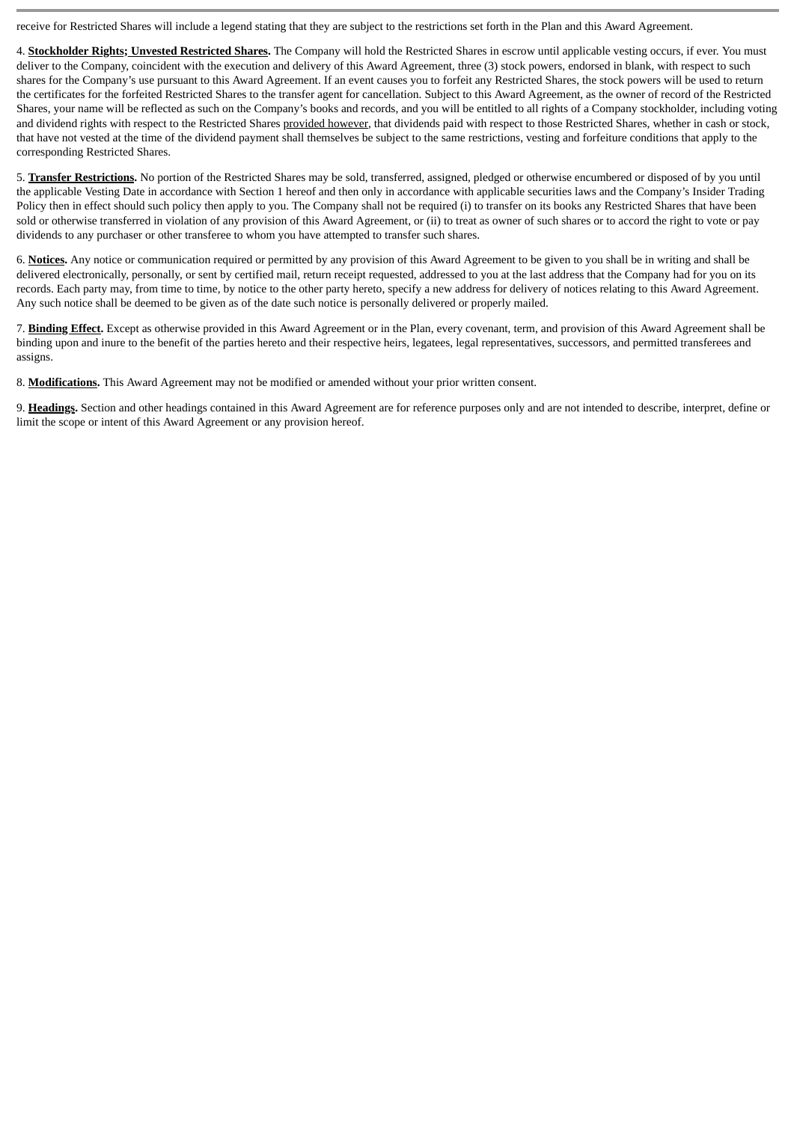receive for Restricted Shares will include a legend stating that they are subject to the restrictions set forth in the Plan and this Award Agreement.

4. **Stockholder Rights; Unvested Restricted Shares.** The Company will hold the Restricted Shares in escrow until applicable vesting occurs, if ever. You must deliver to the Company, coincident with the execution and delivery of this Award Agreement, three (3) stock powers, endorsed in blank, with respect to such shares for the Company's use pursuant to this Award Agreement. If an event causes you to forfeit any Restricted Shares, the stock powers will be used to return the certificates for the forfeited Restricted Shares to the transfer agent for cancellation. Subject to this Award Agreement, as the owner of record of the Restricted Shares, your name will be reflected as such on the Company's books and records, and you will be entitled to all rights of a Company stockholder, including voting and dividend rights with respect to the Restricted Shares provided however, that dividends paid with respect to those Restricted Shares, whether in cash or stock, that have not vested at the time of the dividend payment shall themselves be subject to the same restrictions, vesting and forfeiture conditions that apply to the corresponding Restricted Shares.

5. **Transfer Restrictions.** No portion of the Restricted Shares may be sold, transferred, assigned, pledged or otherwise encumbered or disposed of by you until the applicable Vesting Date in accordance with Section 1 hereof and then only in accordance with applicable securities laws and the Company's Insider Trading Policy then in effect should such policy then apply to you. The Company shall not be required (i) to transfer on its books any Restricted Shares that have been sold or otherwise transferred in violation of any provision of this Award Agreement, or (ii) to treat as owner of such shares or to accord the right to vote or pay dividends to any purchaser or other transferee to whom you have attempted to transfer such shares.

6. **Notices.** Any notice or communication required or permitted by any provision of this Award Agreement to be given to you shall be in writing and shall be delivered electronically, personally, or sent by certified mail, return receipt requested, addressed to you at the last address that the Company had for you on its records. Each party may, from time to time, by notice to the other party hereto, specify a new address for delivery of notices relating to this Award Agreement. Any such notice shall be deemed to be given as of the date such notice is personally delivered or properly mailed.

7. **Binding Effect.** Except as otherwise provided in this Award Agreement or in the Plan, every covenant, term, and provision of this Award Agreement shall be binding upon and inure to the benefit of the parties hereto and their respective heirs, legatees, legal representatives, successors, and permitted transferees and assigns.

8. **Modifications.** This Award Agreement may not be modified or amended without your prior written consent.

9. **Headings.** Section and other headings contained in this Award Agreement are for reference purposes only and are not intended to describe, interpret, define or limit the scope or intent of this Award Agreement or any provision hereof.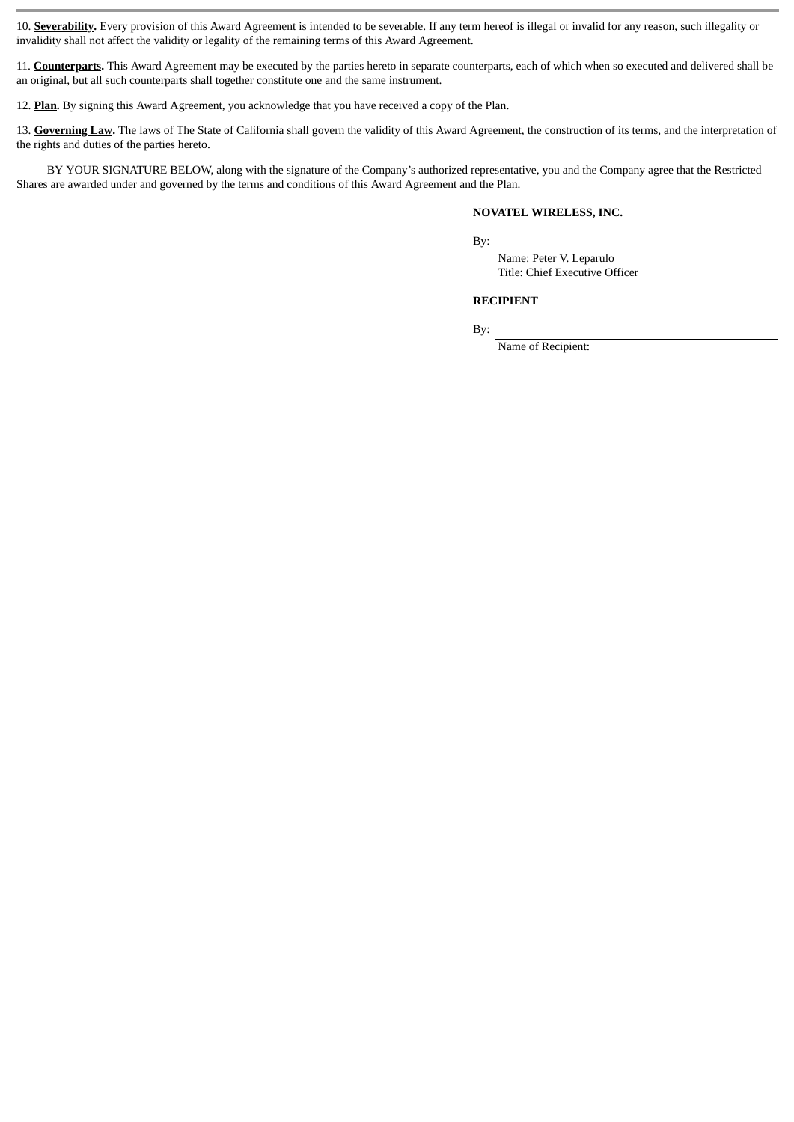10. **Severability.** Every provision of this Award Agreement is intended to be severable. If any term hereof is illegal or invalid for any reason, such illegality or invalidity shall not affect the validity or legality of the remaining terms of this Award Agreement.

11. **Counterparts.** This Award Agreement may be executed by the parties hereto in separate counterparts, each of which when so executed and delivered shall be an original, but all such counterparts shall together constitute one and the same instrument.

12. **Plan.** By signing this Award Agreement, you acknowledge that you have received a copy of the Plan.

13. Governing Law. The laws of The State of California shall govern the validity of this Award Agreement, the construction of its terms, and the interpretation of the rights and duties of the parties hereto.

BY YOUR SIGNATURE BELOW, along with the signature of the Company's authorized representative, you and the Company agree that the Restricted Shares are awarded under and governed by the terms and conditions of this Award Agreement and the Plan.

# **NOVATEL WIRELESS, INC.**

By:

Name: Peter V. Leparulo Title: Chief Executive Officer

# **RECIPIENT**

By:

Name of Recipient: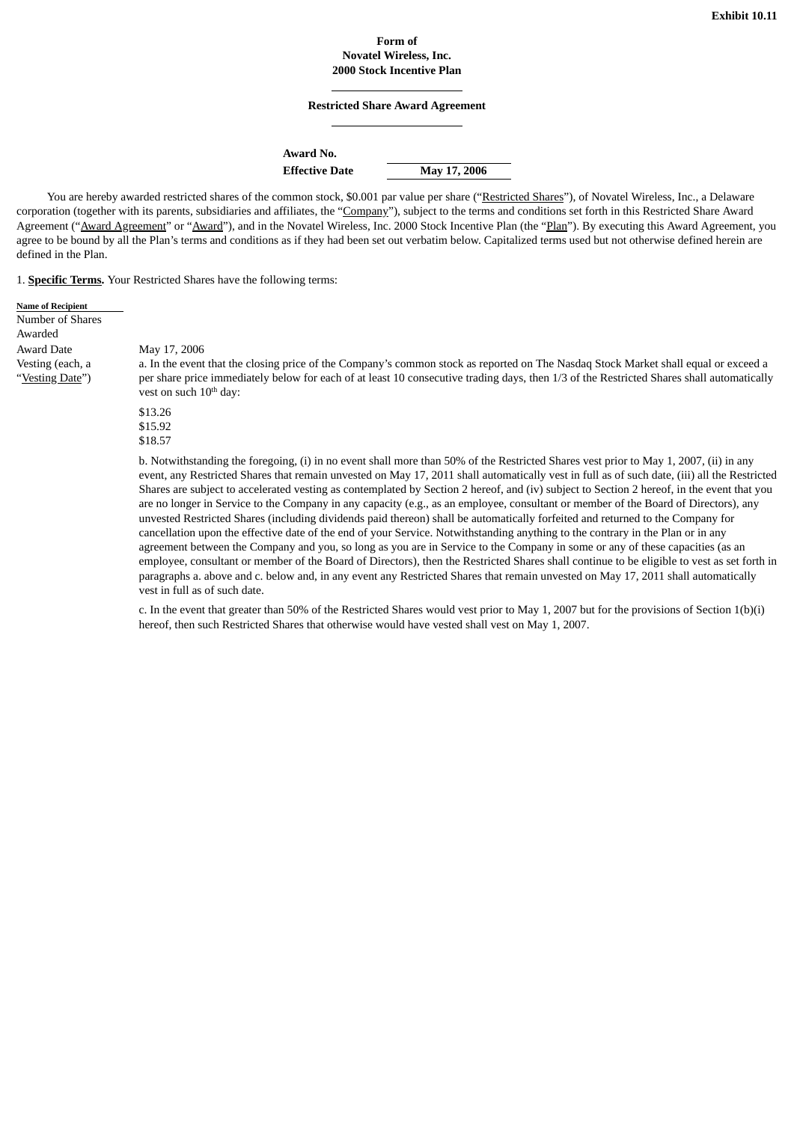# **Form of Novatel Wireless, Inc. 2000 Stock Incentive Plan**

#### **Restricted Share Award Agreement**

# **Award No. Effective Date May 17, 2006**

You are hereby awarded restricted shares of the common stock, \$0.001 par value per share ("Restricted Shares"), of Novatel Wireless, Inc., a Delaware corporation (together with its parents, subsidiaries and affiliates, the "Company"), subject to the terms and conditions set forth in this Restricted Share Award Agreement ("Award Agreement" or "Award"), and in the Novatel Wireless, Inc. 2000 Stock Incentive Plan (the "Plan"). By executing this Award Agreement, you agree to be bound by all the Plan's terms and conditions as if they had been set out verbatim below. Capitalized terms used but not otherwise defined herein are defined in the Plan.

1. **Specific Terms.** Your Restricted Shares have the following terms:

**Name of Recipient** Number of Shares Awarded<br>Award Date May 17, 2006 Vesting (each, a "Vesting Date") a. In the event that the closing price of the Company's common stock as reported on The Nasdaq Stock Market shall equal or exceed a per share price immediately below for each of at least 10 consecutive trading days, then 1/3 of the Restricted Shares shall automatically vest on such 10<sup>th</sup> day: \$13.26 \$15.92 \$18.57 b. Notwithstanding the foregoing, (i) in no event shall more than 50% of the Restricted Shares vest prior to May 1, 2007, (ii) in any event, any Restricted Shares that remain unvested on May 17, 2011 shall automatically vest in full as of such date, (iii) all the Restricted Shares are subject to accelerated vesting as contemplated by Section 2 hereof, and (iv) subject to Section 2 hereof, in the event that you are no longer in Service to the Company in any capacity (e.g., as an employee, consultant or member of the Board of Directors), any unvested Restricted Shares (including dividends paid thereon) shall be automatically forfeited and returned to the Company for cancellation upon the effective date of the end of your Service. Notwithstanding anything to the contrary in the Plan or in any agreement between the Company and you, so long as you are in Service to the Company in some or any of these capacities (as an employee, consultant or member of the Board of Directors), then the Restricted Shares shall continue to be eligible to vest as set forth in paragraphs a. above and c. below and, in any event any Restricted Shares that remain unvested on May 17, 2011 shall automatically vest in full as of such date.

> c. In the event that greater than 50% of the Restricted Shares would vest prior to May 1, 2007 but for the provisions of Section 1(b)(i) hereof, then such Restricted Shares that otherwise would have vested shall vest on May 1, 2007.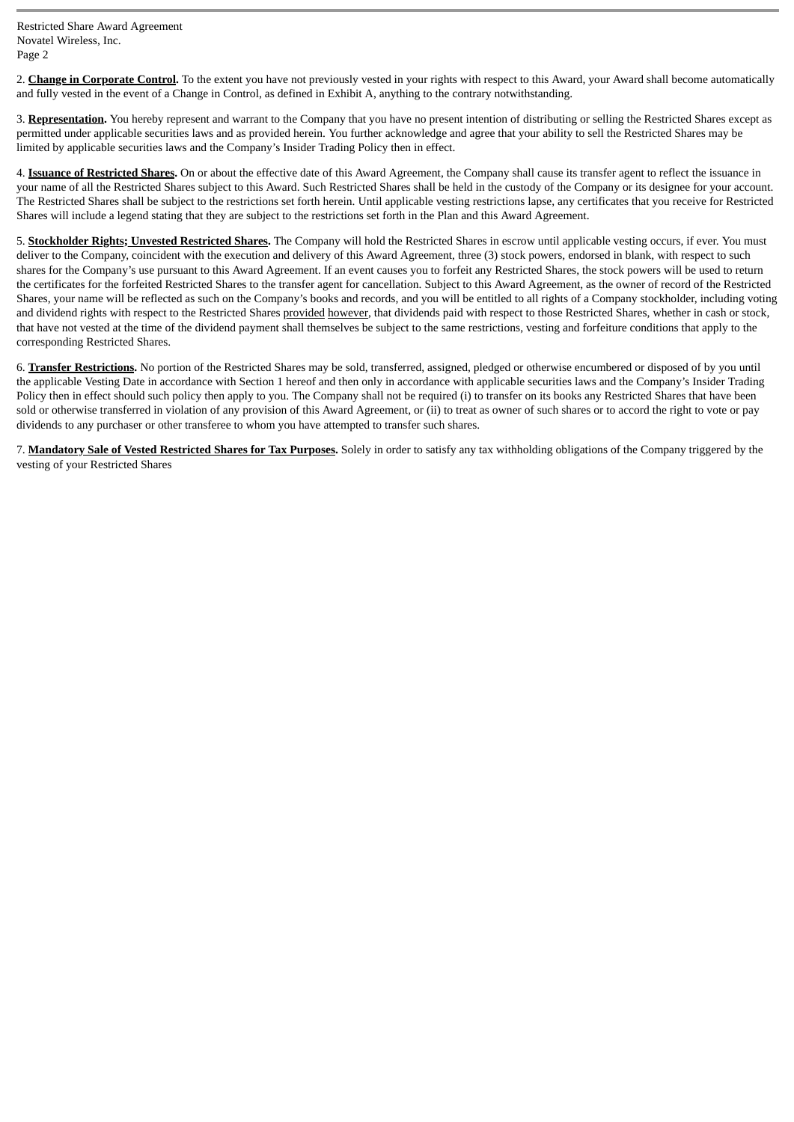2. **Change in Corporate Control.** To the extent you have not previously vested in your rights with respect to this Award, your Award shall become automatically and fully vested in the event of a Change in Control, as defined in Exhibit A, anything to the contrary notwithstanding.

3. **Representation.** You hereby represent and warrant to the Company that you have no present intention of distributing or selling the Restricted Shares except as permitted under applicable securities laws and as provided herein. You further acknowledge and agree that your ability to sell the Restricted Shares may be limited by applicable securities laws and the Company's Insider Trading Policy then in effect.

4. **Issuance of Restricted Shares.** On or about the effective date of this Award Agreement, the Company shall cause its transfer agent to reflect the issuance in your name of all the Restricted Shares subject to this Award. Such Restricted Shares shall be held in the custody of the Company or its designee for your account. The Restricted Shares shall be subject to the restrictions set forth herein. Until applicable vesting restrictions lapse, any certificates that you receive for Restricted Shares will include a legend stating that they are subject to the restrictions set forth in the Plan and this Award Agreement.

5. **Stockholder Rights; Unvested Restricted Shares.** The Company will hold the Restricted Shares in escrow until applicable vesting occurs, if ever. You must deliver to the Company, coincident with the execution and delivery of this Award Agreement, three (3) stock powers, endorsed in blank, with respect to such shares for the Company's use pursuant to this Award Agreement. If an event causes you to forfeit any Restricted Shares, the stock powers will be used to return the certificates for the forfeited Restricted Shares to the transfer agent for cancellation. Subject to this Award Agreement, as the owner of record of the Restricted Shares, your name will be reflected as such on the Company's books and records, and you will be entitled to all rights of a Company stockholder, including voting and dividend rights with respect to the Restricted Shares provided however, that dividends paid with respect to those Restricted Shares, whether in cash or stock, that have not vested at the time of the dividend payment shall themselves be subject to the same restrictions, vesting and forfeiture conditions that apply to the corresponding Restricted Shares.

6. **Transfer Restrictions.** No portion of the Restricted Shares may be sold, transferred, assigned, pledged or otherwise encumbered or disposed of by you until the applicable Vesting Date in accordance with Section 1 hereof and then only in accordance with applicable securities laws and the Company's Insider Trading Policy then in effect should such policy then apply to you. The Company shall not be required (i) to transfer on its books any Restricted Shares that have been sold or otherwise transferred in violation of any provision of this Award Agreement, or (ii) to treat as owner of such shares or to accord the right to vote or pay dividends to any purchaser or other transferee to whom you have attempted to transfer such shares.

7. **Mandatory Sale of Vested Restricted Shares for Tax Purposes.** Solely in order to satisfy any tax withholding obligations of the Company triggered by the vesting of your Restricted Shares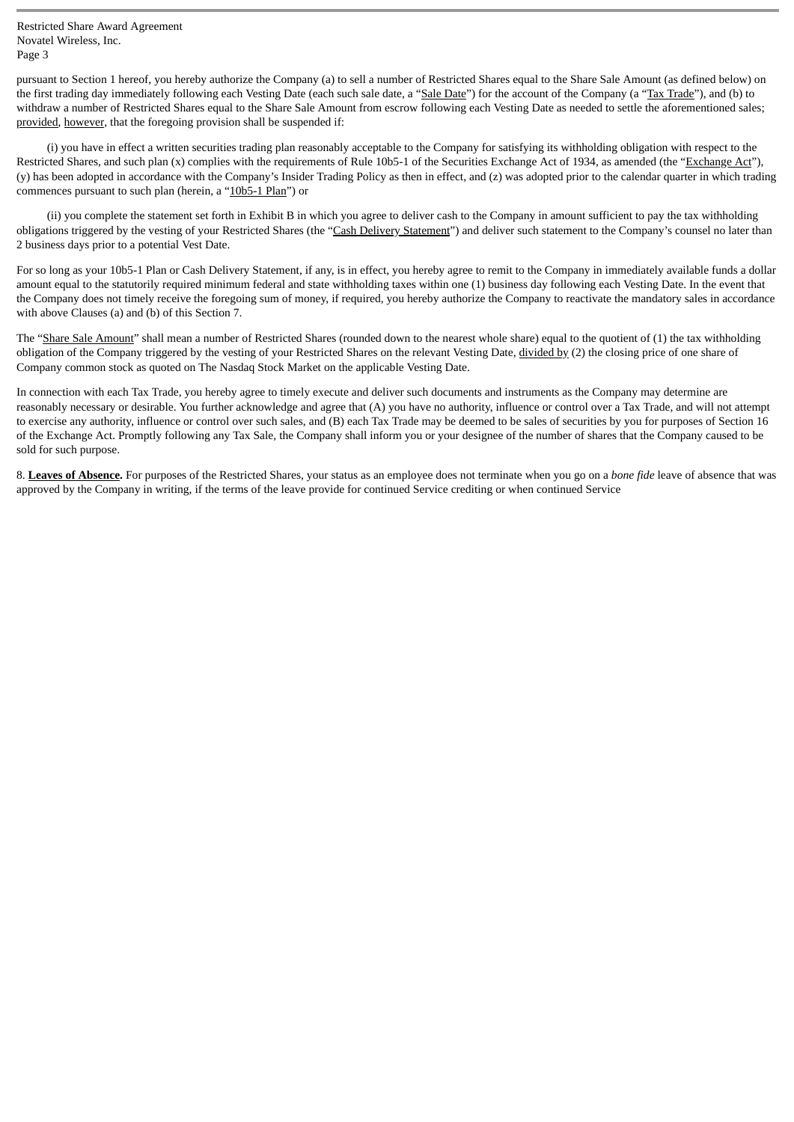pursuant to Section 1 hereof, you hereby authorize the Company (a) to sell a number of Restricted Shares equal to the Share Sale Amount (as defined below) on the first trading day immediately following each Vesting Date (each such sale date, a "Sale Date") for the account of the Company (a "Tax Trade"), and (b) to withdraw a number of Restricted Shares equal to the Share Sale Amount from escrow following each Vesting Date as needed to settle the aforementioned sales; provided, however, that the foregoing provision shall be suspended if:

(i) you have in effect a written securities trading plan reasonably acceptable to the Company for satisfying its withholding obligation with respect to the Restricted Shares, and such plan (x) complies with the requirements of Rule 10b5-1 of the Securities Exchange Act of 1934, as amended (the "Exchange Act"), (y) has been adopted in accordance with the Company's Insider Trading Policy as then in effect, and (z) was adopted prior to the calendar quarter in which trading commences pursuant to such plan (herein, a "10b5-1 Plan") or

(ii) you complete the statement set forth in Exhibit B in which you agree to deliver cash to the Company in amount sufficient to pay the tax withholding obligations triggered by the vesting of your Restricted Shares (the "Cash Delivery Statement") and deliver such statement to the Company's counsel no later than 2 business days prior to a potential Vest Date.

For so long as your 10b5-1 Plan or Cash Delivery Statement, if any, is in effect, you hereby agree to remit to the Company in immediately available funds a dollar amount equal to the statutorily required minimum federal and state withholding taxes within one (1) business day following each Vesting Date. In the event that the Company does not timely receive the foregoing sum of money, if required, you hereby authorize the Company to reactivate the mandatory sales in accordance with above Clauses (a) and (b) of this Section 7.

The "Share Sale Amount" shall mean a number of Restricted Shares (rounded down to the nearest whole share) equal to the quotient of (1) the tax withholding obligation of the Company triggered by the vesting of your Restricted Shares on the relevant Vesting Date, divided by (2) the closing price of one share of Company common stock as quoted on The Nasdaq Stock Market on the applicable Vesting Date.

In connection with each Tax Trade, you hereby agree to timely execute and deliver such documents and instruments as the Company may determine are reasonably necessary or desirable. You further acknowledge and agree that (A) you have no authority, influence or control over a Tax Trade, and will not attempt to exercise any authority, influence or control over such sales, and (B) each Tax Trade may be deemed to be sales of securities by you for purposes of Section 16 of the Exchange Act. Promptly following any Tax Sale, the Company shall inform you or your designee of the number of shares that the Company caused to be sold for such purpose.

8. **Leaves of Absence.** For purposes of the Restricted Shares, your status as an employee does not terminate when you go on a *bone fide* leave of absence that was approved by the Company in writing, if the terms of the leave provide for continued Service crediting or when continued Service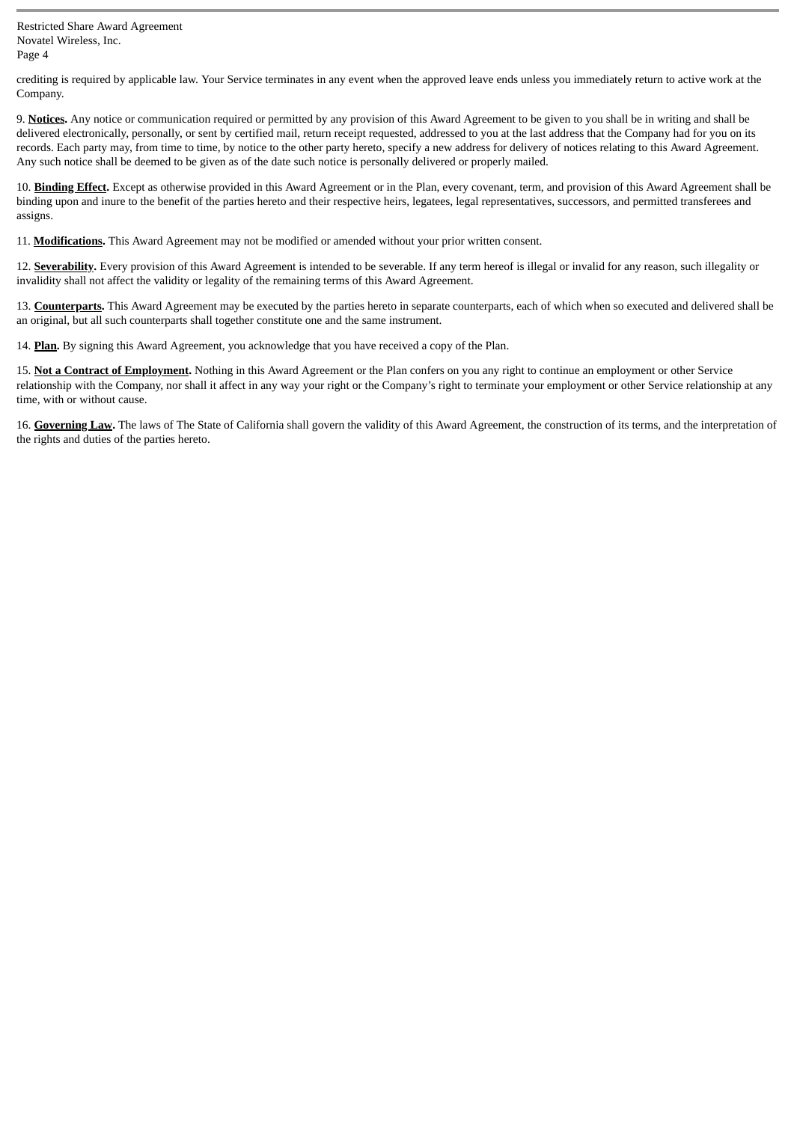crediting is required by applicable law. Your Service terminates in any event when the approved leave ends unless you immediately return to active work at the Company.

9. **Notices.** Any notice or communication required or permitted by any provision of this Award Agreement to be given to you shall be in writing and shall be delivered electronically, personally, or sent by certified mail, return receipt requested, addressed to you at the last address that the Company had for you on its records. Each party may, from time to time, by notice to the other party hereto, specify a new address for delivery of notices relating to this Award Agreement. Any such notice shall be deemed to be given as of the date such notice is personally delivered or properly mailed.

10. **Binding Effect.** Except as otherwise provided in this Award Agreement or in the Plan, every covenant, term, and provision of this Award Agreement shall be binding upon and inure to the benefit of the parties hereto and their respective heirs, legatees, legal representatives, successors, and permitted transferees and assigns.

11. **Modifications.** This Award Agreement may not be modified or amended without your prior written consent.

12. **Severability**. Every provision of this Award Agreement is intended to be severable. If any term hereof is illegal or invalid for any reason, such illegality or invalidity shall not affect the validity or legality of the remaining terms of this Award Agreement.

13. **Counterparts.** This Award Agreement may be executed by the parties hereto in separate counterparts, each of which when so executed and delivered shall be an original, but all such counterparts shall together constitute one and the same instrument.

14. **Plan.** By signing this Award Agreement, you acknowledge that you have received a copy of the Plan.

15. **Not a Contract of Employment.** Nothing in this Award Agreement or the Plan confers on you any right to continue an employment or other Service relationship with the Company, nor shall it affect in any way your right or the Company's right to terminate your employment or other Service relationship at any time, with or without cause.

16. **Governing Law.** The laws of The State of California shall govern the validity of this Award Agreement, the construction of its terms, and the interpretation of the rights and duties of the parties hereto.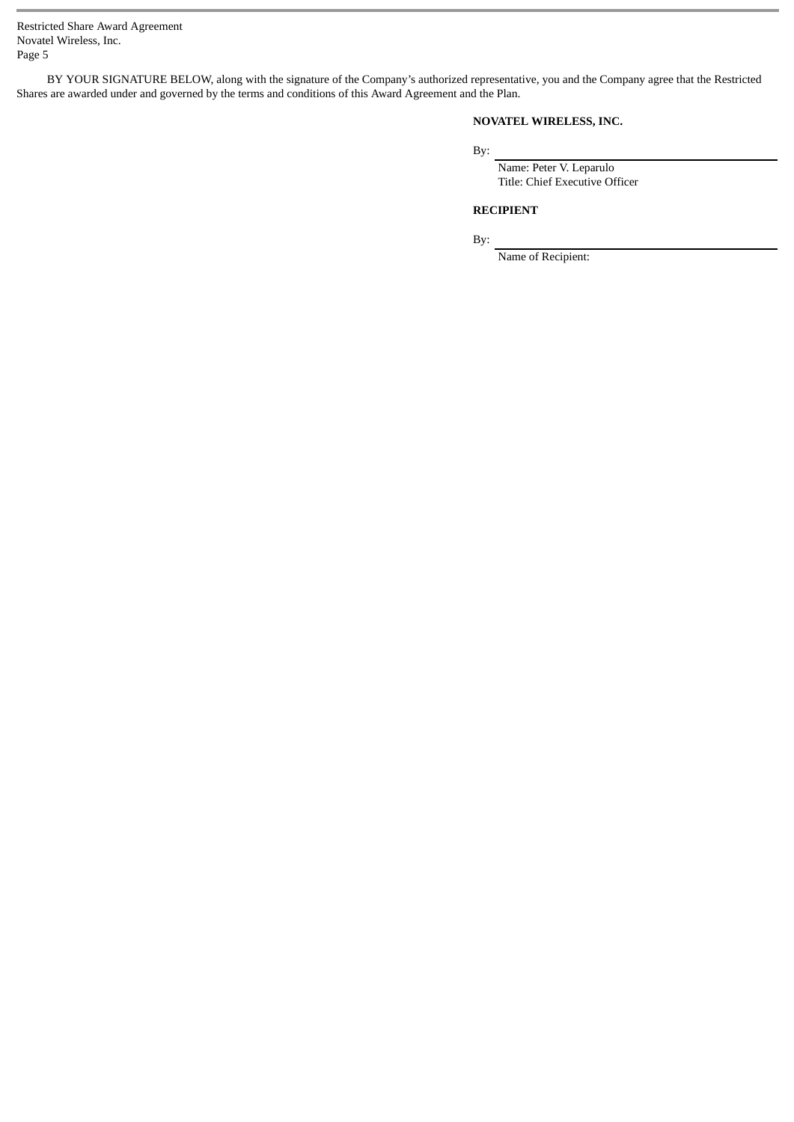BY YOUR SIGNATURE BELOW, along with the signature of the Company's authorized representative, you and the Company agree that the Restricted Shares are awarded under and governed by the terms and conditions of this Award Agreement and the Plan.

# **NOVATEL WIRELESS, INC.**

By:

Name: Peter V. Leparulo Title: Chief Executive Officer

# **RECIPIENT**

By:

Name of Recipient: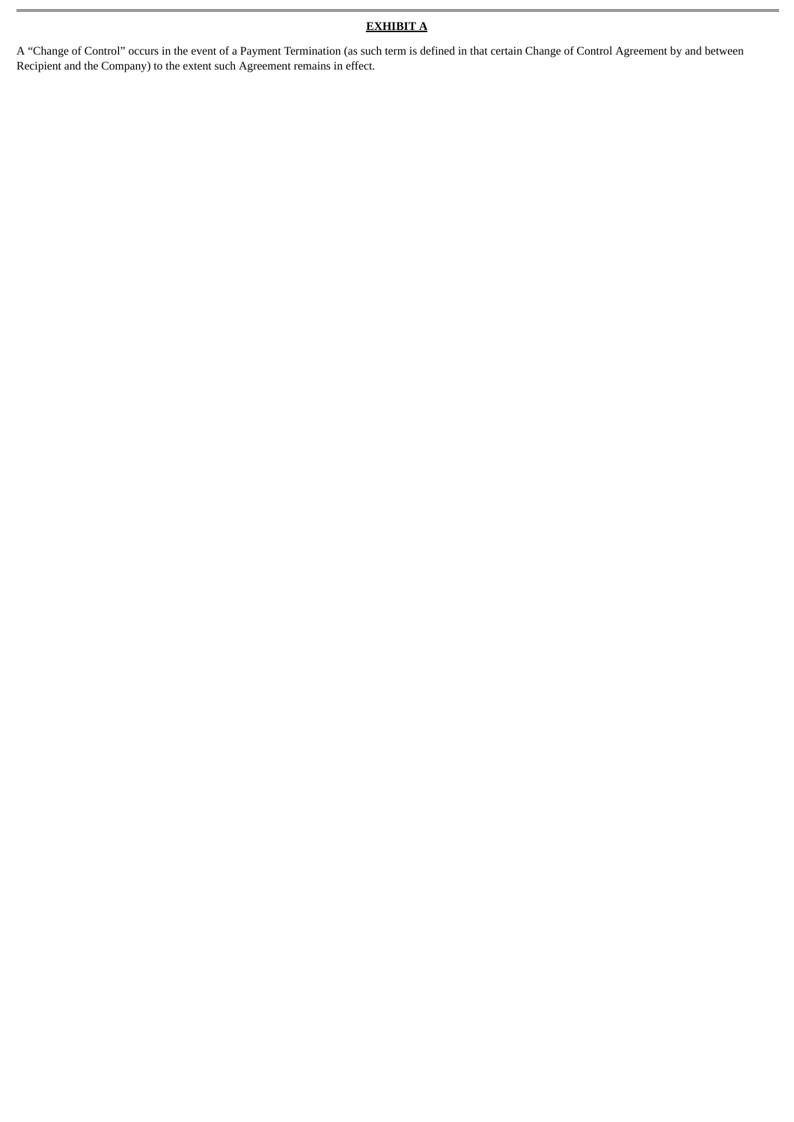# **EXHIBIT A**

A "Change of Control" occurs in the event of a Payment Termination (as such term is defined in that certain Change of Control Agreement by and between Recipient and the Company) to the extent such Agreement remains in effect.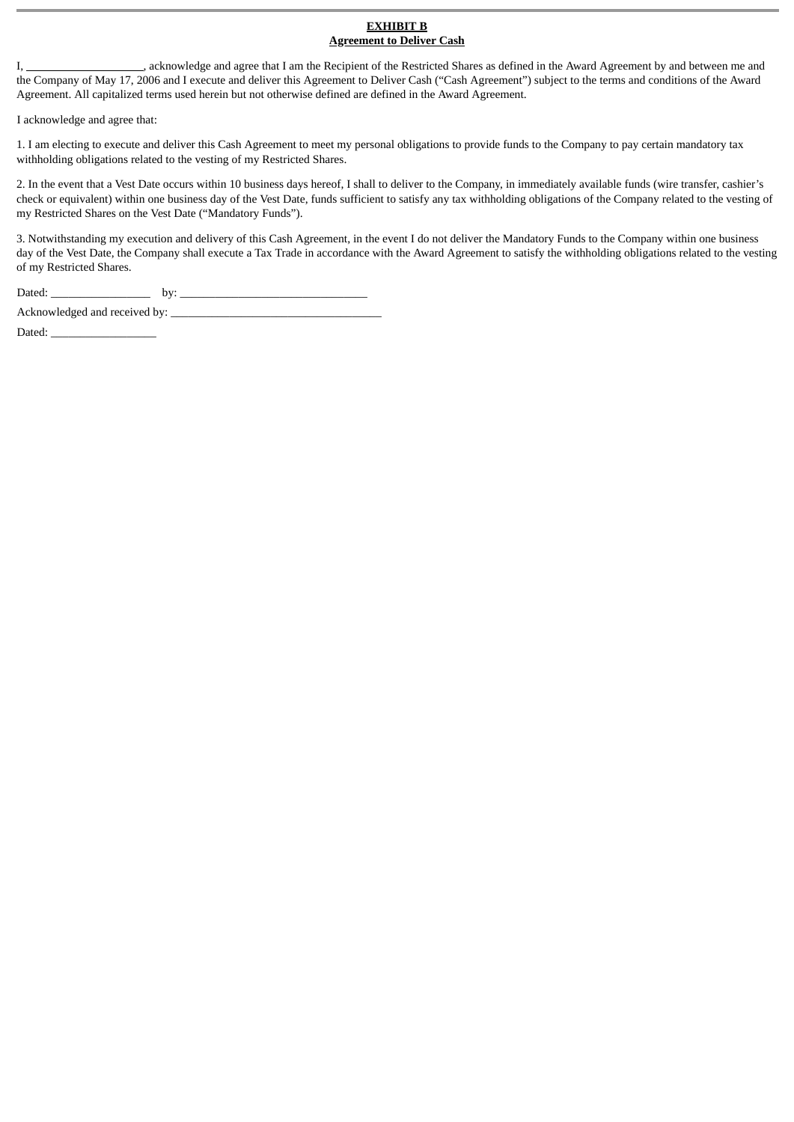# **EXHIBIT B Agreement to Deliver Cash**

I, \_\_\_\_\_\_\_\_\_\_\_\_\_\_\_\_\_\_\_\_\_, acknowledge and agree that I am the Recipient of the Restricted Shares as defined in the Award Agreement by and between me and the Company of May 17, 2006 and I execute and deliver this Agreement to Deliver Cash ("Cash Agreement") subject to the terms and conditions of the Award Agreement. All capitalized terms used herein but not otherwise defined are defined in the Award Agreement.

I acknowledge and agree that:

1. I am electing to execute and deliver this Cash Agreement to meet my personal obligations to provide funds to the Company to pay certain mandatory tax withholding obligations related to the vesting of my Restricted Shares.

2. In the event that a Vest Date occurs within 10 business days hereof, I shall to deliver to the Company, in immediately available funds (wire transfer, cashier's check or equivalent) within one business day of the Vest Date, funds sufficient to satisfy any tax withholding obligations of the Company related to the vesting of my Restricted Shares on the Vest Date ("Mandatory Funds").

3. Notwithstanding my execution and delivery of this Cash Agreement, in the event I do not deliver the Mandatory Funds to the Company within one business day of the Vest Date, the Company shall execute a Tax Trade in accordance with the Award Agreement to satisfy the withholding obligations related to the vesting of my Restricted Shares.

Dated: when  $\overline{b}$  by:

Acknowledged and received by: \_\_\_\_\_\_\_\_\_\_\_\_\_\_\_\_\_\_\_\_\_\_\_\_\_\_\_\_\_\_\_\_\_\_\_\_

Dated: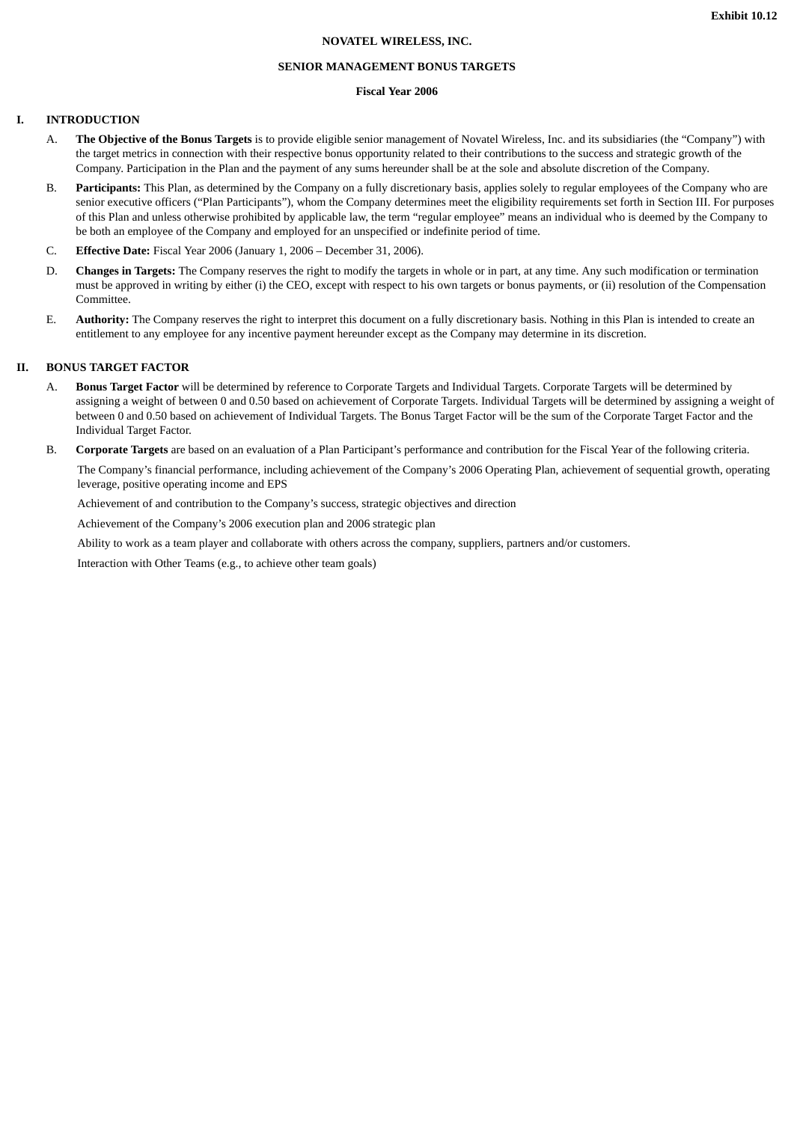# **NOVATEL WIRELESS, INC.**

# **SENIOR MANAGEMENT BONUS TARGETS**

#### **Fiscal Year 2006**

# **I. INTRODUCTION**

- A. **The Objective of the Bonus Targets** is to provide eligible senior management of Novatel Wireless, Inc. and its subsidiaries (the "Company") with the target metrics in connection with their respective bonus opportunity related to their contributions to the success and strategic growth of the Company. Participation in the Plan and the payment of any sums hereunder shall be at the sole and absolute discretion of the Company.
- B. **Participants:** This Plan, as determined by the Company on a fully discretionary basis, applies solely to regular employees of the Company who are senior executive officers ("Plan Participants"), whom the Company determines meet the eligibility requirements set forth in Section III. For purposes of this Plan and unless otherwise prohibited by applicable law, the term "regular employee" means an individual who is deemed by the Company to be both an employee of the Company and employed for an unspecified or indefinite period of time.
- C. **Effective Date:** Fiscal Year 2006 (January 1, 2006 December 31, 2006).
- D. **Changes in Targets:** The Company reserves the right to modify the targets in whole or in part, at any time. Any such modification or termination must be approved in writing by either (i) the CEO, except with respect to his own targets or bonus payments, or (ii) resolution of the Compensation Committee.
- E. **Authority:** The Company reserves the right to interpret this document on a fully discretionary basis. Nothing in this Plan is intended to create an entitlement to any employee for any incentive payment hereunder except as the Company may determine in its discretion.

# **II. BONUS TARGET FACTOR**

- A. **Bonus Target Factor** will be determined by reference to Corporate Targets and Individual Targets. Corporate Targets will be determined by assigning a weight of between 0 and 0.50 based on achievement of Corporate Targets. Individual Targets will be determined by assigning a weight of between 0 and 0.50 based on achievement of Individual Targets. The Bonus Target Factor will be the sum of the Corporate Target Factor and the Individual Target Factor.
- B. **Corporate Targets** are based on an evaluation of a Plan Participant's performance and contribution for the Fiscal Year of the following criteria.

The Company's financial performance, including achievement of the Company's 2006 Operating Plan, achievement of sequential growth, operating leverage, positive operating income and EPS

Achievement of and contribution to the Company's success, strategic objectives and direction

Achievement of the Company's 2006 execution plan and 2006 strategic plan

Ability to work as a team player and collaborate with others across the company, suppliers, partners and/or customers.

Interaction with Other Teams (e.g., to achieve other team goals)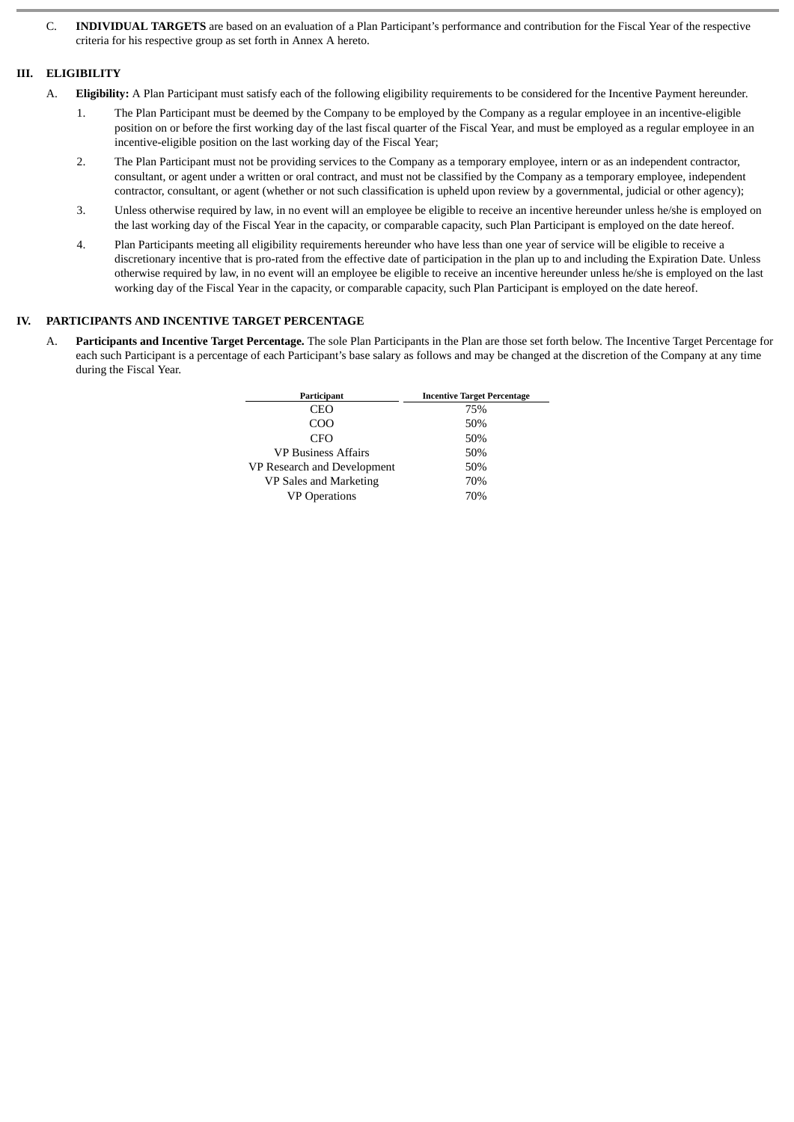C. **INDIVIDUAL TARGETS** are based on an evaluation of a Plan Participant's performance and contribution for the Fiscal Year of the respective criteria for his respective group as set forth in Annex A hereto.

# **III. ELIGIBILITY**

- A. **Eligibility:** A Plan Participant must satisfy each of the following eligibility requirements to be considered for the Incentive Payment hereunder.
	- 1. The Plan Participant must be deemed by the Company to be employed by the Company as a regular employee in an incentive-eligible position on or before the first working day of the last fiscal quarter of the Fiscal Year, and must be employed as a regular employee in an incentive-eligible position on the last working day of the Fiscal Year;
	- 2. The Plan Participant must not be providing services to the Company as a temporary employee, intern or as an independent contractor, consultant, or agent under a written or oral contract, and must not be classified by the Company as a temporary employee, independent contractor, consultant, or agent (whether or not such classification is upheld upon review by a governmental, judicial or other agency);
	- 3. Unless otherwise required by law, in no event will an employee be eligible to receive an incentive hereunder unless he/she is employed on the last working day of the Fiscal Year in the capacity, or comparable capacity, such Plan Participant is employed on the date hereof.
	- 4. Plan Participants meeting all eligibility requirements hereunder who have less than one year of service will be eligible to receive a discretionary incentive that is pro-rated from the effective date of participation in the plan up to and including the Expiration Date. Unless otherwise required by law, in no event will an employee be eligible to receive an incentive hereunder unless he/she is employed on the last working day of the Fiscal Year in the capacity, or comparable capacity, such Plan Participant is employed on the date hereof.

# **IV. PARTICIPANTS AND INCENTIVE TARGET PERCENTAGE**

A. **Participants and Incentive Target Percentage.** The sole Plan Participants in the Plan are those set forth below. The Incentive Target Percentage for each such Participant is a percentage of each Participant's base salary as follows and may be changed at the discretion of the Company at any time during the Fiscal Year.

| Participant                 | <b>Incentive Target Percentage</b> |
|-----------------------------|------------------------------------|
| CEO                         | 75%                                |
| COO                         | 50%                                |
| <b>CFO</b>                  | 50%                                |
| <b>VP Business Affairs</b>  | 50%                                |
| VP Research and Development | 50%                                |
| VP Sales and Marketing      | 70%                                |
| <b>VP</b> Operations        | 70%                                |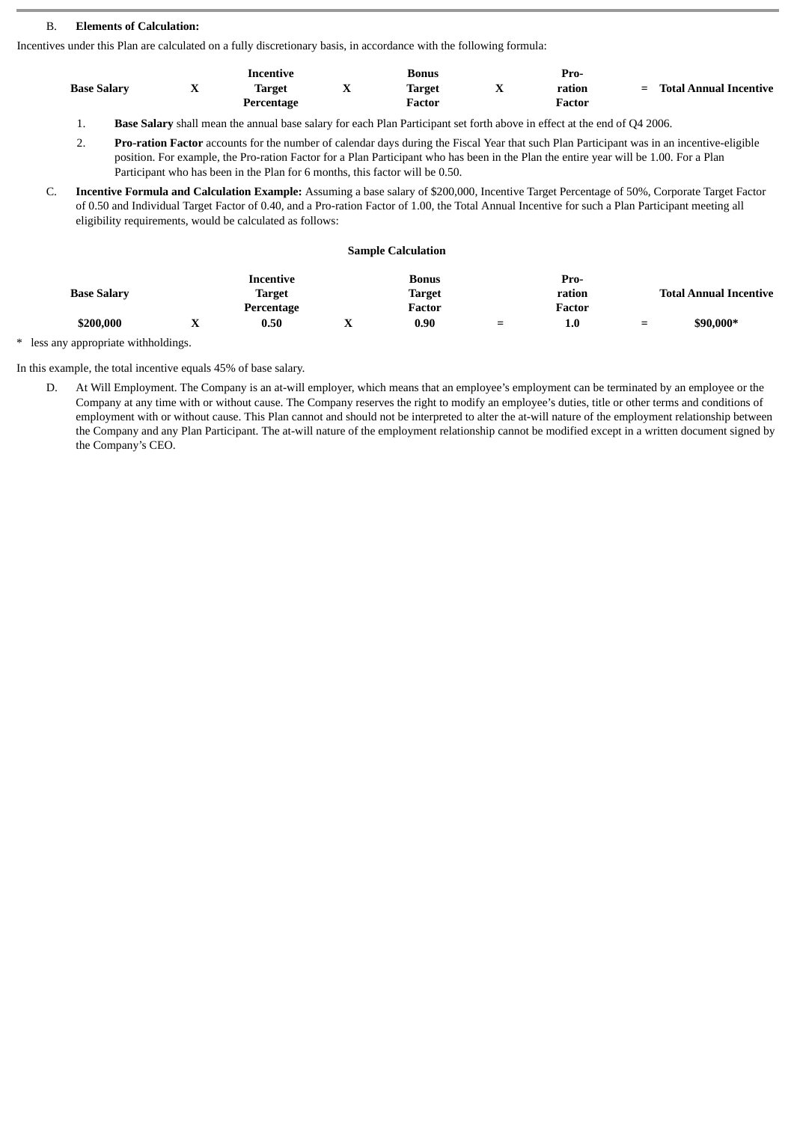# B. **Elements of Calculation:**

Incentives under this Plan are calculated on a fully discretionary basis, in accordance with the following formula:

|                    |              | Incentive  |           | <b>Bonus</b> |    | Pro-   |                            |
|--------------------|--------------|------------|-----------|--------------|----|--------|----------------------------|
| <b>Base Salary</b> | $\mathbf{A}$ | Target     | $\Lambda$ | Target       | ∡⊾ | ration | $=$ Total Annual Incentive |
|                    |              | Percentage |           | Factor       |    | Factor |                            |

- 1. **Base Salary** shall mean the annual base salary for each Plan Participant set forth above in effect at the end of Q4 2006.
- 2. **Pro-ration Factor** accounts for the number of calendar days during the Fiscal Year that such Plan Participant was in an incentive-eligible position. For example, the Pro-ration Factor for a Plan Participant who has been in the Plan the entire year will be 1.00. For a Plan Participant who has been in the Plan for 6 months, this factor will be 0.50.
- C. **Incentive Formula and Calculation Example:** Assuming a base salary of \$200,000, Incentive Target Percentage of 50%, Corporate Target Factor of 0.50 and Individual Target Factor of 0.40, and a Pro-ration Factor of 1.00, the Total Annual Incentive for such a Plan Participant meeting all eligibility requirements, would be calculated as follows:

|                    |   |            |   | <b>Sample Calculation</b> |     |        |     |                               |
|--------------------|---|------------|---|---------------------------|-----|--------|-----|-------------------------------|
|                    |   | Incentive  |   | <b>Bonus</b>              |     | Pro-   |     |                               |
| <b>Base Salary</b> |   | Target     |   | <b>Target</b>             |     | ration |     | <b>Total Annual Incentive</b> |
|                    |   | Percentage |   | Factor                    |     | Factor |     |                               |
| \$200,000          | л | 0.50       | A | 0.90                      | $=$ | 1.0    | $=$ | \$90,000*                     |

\* less any appropriate withholdings.

In this example, the total incentive equals 45% of base salary.

D. At Will Employment. The Company is an at-will employer, which means that an employee's employment can be terminated by an employee or the Company at any time with or without cause. The Company reserves the right to modify an employee's duties, title or other terms and conditions of employment with or without cause. This Plan cannot and should not be interpreted to alter the at-will nature of the employment relationship between the Company and any Plan Participant. The at-will nature of the employment relationship cannot be modified except in a written document signed by the Company's CEO.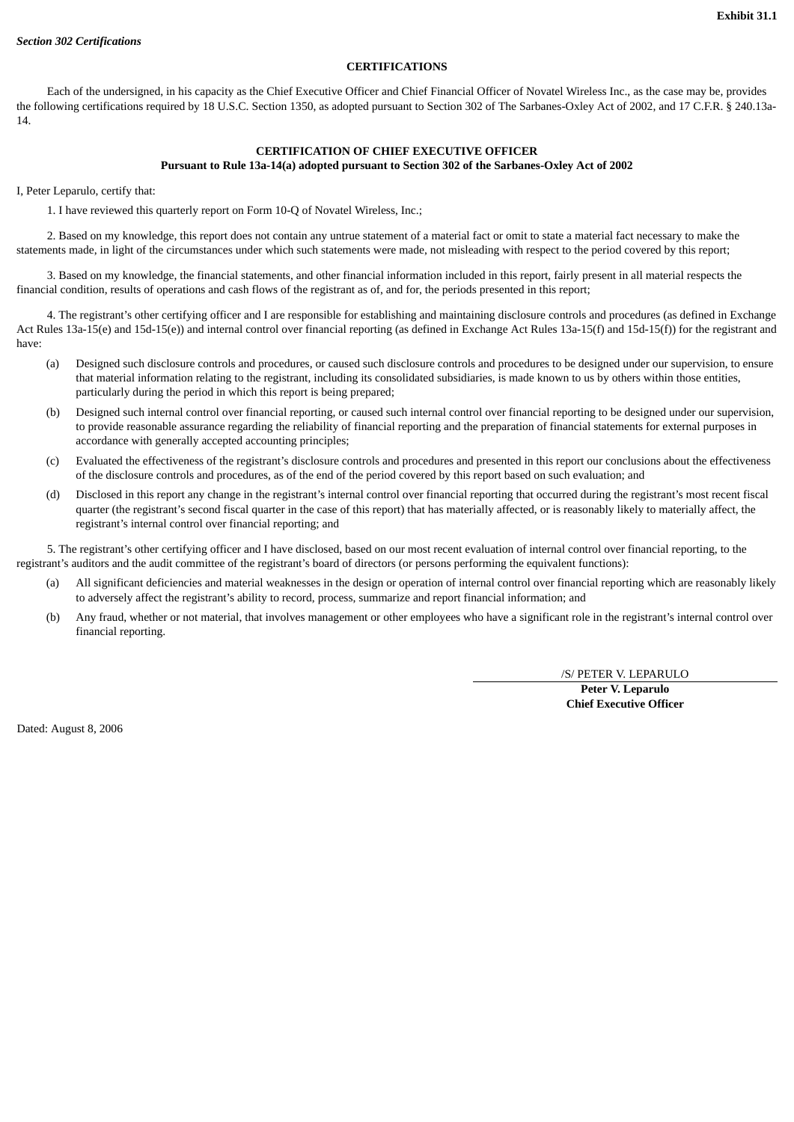# **CERTIFICATIONS**

Each of the undersigned, in his capacity as the Chief Executive Officer and Chief Financial Officer of Novatel Wireless Inc., as the case may be, provides the following certifications required by 18 U.S.C. Section 1350, as adopted pursuant to Section 302 of The Sarbanes-Oxley Act of 2002, and 17 C.F.R. § 240.13a-14.

# **CERTIFICATION OF CHIEF EXECUTIVE OFFICER**

# **Pursuant to Rule 13a-14(a) adopted pursuant to Section 302 of the Sarbanes-Oxley Act of 2002**

I, Peter Leparulo, certify that:

1. I have reviewed this quarterly report on Form 10-Q of Novatel Wireless, Inc.;

2. Based on my knowledge, this report does not contain any untrue statement of a material fact or omit to state a material fact necessary to make the statements made, in light of the circumstances under which such statements were made, not misleading with respect to the period covered by this report;

3. Based on my knowledge, the financial statements, and other financial information included in this report, fairly present in all material respects the financial condition, results of operations and cash flows of the registrant as of, and for, the periods presented in this report;

4. The registrant's other certifying officer and I are responsible for establishing and maintaining disclosure controls and procedures (as defined in Exchange Act Rules 13a-15(e) and 15d-15(e)) and internal control over financial reporting (as defined in Exchange Act Rules 13a-15(f) and 15d-15(f)) for the registrant and have:

- (a) Designed such disclosure controls and procedures, or caused such disclosure controls and procedures to be designed under our supervision, to ensure that material information relating to the registrant, including its consolidated subsidiaries, is made known to us by others within those entities, particularly during the period in which this report is being prepared;
- (b) Designed such internal control over financial reporting, or caused such internal control over financial reporting to be designed under our supervision, to provide reasonable assurance regarding the reliability of financial reporting and the preparation of financial statements for external purposes in accordance with generally accepted accounting principles;
- (c) Evaluated the effectiveness of the registrant's disclosure controls and procedures and presented in this report our conclusions about the effectiveness of the disclosure controls and procedures, as of the end of the period covered by this report based on such evaluation; and
- (d) Disclosed in this report any change in the registrant's internal control over financial reporting that occurred during the registrant's most recent fiscal quarter (the registrant's second fiscal quarter in the case of this report) that has materially affected, or is reasonably likely to materially affect, the registrant's internal control over financial reporting; and

5. The registrant's other certifying officer and I have disclosed, based on our most recent evaluation of internal control over financial reporting, to the registrant's auditors and the audit committee of the registrant's board of directors (or persons performing the equivalent functions):

- (a) All significant deficiencies and material weaknesses in the design or operation of internal control over financial reporting which are reasonably likely to adversely affect the registrant's ability to record, process, summarize and report financial information; and
- (b) Any fraud, whether or not material, that involves management or other employees who have a significant role in the registrant's internal control over financial reporting.

/S/ PETER V. LEPARULO

**Peter V. Leparulo Chief Executive Officer**

Dated: August 8, 2006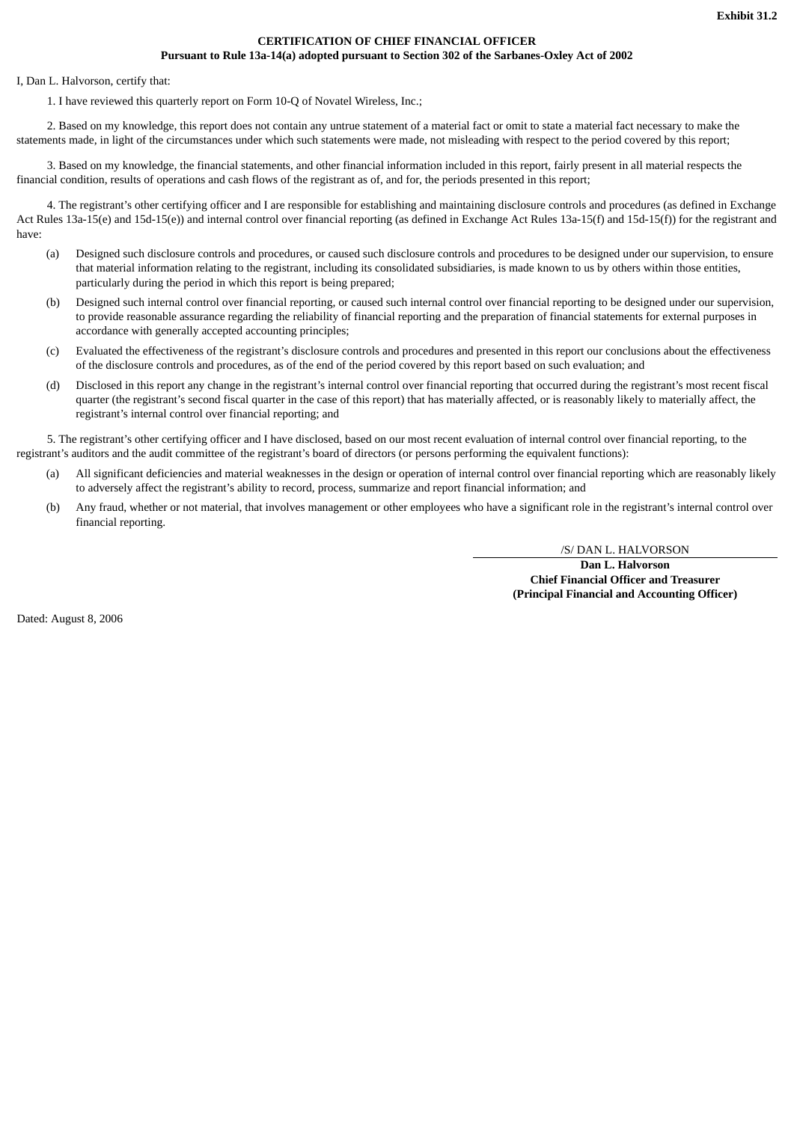# **CERTIFICATION OF CHIEF FINANCIAL OFFICER**

# **Pursuant to Rule 13a-14(a) adopted pursuant to Section 302 of the Sarbanes-Oxley Act of 2002**

#### I, Dan L. Halvorson, certify that:

1. I have reviewed this quarterly report on Form 10-Q of Novatel Wireless, Inc.;

2. Based on my knowledge, this report does not contain any untrue statement of a material fact or omit to state a material fact necessary to make the statements made, in light of the circumstances under which such statements were made, not misleading with respect to the period covered by this report;

3. Based on my knowledge, the financial statements, and other financial information included in this report, fairly present in all material respects the financial condition, results of operations and cash flows of the registrant as of, and for, the periods presented in this report;

4. The registrant's other certifying officer and I are responsible for establishing and maintaining disclosure controls and procedures (as defined in Exchange Act Rules 13a-15(e) and 15d-15(e)) and internal control over financial reporting (as defined in Exchange Act Rules 13a-15(f) and 15d-15(f)) for the registrant and have:

- (a) Designed such disclosure controls and procedures, or caused such disclosure controls and procedures to be designed under our supervision, to ensure that material information relating to the registrant, including its consolidated subsidiaries, is made known to us by others within those entities, particularly during the period in which this report is being prepared;
- (b) Designed such internal control over financial reporting, or caused such internal control over financial reporting to be designed under our supervision, to provide reasonable assurance regarding the reliability of financial reporting and the preparation of financial statements for external purposes in accordance with generally accepted accounting principles;
- (c) Evaluated the effectiveness of the registrant's disclosure controls and procedures and presented in this report our conclusions about the effectiveness of the disclosure controls and procedures, as of the end of the period covered by this report based on such evaluation; and
- (d) Disclosed in this report any change in the registrant's internal control over financial reporting that occurred during the registrant's most recent fiscal quarter (the registrant's second fiscal quarter in the case of this report) that has materially affected, or is reasonably likely to materially affect, the registrant's internal control over financial reporting; and

5. The registrant's other certifying officer and I have disclosed, based on our most recent evaluation of internal control over financial reporting, to the registrant's auditors and the audit committee of the registrant's board of directors (or persons performing the equivalent functions):

- (a) All significant deficiencies and material weaknesses in the design or operation of internal control over financial reporting which are reasonably likely to adversely affect the registrant's ability to record, process, summarize and report financial information; and
- (b) Any fraud, whether or not material, that involves management or other employees who have a significant role in the registrant's internal control over financial reporting.

/S/ DAN L. HALVORSON

**Dan L. Halvorson Chief Financial Officer and Treasurer (Principal Financial and Accounting Officer)**

Dated: August 8, 2006